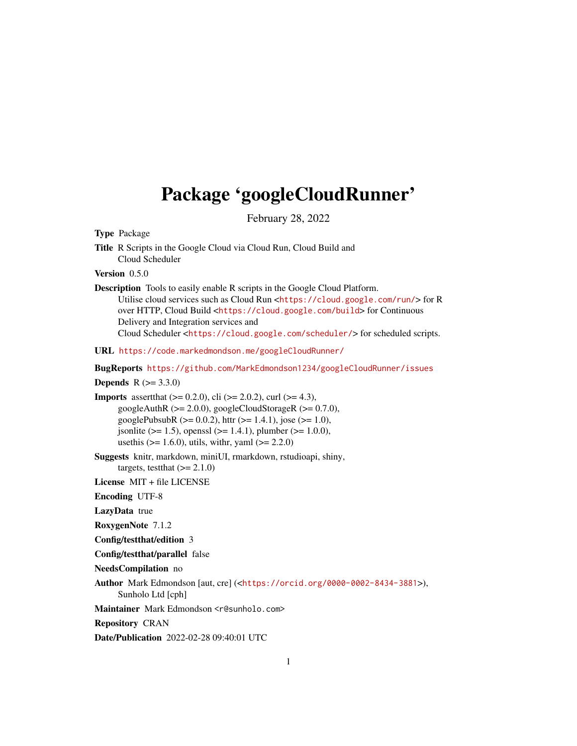# <span id="page-0-0"></span>Package 'googleCloudRunner'

February 28, 2022

Type Package

Title R Scripts in the Google Cloud via Cloud Run, Cloud Build and Cloud Scheduler

Version 0.5.0

Description Tools to easily enable R scripts in the Google Cloud Platform. Utilise cloud services such as Cloud Run <<https://cloud.google.com/run/>> for R over HTTP, Cloud Build <<https://cloud.google.com/build>> for Continuous Delivery and Integration services and Cloud Scheduler <<https://cloud.google.com/scheduler/>> for scheduled scripts.

URL <https://code.markedmondson.me/googleCloudRunner/>

BugReports <https://github.com/MarkEdmondson1234/googleCloudRunner/issues>

**Depends**  $R (= 3.3.0)$ 

- **Imports** assert that  $(>= 0.2.0)$ , cli  $(>= 2.0.2)$ , curl  $(>= 4.3)$ , googleAuthR  $(>= 2.0.0)$ , googleCloudStorageR  $(>= 0.7.0)$ , googlePubsubR ( $>= 0.0.2$ ), httr ( $>= 1.4.1$ ), jose ( $>= 1.0$ ),  $\gamma$  jsonlite (>= 1.5), openssl (>= 1.4.1), plumber (>= 1.0.0), usethis  $(>= 1.6.0)$ , utils, with  $y$ , yaml  $(>= 2.2.0)$
- Suggests knitr, markdown, miniUI, rmarkdown, rstudioapi, shiny, targets, test that  $(>= 2.1.0)$
- License MIT + file LICENSE

Encoding UTF-8

LazyData true

RoxygenNote 7.1.2

Config/testthat/edition 3

Config/testthat/parallel false

NeedsCompilation no

Author Mark Edmondson [aut, cre] (<<https://orcid.org/0000-0002-8434-3881>>), Sunholo Ltd [cph]

Maintainer Mark Edmondson <r@sunholo.com>

Repository CRAN

Date/Publication 2022-02-28 09:40:01 UTC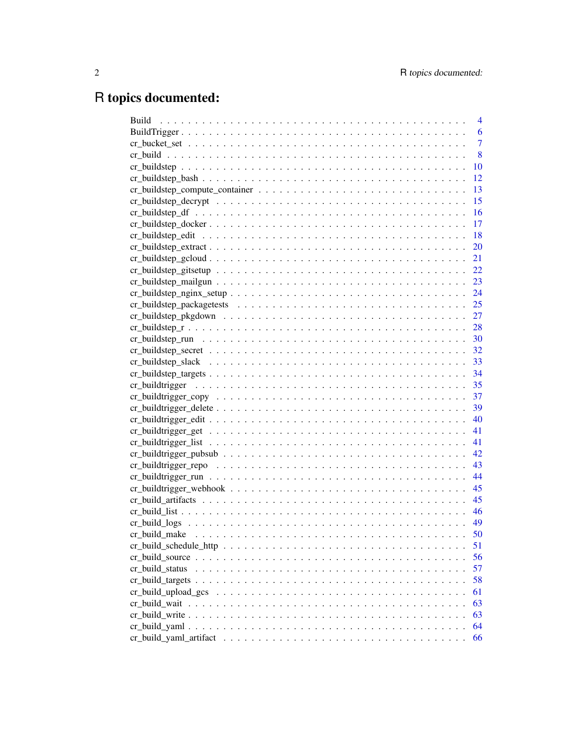# R topics documented:

| <b>Build</b>  | $\overline{4}$ |
|---------------|----------------|
|               | 6              |
|               | $\overline{7}$ |
|               | 8              |
|               | 10             |
|               | 12             |
|               | 13             |
|               | 15             |
|               | <b>16</b>      |
|               | -17            |
|               | <sup>18</sup>  |
|               |                |
|               |                |
|               |                |
|               |                |
|               |                |
|               |                |
|               |                |
|               |                |
|               |                |
|               |                |
|               |                |
|               |                |
|               |                |
|               |                |
|               |                |
|               |                |
|               |                |
|               | 41             |
|               | 42             |
|               | 43             |
|               | 44             |
|               | 45             |
|               | 45             |
|               | 46             |
|               | 49             |
|               | 50             |
|               | 51             |
|               | 56             |
|               | 57             |
|               | 58             |
|               | 61             |
| cr build wait | 63             |
|               | 63             |
|               | 64             |
|               | 66             |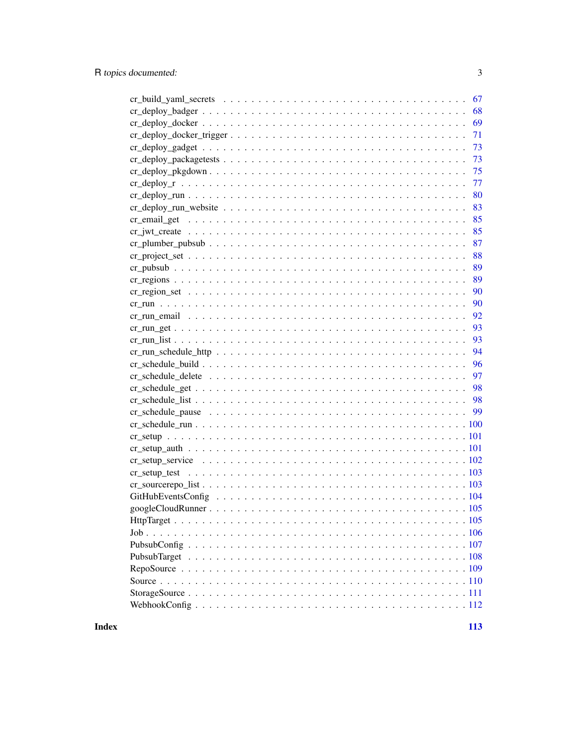| 67 |
|----|
| 68 |
| 69 |
| 71 |
| 73 |
| 73 |
| 75 |
| 77 |
| 80 |
| 83 |
| 85 |
| 85 |
| 87 |
| 88 |
| 89 |
| 89 |
| 90 |
| 90 |
| 92 |
| 93 |
| 93 |
| 94 |
| 96 |
| 97 |
| 98 |
|    |
|    |
|    |
|    |
|    |
|    |
|    |
|    |
|    |
|    |
|    |
|    |
|    |
|    |
|    |
|    |
|    |
|    |

**Index**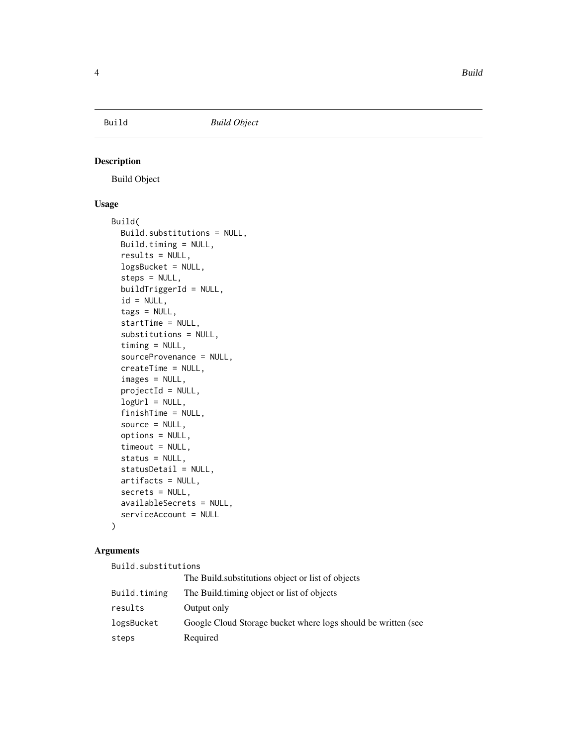<span id="page-3-1"></span><span id="page-3-0"></span>

# Description

Build Object

## Usage

```
Build(
  Build.substitutions = NULL,
 Build.timing = NULL,
  results = NULL,
  logsBucket = NULL,
  steps = NULL,
 buildTriggerId = NULL,
  id = NULL,tags = NULL,startTime = NULL,
  substitutions = NULL,
  timing = NULL,
  sourceProvenance = NULL,
  createTime = NULL,
  images = NULL,
 projectId = NULL,
  logUr1 = NULL,finishTime = NULL,
  source = NULL,options = NULL,
  timeout = NULL,status = NULL,
  statusDetail = NULL,
 artifacts = NULL,
  secrets = NULL,
  availableSecrets = NULL,
  serviceAccount = NULL
)
```
#### Arguments

Build.substitutions The Build.substitutions object or list of objects Build.timing The Build.timing object or list of objects results Output only logsBucket Google Cloud Storage bucket where logs should be written (see steps Required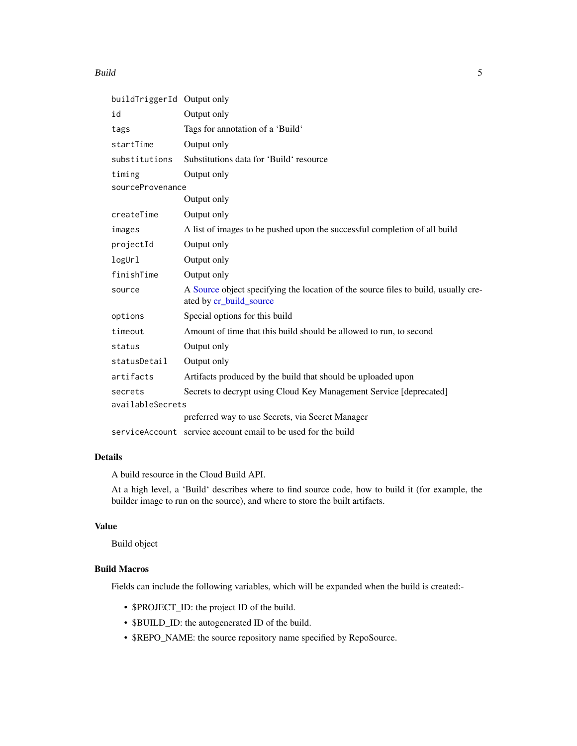#### Build 5 and 5 and 5 and 5 and 5 and 5 and 5 and 5 and 5 and 5 and 5 and 5 and 5 and 5 and 5 and 5 and 5 and 5 and 5 and 5 and 5 and 5 and 5 and 5 and 5 and 5 and 5 and 5 and 5 and 5 and 5 and 5 and 5 and 5 and 5 and 5 and

| buildTriggerId Output only |                                                                                                               |  |
|----------------------------|---------------------------------------------------------------------------------------------------------------|--|
| id                         | Output only                                                                                                   |  |
| tags                       | Tags for annotation of a 'Build'                                                                              |  |
| startTime                  | Output only                                                                                                   |  |
| substitutions              | Substitutions data for 'Build' resource                                                                       |  |
| timing                     | Output only                                                                                                   |  |
| sourceProvenance           |                                                                                                               |  |
|                            | Output only                                                                                                   |  |
| createTime                 | Output only                                                                                                   |  |
| images                     | A list of images to be pushed upon the successful completion of all build                                     |  |
| projectId                  | Output only                                                                                                   |  |
| logUr1                     | Output only                                                                                                   |  |
| finishTime                 | Output only                                                                                                   |  |
| source                     | A Source object specifying the location of the source files to build, usually cre-<br>ated by cr_build_source |  |
| options                    | Special options for this build                                                                                |  |
| timeout                    | Amount of time that this build should be allowed to run, to second                                            |  |
| status                     | Output only                                                                                                   |  |
| statusDetail               | Output only                                                                                                   |  |
| artifacts                  | Artifacts produced by the build that should be uploaded upon                                                  |  |
| secrets                    | Secrets to decrypt using Cloud Key Management Service [deprecated]                                            |  |
| availableSecrets           |                                                                                                               |  |
|                            | preferred way to use Secrets, via Secret Manager                                                              |  |
|                            | serviceAccount service account email to be used for the build                                                 |  |

# Details

A build resource in the Cloud Build API.

At a high level, a 'Build' describes where to find source code, how to build it (for example, the builder image to run on the source), and where to store the built artifacts.

# Value

Build object

# Build Macros

Fields can include the following variables, which will be expanded when the build is created:-

- \$PROJECT\_ID: the project ID of the build.
- \$BUILD\_ID: the autogenerated ID of the build.
- \$REPO\_NAME: the source repository name specified by RepoSource.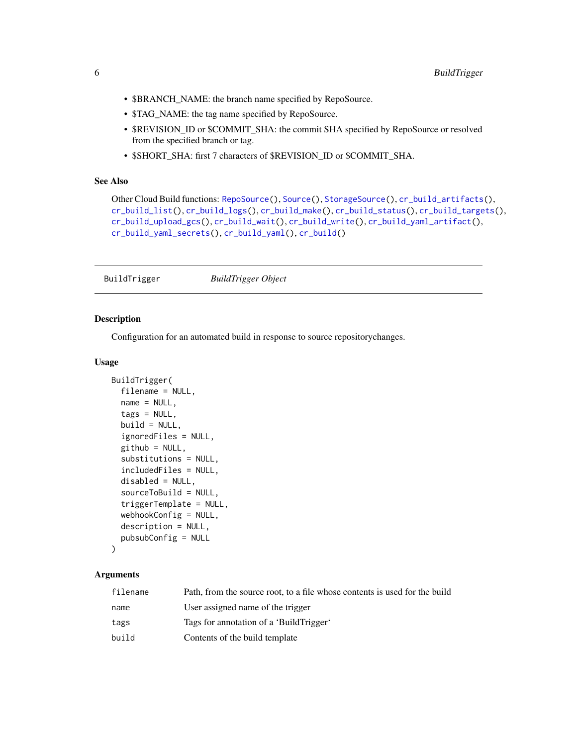- <span id="page-5-0"></span>• \$BRANCH\_NAME: the branch name specified by RepoSource.
- \$TAG\_NAME: the tag name specified by RepoSource.
- \$REVISION\_ID or \$COMMIT\_SHA: the commit SHA specified by RepoSource or resolved from the specified branch or tag.
- \$SHORT\_SHA: first 7 characters of \$REVISION\_ID or \$COMMIT\_SHA.

# See Also

```
Other Cloud Build functions: RepoSource(), Source(), StorageSource(), cr_build_artifacts(),
cr_build_list(), cr_build_logs(), cr_build_make(), cr_build_status(), cr_build_targets(),
cr_build_upload_gcs(), cr_build_wait(), cr_build_write(), cr_build_yaml_artifact(),
cr_build_yaml_secrets(), cr_build_yaml(), cr_build()
```
<span id="page-5-1"></span>BuildTrigger *BuildTrigger Object*

#### Description

Configuration for an automated build in response to source repositorychanges.

## Usage

```
BuildTrigger(
  filename = NULL,
 name = NULL,
  tags = NULL,
 build = NULL,ignoredFiles = NULL,
  github = NULL,substitutions = NULL,
  includedFiles = NULL,
  disabled = NULL,
  sourceToBuild = NULL,
  triggerTemplate = NULL,
  webhookConfig = NULL,
  description = NULL,
  pubsubConfig = NULL
)
```
#### Arguments

| filename | Path, from the source root, to a file whose contents is used for the build |
|----------|----------------------------------------------------------------------------|
| name     | User assigned name of the trigger                                          |
| tags     | Tags for annotation of a 'BuildTrigger'                                    |
| build    | Contents of the build template                                             |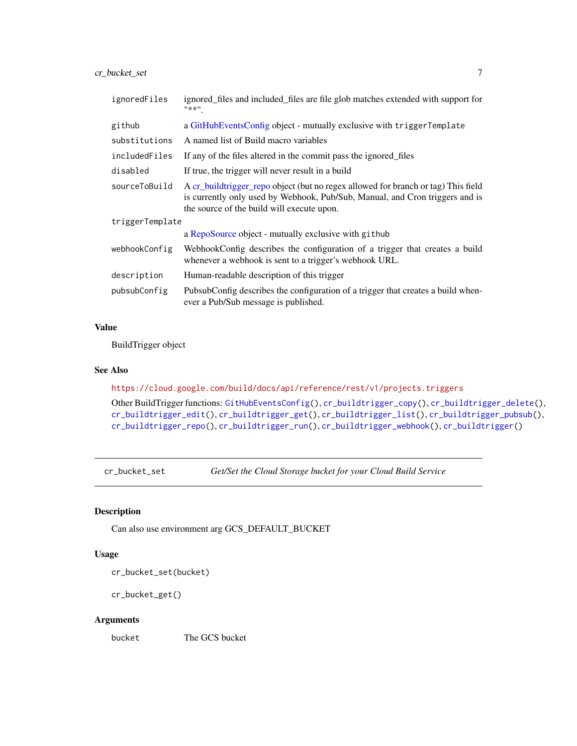# <span id="page-6-0"></span>cr\_bucket\_set 7

| ignoredFiles    | ignored files and included files are file glob matches extended with support for<br>"**"                                                                                                                        |  |
|-----------------|-----------------------------------------------------------------------------------------------------------------------------------------------------------------------------------------------------------------|--|
| github          | a GitHubEventsConfig object - mutually exclusive with triggerTemplate                                                                                                                                           |  |
| substitutions   | A named list of Build macro variables                                                                                                                                                                           |  |
| includedFiles   | If any of the files altered in the commit pass the ignored files                                                                                                                                                |  |
| disabled        | If true, the trigger will never result in a build                                                                                                                                                               |  |
| sourceToBuild   | A cr_buildtrigger_repo object (but no regex allowed for branch or tag) This field<br>is currently only used by Webhook, Pub/Sub, Manual, and Cron triggers and is<br>the source of the build will execute upon. |  |
| triggerTemplate |                                                                                                                                                                                                                 |  |
|                 | a RepoSource object - mutually exclusive with github                                                                                                                                                            |  |
| webhookConfig   | WebhookConfig describes the configuration of a trigger that creates a build<br>whenever a webhook is sent to a trigger's webhook URL.                                                                           |  |
| description     | Human-readable description of this trigger                                                                                                                                                                      |  |
| pubsubConfig    | PubsubConfig describes the configuration of a trigger that creates a build when-<br>ever a Pub/Sub message is published.                                                                                        |  |

# Value

BuildTrigger object

#### See Also

<https://cloud.google.com/build/docs/api/reference/rest/v1/projects.triggers>

Other BuildTrigger functions: [GitHubEventsConfig\(](#page-103-1)), [cr\\_buildtrigger\\_copy\(](#page-36-1)), [cr\\_buildtrigger\\_delete\(](#page-38-1)), [cr\\_buildtrigger\\_edit\(](#page-39-1)), [cr\\_buildtrigger\\_get\(](#page-40-1)), [cr\\_buildtrigger\\_list\(](#page-40-2)), [cr\\_buildtrigger\\_pubsub\(](#page-41-1)), [cr\\_buildtrigger\\_repo\(](#page-42-1)), [cr\\_buildtrigger\\_run\(](#page-43-1)), [cr\\_buildtrigger\\_webhook\(](#page-44-2)), [cr\\_buildtrigger\(](#page-34-1))

cr\_bucket\_set *Get/Set the Cloud Storage bucket for your Cloud Build Service*

## Description

Can also use environment arg GCS\_DEFAULT\_BUCKET

# Usage

cr\_bucket\_set(bucket)

```
cr_bucket_get()
```
#### Arguments

bucket The GCS bucket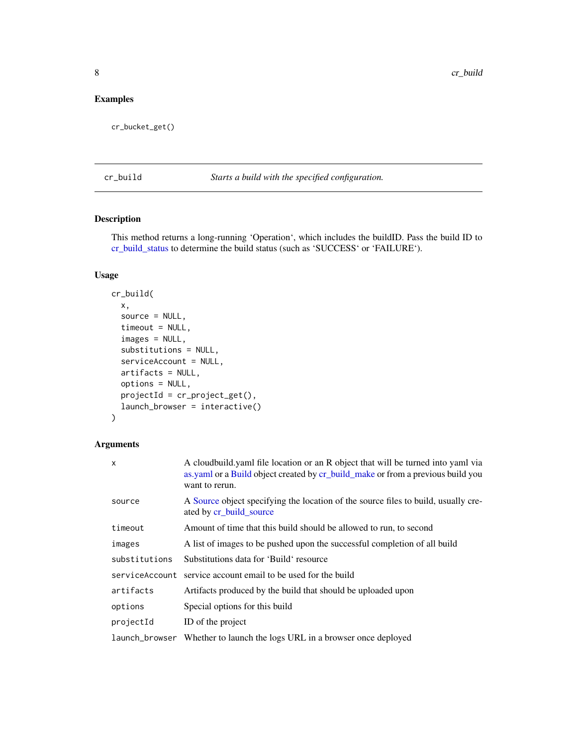# <span id="page-7-0"></span>Examples

cr\_bucket\_get()

<span id="page-7-1"></span>cr\_build *Starts a build with the specified configuration.*

# Description

This method returns a long-running 'Operation', which includes the buildID. Pass the build ID to [cr\\_build\\_status](#page-56-1) to determine the build status (such as 'SUCCESS' or 'FAILURE').

## Usage

```
cr_build(
  x,
  source = NULL,
  timeout = NULL,
  images = NULL,
  substitutions = NULL,
  serviceAccount = NULL,
  artifacts = NULL,
  options = NULL,
 projectId = cr\_project\_get(),launch_browser = interactive()
)
```
# Arguments

| A cloudbuild yaml file location or an R object that will be turned into yaml via<br>as yaml or a Build object created by cr_build_make or from a previous build you |
|---------------------------------------------------------------------------------------------------------------------------------------------------------------------|
| A Source object specifying the location of the source files to build, usually cre-                                                                                  |
| Amount of time that this build should be allowed to run, to second                                                                                                  |
| A list of images to be pushed upon the successful completion of all build                                                                                           |
| Substitutions data for 'Build' resource                                                                                                                             |
| service account email to be used for the build                                                                                                                      |
| Artifacts produced by the build that should be uploaded upon                                                                                                        |
|                                                                                                                                                                     |
|                                                                                                                                                                     |
| launch_browser Whether to launch the logs URL in a browser once deployed                                                                                            |
|                                                                                                                                                                     |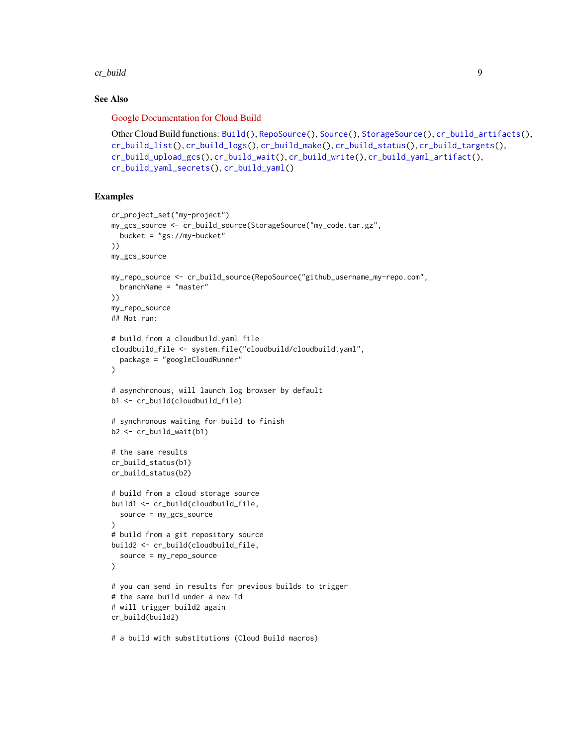cr\_build 9

## See Also

[Google Documentation for Cloud Build](https://cloud.google.com/build/docs/)

```
Other Cloud Build functions: Build(), RepoSource(), Source(), StorageSource(), cr_build_artifacts(),
cr_build_list(), cr_build_logs(), cr_build_make(), cr_build_status(), cr_build_targets(),
cr_build_upload_gcs(), cr_build_wait(), cr_build_write(), cr_build_yaml_artifact(),
cr_build_yaml_secrets(), cr_build_yaml()
```
# Examples

```
cr_project_set("my-project")
my_gcs_source <- cr_build_source(StorageSource("my_code.tar.gz",
  bucket = "gs://my-bucket"
))
my_gcs_source
my_repo_source <- cr_build_source(RepoSource("github_username_my-repo.com",
 branchName = "master"
))
my_repo_source
## Not run:
# build from a cloudbuild.yaml file
cloudbuild_file <- system.file("cloudbuild/cloudbuild.yaml",
  package = "googleCloudRunner"
\lambda# asynchronous, will launch log browser by default
b1 <- cr_build(cloudbuild_file)
# synchronous waiting for build to finish
b2 \leq cr_build_wait(b1)
# the same results
cr_build_status(b1)
cr_build_status(b2)
# build from a cloud storage source
build1 <- cr_build(cloudbuild_file,
  source = my_gcs_source
)
# build from a git repository source
build2 <- cr_build(cloudbuild_file,
  source = my_repo_source
)
# you can send in results for previous builds to trigger
# the same build under a new Id
# will trigger build2 again
cr_build(build2)
# a build with substitutions (Cloud Build macros)
```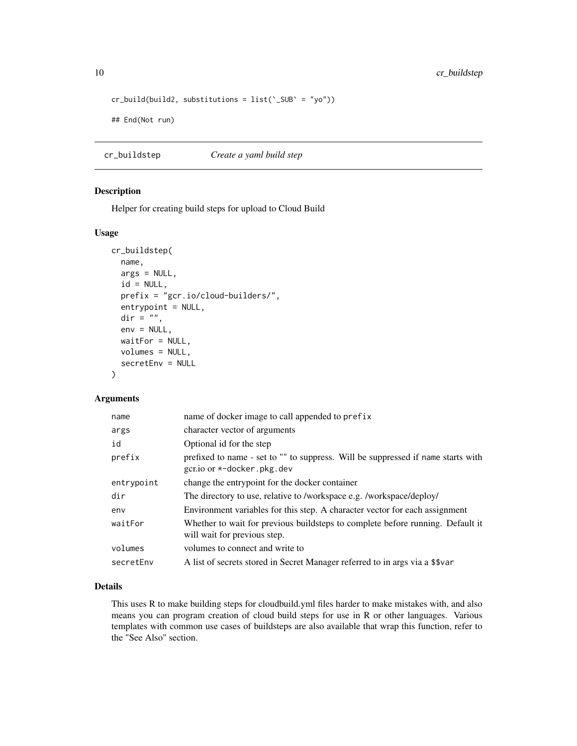```
cr_buid(build2, substitutions = list('_SUB' = "yo"))## End(Not run)
```
<span id="page-9-1"></span>cr\_buildstep *Create a yaml build step*

# Description

Helper for creating build steps for upload to Cloud Build

# Usage

```
cr_buildstep(
 name,
 args = NULL,id = NULL,prefix = "gcr.io/cloud-builders/",
 entrypoint = NULL,
 dir = "",env = NULL,waitFor = NULL,
 volumes = NULL,
  secretEnv = NULL
)
```
# Arguments

| name       | name of docker image to call appended to prefix                                                                   |
|------------|-------------------------------------------------------------------------------------------------------------------|
| args       | character vector of arguments                                                                                     |
| id         | Optional id for the step                                                                                          |
| prefix     | prefixed to name - set to "" to suppress. Will be suppressed if name starts with<br>gcr.io or $*$ -docker.pkg.dev |
| entrypoint | change the entrypoint for the docker container                                                                    |
| dir        | The directory to use, relative to /workspace e.g. /workspace/deploy/                                              |
| env        | Environment variables for this step. A character vector for each assignment                                       |
| waitFor    | Whether to wait for previous buildsteps to complete before running. Default it<br>will wait for previous step.    |
| volumes    | volumes to connect and write to                                                                                   |
| secretEnv  | A list of secrets stored in Secret Manager referred to in args via a \$\$var                                      |

# Details

This uses R to make building steps for cloudbuild.yml files harder to make mistakes with, and also means you can program creation of cloud build steps for use in R or other languages. Various templates with common use cases of buildsteps are also available that wrap this function, refer to the "See Also" section.

<span id="page-9-0"></span>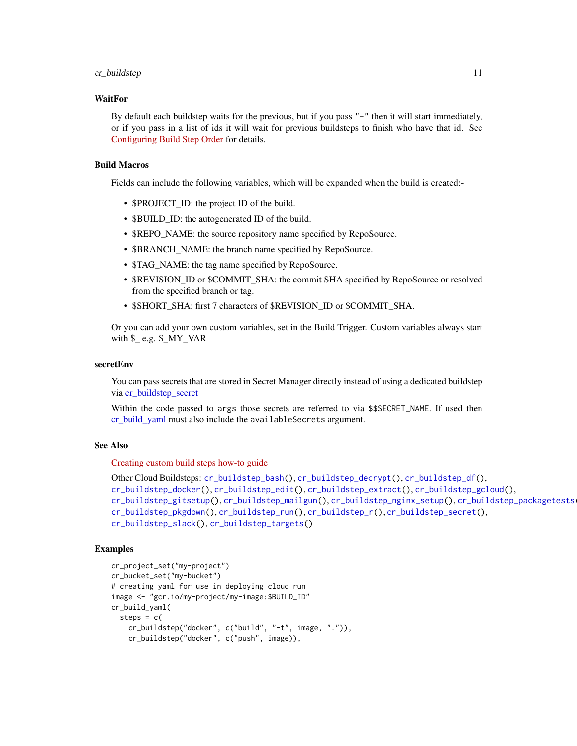#### cr\_buildstep 11

## WaitFor

By default each buildstep waits for the previous, but if you pass "-" then it will start immediately, or if you pass in a list of ids it will wait for previous buildsteps to finish who have that id. See [Configuring Build Step Order](https://cloud.google.com/build/docs/configuring-builds/configure-build-step-order) for details.

# Build Macros

Fields can include the following variables, which will be expanded when the build is created:-

- **\$PROJECT\_ID:** the project ID of the build.
- \$BUILD ID: the autogenerated ID of the build.
- \$REPO\_NAME: the source repository name specified by RepoSource.
- \$BRANCH\_NAME: the branch name specified by RepoSource.
- \$TAG\_NAME: the tag name specified by RepoSource.
- \$REVISION\_ID or \$COMMIT\_SHA: the commit SHA specified by RepoSource or resolved from the specified branch or tag.
- \$SHORT\_SHA: first 7 characters of \$REVISION\_ID or \$COMMIT\_SHA.

Or you can add your own custom variables, set in the Build Trigger. Custom variables always start with  $\mathcal{L}$  e.g.  $\mathcal{L}$  MY\_VAR

#### secretEnv

You can pass secrets that are stored in Secret Manager directly instead of using a dedicated buildstep via [cr\\_buildstep\\_secret](#page-31-1)

Within the code passed to args those secrets are referred to via \$\$SECRET\_NAME. If used then [cr\\_build\\_yaml](#page-63-1) must also include the availableSecrets argument.

# See Also

[Creating custom build steps how-to guide](https://cloud.google.com/build/docs/configuring-builds/use-community-and-custom-builders)

```
Other Cloud Buildsteps: cr_buildstep_bash(), cr_buildstep_decrypt(), cr_buildstep_df(),
cr_buildstep_docker(), cr_buildstep_edit(), cr_buildstep_extract(), cr_buildstep_gcloud(),
cr_buildstep_gitsetup(), cr_buildstep_mailgun(), cr_buildstep_nginx_setup(), cr_buildstep_packagetests(),
cr_buildstep_pkgdown(), cr_buildstep_run(), cr_buildstep_r(), cr_buildstep_secret(),
cr_buildstep_slack(), cr_buildstep_targets()
```
## Examples

```
cr_project_set("my-project")
cr_bucket_set("my-bucket")
# creating yaml for use in deploying cloud run
image <- "gcr.io/my-project/my-image:$BUILD_ID"
cr_build_yaml(
 steps = c(cr_buildstep("docker", c("build", "-t", image, ".")),
   cr_buildstep("docker", c("push", image)),
```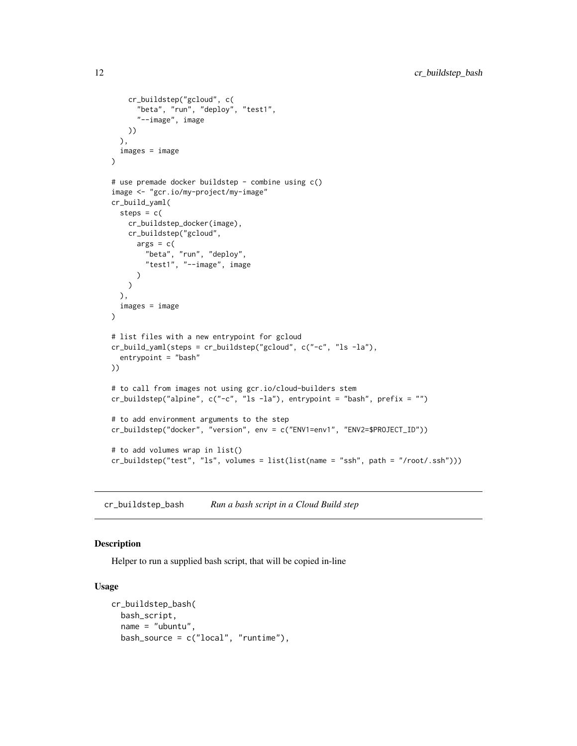```
cr_buildstep("gcloud", c(
      "beta", "run", "deploy", "test1",
      "--image", image
   ))
  ),
  images = image
)
# use premade docker buildstep - combine using c()
image <- "gcr.io/my-project/my-image"
cr_build_yaml(
  steps = c(cr_buildstep_docker(image),
   cr_buildstep("gcloud",
      args = c("beta", "run", "deploy",
        "test1", "--image", image
      )
   )
  ),
  images = image
\lambda# list files with a new entrypoint for gcloud
cr_build_yaml(steps = cr_buildstep("gcloud", c("-c", "ls -la"),
  entrypoint = "bash"
))
# to call from images not using gcr.io/cloud-builders stem
cr_buildstep("alpine", c("-c", "ls -la"), entrypoint = "bash", prefix = "")
# to add environment arguments to the step
cr_buildstep("docker", "version", env = c("ENV1=env1", "ENV2=$PROJECT_ID"))
# to add volumes wrap in list()
cr_buildstep("test", "ls", volumes = list(list(name = "ssh", path = "/root/.ssh")))
```
<span id="page-11-1"></span>cr\_buildstep\_bash *Run a bash script in a Cloud Build step*

# Description

Helper to run a supplied bash script, that will be copied in-line

#### Usage

```
cr_buildstep_bash(
 bash_script,
  name = "ubuntu",
 bash_source = c("local", "runtime"),
```
<span id="page-11-0"></span>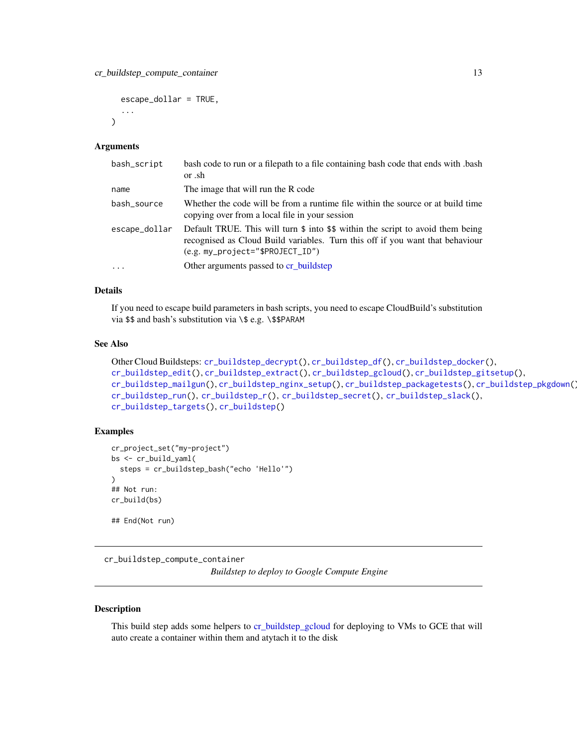```
escape_dollar = TRUE,
...
```
#### Arguments

 $\lambda$ 

| bash_script   | bash code to run or a filepath to a file containing bash code that ends with bash<br>or .sh                                                                                                                               |
|---------------|---------------------------------------------------------------------------------------------------------------------------------------------------------------------------------------------------------------------------|
| name          | The image that will run the R code                                                                                                                                                                                        |
| bash_source   | Whether the code will be from a runtime file within the source or at build time<br>copying over from a local file in your session                                                                                         |
| escape_dollar | Default TRUE. This will turn $\frac{1}{2}$ into $\frac{1}{2}$ within the script to avoid them being<br>recognised as Cloud Build variables. Turn this off if you want that behaviour<br>$(e.g. my\_project='SPROJECTID")$ |
| $\ddots$ .    | Other arguments passed to cr buildstep                                                                                                                                                                                    |

## Details

If you need to escape build parameters in bash scripts, you need to escape CloudBuild's substitution via \$\$ and bash's substitution via \\$ e.g. \\$\$PARAM

## See Also

```
Other Cloud Buildsteps: cr_buildstep_decrypt(), cr_buildstep_df(), cr_buildstep_docker(),
cr_buildstep_edit(), cr_buildstep_extract(), cr_buildstep_gcloud(), cr_buildstep_gitsetup(),
cr_buildstep_mailgun(), cr_buildstep_nginx_setup(), cr_buildstep_packagetests(), cr_buildstep_pkgdown(),
cr_buildstep_run(), cr_buildstep_r(), cr_buildstep_secret(), cr_buildstep_slack(),
cr_buildstep_targets(), cr_buildstep()
```
## Examples

```
cr_project_set("my-project")
bs <- cr_build_yaml(
  steps = cr_buildstep_bash("echo 'Hello'")
)
## Not run:
cr_build(bs)
## End(Not run)
```
cr\_buildstep\_compute\_container *Buildstep to deploy to Google Compute Engine*

## Description

This build step adds some helpers to [cr\\_buildstep\\_gcloud](#page-20-1) for deploying to VMs to GCE that will auto create a container within them and atytach it to the disk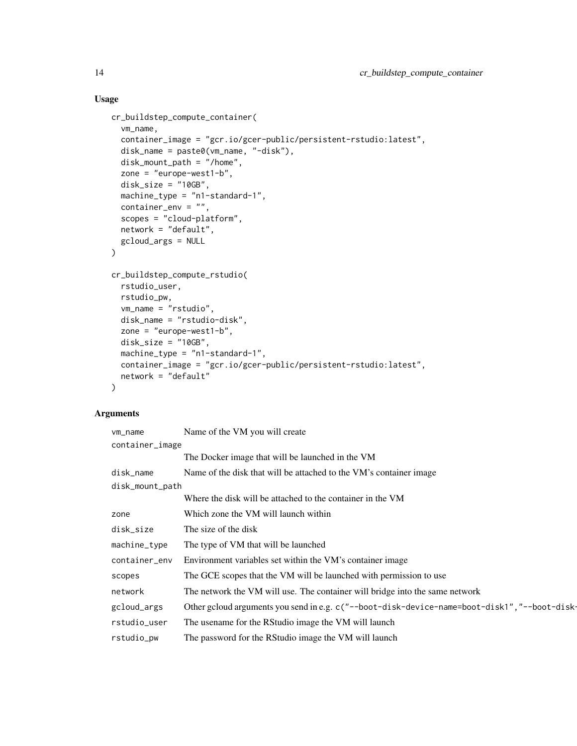# Usage

```
cr_buildstep_compute_container(
  vm_name,
  container_image = "gcr.io/gcer-public/persistent-rstudio:latest",
  disk_name = paste0(vm_name, "-disk"),
 disk_mount_path = "/home",
  zone = "europe-west1-b",
  disk_size = "10GB",
  machine_type = "n1-standard-1",
 container_env = ",
  scopes = "cloud-platform",
 network = "default",
 gcloud_args = NULL
\mathcal{L}cr_buildstep_compute_rstudio(
  rstudio_user,
 rstudio_pw,
  vm_name = "rstudio",
 disk_name = "rstudio-disk",
  zone = "europe-west1-b",
  disk_size = "10GB",machine_type = "n1-standard-1",
 container_image = "gcr.io/gcer-public/persistent-rstudio:latest",
 network = "default"
)
```
# Arguments

| vm_name         | Name of the VM you will create                                                               |  |
|-----------------|----------------------------------------------------------------------------------------------|--|
| container_image |                                                                                              |  |
|                 | The Docker image that will be launched in the VM                                             |  |
| disk_name       | Name of the disk that will be attached to the VM's container image                           |  |
| disk_mount_path |                                                                                              |  |
|                 | Where the disk will be attached to the container in the VM                                   |  |
| zone            | Which zone the VM will launch within                                                         |  |
| disk_size       | The size of the disk                                                                         |  |
| machine_type    | The type of VM that will be launched                                                         |  |
| container_env   | Environment variables set within the VM's container image                                    |  |
| scopes          | The GCE scopes that the VM will be launched with permission to use                           |  |
| network         | The network the VM will use. The container will bridge into the same network                 |  |
| gcloud_args     | Other gcloud arguments you send in e.g. c("--boot-disk-device-name=boot-disk1","--boot-disk- |  |
| rstudio_user    | The usename for the RStudio image the VM will launch                                         |  |
| rstudio_pw      | The password for the RStudio image the VM will launch                                        |  |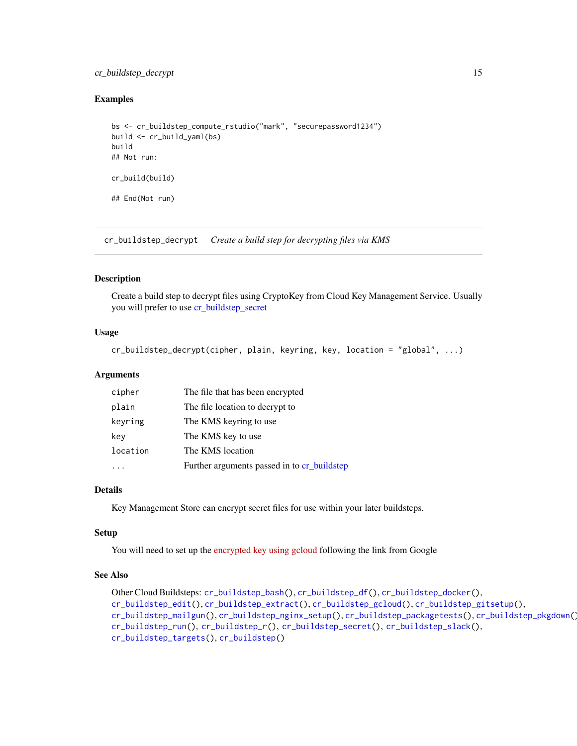# <span id="page-14-0"></span>cr\_buildstep\_decrypt 15

## Examples

```
bs <- cr_buildstep_compute_rstudio("mark", "securepassword1234")
build <- cr_build_yaml(bs)
build
## Not run:
cr_build(build)
## End(Not run)
```
<span id="page-14-1"></span>cr\_buildstep\_decrypt *Create a build step for decrypting files via KMS*

# Description

Create a build step to decrypt files using CryptoKey from Cloud Key Management Service. Usually you will prefer to use [cr\\_buildstep\\_secret](#page-31-1)

## Usage

```
cr_buildstep_decrypt(cipher, plain, keyring, key, location = "global", ...)
```
#### Arguments

| cipher   | The file that has been encrypted            |
|----------|---------------------------------------------|
| plain    | The file location to decrypt to             |
| keyring  | The KMS keyring to use                      |
| key      | The KMS key to use                          |
| location | The KMS location                            |
|          | Further arguments passed in to cr_buildstep |

#### Details

Key Management Store can encrypt secret files for use within your later buildsteps.

## Setup

You will need to set up the [encrypted key using gcloud](https://cloud.google.com/build/docs/securing-builds/use-secrets) following the link from Google

## See Also

```
Other Cloud Buildsteps: cr_buildstep_bash(), cr_buildstep_df(), cr_buildstep_docker(),
cr_buildstep_edit(), cr_buildstep_extract(), cr_buildstep_gcloud(), cr_buildstep_gitsetup(),
cr_buildstep_mailgun(), cr_buildstep_nginx_setup(), cr_buildstep_packagetests(), cr_buildstep_pkgdown(),
cr_buildstep_run(), cr_buildstep_r(), cr_buildstep_secret(), cr_buildstep_slack(),
cr_buildstep_targets(), cr_buildstep()
```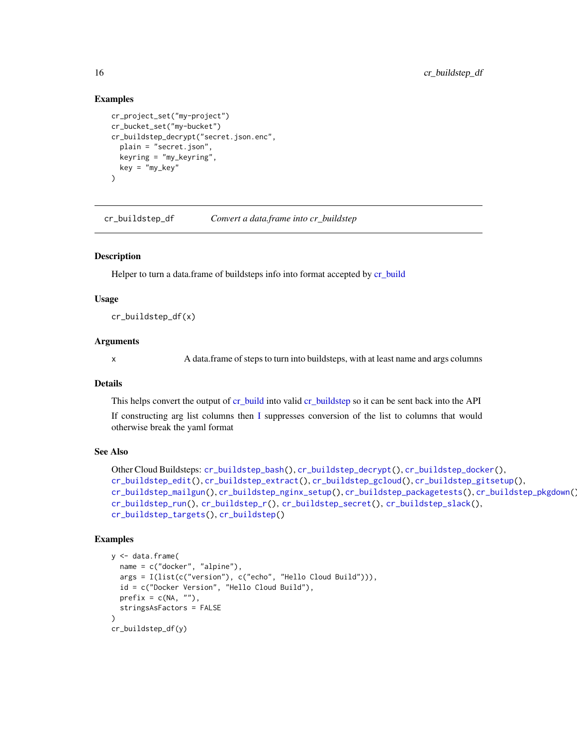## Examples

```
cr_project_set("my-project")
cr_bucket_set("my-bucket")
cr_buildstep_decrypt("secret.json.enc",
  plain = "secret.json",
  keyring = "my_keyring",
  key = "my_key"
)
```
<span id="page-15-1"></span>cr\_buildstep\_df *Convert a data.frame into cr\_buildstep*

## **Description**

Helper to turn a data.frame of buildsteps info into format accepted by [cr\\_build](#page-7-1)

#### Usage

cr\_buildstep\_df(x)

## Arguments

x A data.frame of steps to turn into buildsteps, with at least name and args columns

# Details

This helps convert the output of [cr\\_build](#page-7-1) into valid [cr\\_buildstep](#page-9-1) so it can be sent back into the API

If constructing arg list columns then [I](#page-0-0) suppresses conversion of the list to columns that would otherwise break the yaml format

#### See Also

```
Other Cloud Buildsteps: cr_buildstep_bash(), cr_buildstep_decrypt(), cr_buildstep_docker(),
cr_buildstep_edit(), cr_buildstep_extract(), cr_buildstep_gcloud(), cr_buildstep_gitsetup(),
cr_buildstep_mailgun(), cr_buildstep_nginx_setup(), cr_buildstep_packagetests(), cr_buildstep_pkgdown(),
cr_buildstep_run(), cr_buildstep_r(), cr_buildstep_secret(), cr_buildstep_slack(),
cr_buildstep_targets(), cr_buildstep()
```
#### Examples

```
y <- data.frame(
  name = c("docker", "alpine"),
  args = I(list(c("version"), c("echo", "Hello Cloud Build"))),
  id = c("Docker Version", "Hello Cloud Build"),
  prefix = c(NA, ""),
  stringsAsFactors = FALSE
)
cr_buildstep_df(y)
```
<span id="page-15-0"></span>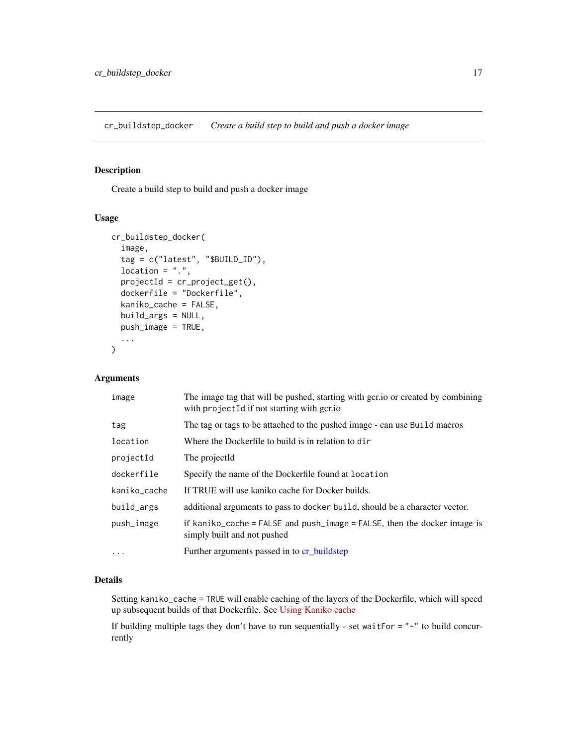<span id="page-16-1"></span><span id="page-16-0"></span>cr\_buildstep\_docker *Create a build step to build and push a docker image*

# Description

Create a build step to build and push a docker image

#### Usage

```
cr_buildstep_docker(
  image,
  tag = c("latest", "$BUILD_ID"),
  location = ".",
 projectId = cr_project_get(),
  dockerfile = "Dockerfile",
  kaniko_cache = FALSE,
  build_args = NULL,
 push_image = TRUE,
  ...
)
```
# Arguments

| image        | The image tag that will be pushed, starting with gcr. io or created by combining<br>with project Id if not starting with gcr.io |
|--------------|---------------------------------------------------------------------------------------------------------------------------------|
| tag          | The tag or tags to be attached to the pushed image - can use Build macros                                                       |
| location     | Where the Dockerfile to build is in relation to dir                                                                             |
| projectId    | The projectId                                                                                                                   |
| dockerfile   | Specify the name of the Dockerfile found at location                                                                            |
| kaniko_cache | If TRUE will use kaniko cache for Docker builds.                                                                                |
| build_args   | additional arguments to pass to docker build, should be a character vector.                                                     |
| push_image   | if kaniko_cache = $FALSE$ and push_image = $FALSE$ , then the docker image is<br>simply built and not pushed                    |
| $\cdots$     | Further arguments passed in to cr_buildstep                                                                                     |

## Details

Setting kaniko\_cache = TRUE will enable caching of the layers of the Dockerfile, which will speed up subsequent builds of that Dockerfile. See [Using Kaniko cache](https://cloud.google.com/build/docs/kaniko-cache)

If building multiple tags they don't have to run sequentially - set waitFor = "-" to build concurrently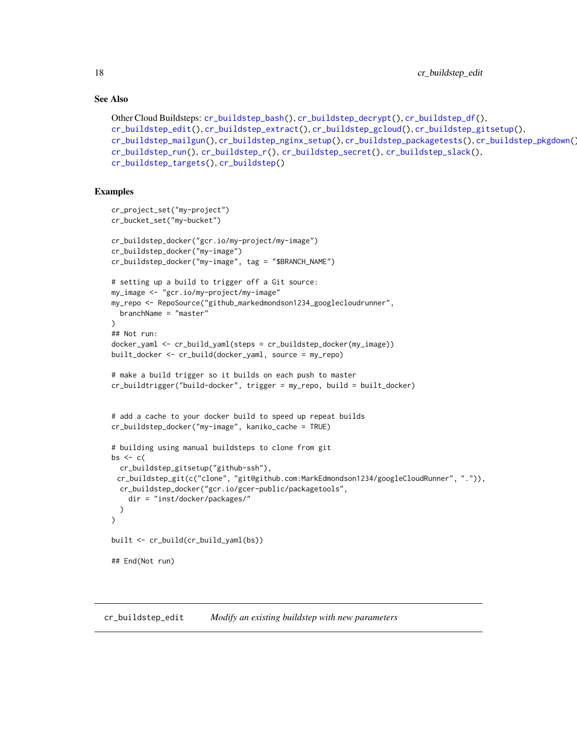## See Also

```
Other Cloud Buildsteps: cr_buildstep_bash(), cr_buildstep_decrypt(), cr_buildstep_df(),
cr_buildstep_edit(), cr_buildstep_extract(), cr_buildstep_gcloud(), cr_buildstep_gitsetup(),
cr_buildstep_mailgun(), cr_buildstep_nginx_setup(), cr_buildstep_packagetests(), cr_buildstep_pkgdown(),
cr_buildstep_run(), cr_buildstep_r(), cr_buildstep_secret(), cr_buildstep_slack(),
cr_buildstep_targets(), cr_buildstep()
```
# Examples

```
cr_project_set("my-project")
cr_bucket_set("my-bucket")
cr_buildstep_docker("gcr.io/my-project/my-image")
cr_buildstep_docker("my-image")
cr_buildstep_docker("my-image", tag = "$BRANCH_NAME")
# setting up a build to trigger off a Git source:
my_image <- "gcr.io/my-project/my-image"
my_repo <- RepoSource("github_markedmondson1234_googlecloudrunner",
  branchName = "master"
)
## Not run:
docker_yaml <- cr_build_yaml(steps = cr_buildstep_docker(my_image))
built_docker <- cr_build(docker_yaml, source = my_repo)
# make a build trigger so it builds on each push to master
cr_buildtrigger("build-docker", trigger = my_repo, build = built_docker)
# add a cache to your docker build to speed up repeat builds
cr_buildstep_docker("my-image", kaniko_cache = TRUE)
# building using manual buildsteps to clone from git
bs \leq ctcr_buildstep_gitsetup("github-ssh"),
 cr_buildstep_git(c("clone", "git@github.com:MarkEdmondson1234/googleCloudRunner", ".")),
 cr_buildstep_docker("gcr.io/gcer-public/packagetools",
    dir = "inst/docker/packages/"
  )
\lambdabuilt <- cr_build(cr_build_yaml(bs))
## End(Not run)
```
<span id="page-17-1"></span>cr\_buildstep\_edit *Modify an existing buildstep with new parameters*

<span id="page-17-0"></span>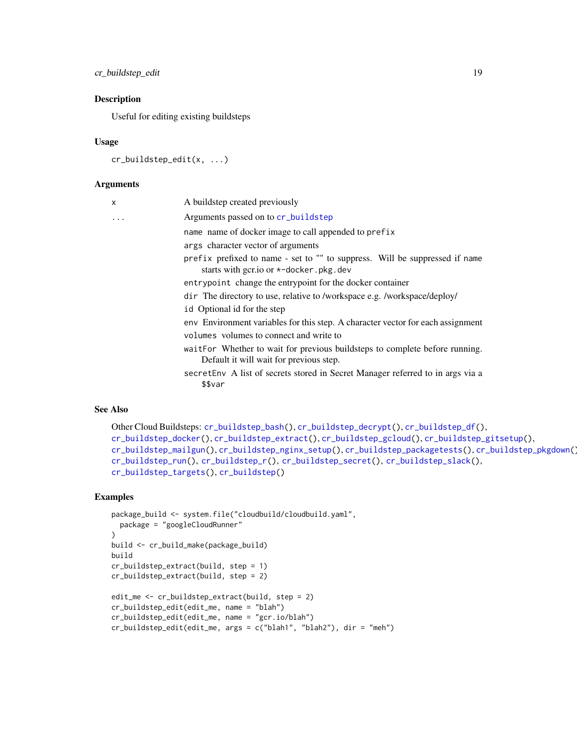cr\_buildstep\_edit 19

#### Description

Useful for editing existing buildsteps

## Usage

```
cr_buildstep_edit(x, ...)
```
#### **Arguments**

| $\times$ | A buildstep created previously                                                                                         |
|----------|------------------------------------------------------------------------------------------------------------------------|
| $\cdot$  | Arguments passed on to cr_buildstep                                                                                    |
|          | name name of docker image to call appended to prefix                                                                   |
|          | args character vector of arguments                                                                                     |
|          | prefix prefixed to name - set to "" to suppress. Will be suppressed if name<br>starts with gcr.io or *-docker.pkg.dev  |
|          | entrypoint change the entrypoint for the docker container                                                              |
|          | dir The directory to use, relative to /workspace e.g. /workspace/deploy/                                               |
|          | id Optional id for the step                                                                                            |
|          | env Environment variables for this step. A character vector for each assignment                                        |
|          | volumes volumes to connect and write to                                                                                |
|          | waitFor Whether to wait for previous buildsteps to complete before running.<br>Default it will wait for previous step. |
|          | secret Env A list of secrets stored in Secret Manager referred to in args via a<br>\$\$var                             |

# See Also

```
Other Cloud Buildsteps: cr_buildstep_bash(), cr_buildstep_decrypt(), cr_buildstep_df(),
cr_buildstep_docker(), cr_buildstep_extract(), cr_buildstep_gcloud(), cr_buildstep_gitsetup(),
cr_buildstep_mailgun(), cr_buildstep_nginx_setup(), cr_buildstep_packagetests(), cr_buildstep_pkgdown(),
cr_buildstep_run(), cr_buildstep_r(), cr_buildstep_secret(), cr_buildstep_slack(),
cr_buildstep_targets(), cr_buildstep()
```
# Examples

```
package_build <- system.file("cloudbuild/cloudbuild.yaml",
  package = "googleCloudRunner"
\lambdabuild <- cr_build_make(package_build)
build
cr_buildstep_extract(build, step = 1)
cr_buildstep_extract(build, step = 2)
edit_me <- cr_buildstep_extract(build, step = 2)
cr_buildstep_edit(edit_me, name = "blah")
cr_buildstep_edit(edit_me, name = "gcr.io/blah")
cr_buildstep_edit(edit_me, args = c("blah1", "blah2"), dir = "meh")
```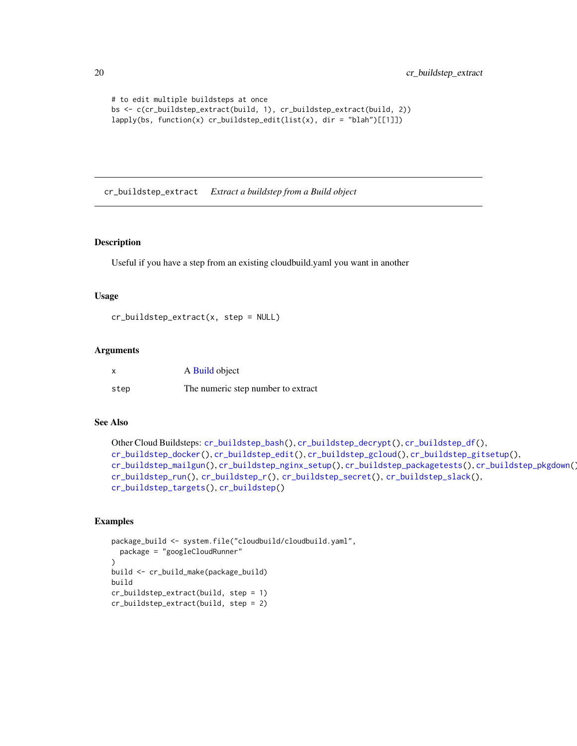```
# to edit multiple buildsteps at once
bs <- c(cr_buildstep_extract(build, 1), cr_buildstep_extract(build, 2))
lapply(bs, function(x) cr_buildstep_edit(list(x), dir = "blah")[[1]])
```
<span id="page-19-1"></span>cr\_buildstep\_extract *Extract a buildstep from a Build object*

#### Description

Useful if you have a step from an existing cloudbuild.yaml you want in another

#### Usage

```
cr_buildstep_extract(x, step = NULL)
```
#### Arguments

| x    | A Build object                     |
|------|------------------------------------|
| step | The numeric step number to extract |

## See Also

```
Other Cloud Buildsteps: cr_buildstep_bash(), cr_buildstep_decrypt(), cr_buildstep_df(),
cr_buildstep_docker(), cr_buildstep_edit(), cr_buildstep_gcloud(), cr_buildstep_gitsetup(),
cr_buildstep_mailgun(), cr_buildstep_nginx_setup(), cr_buildstep_packagetests(), cr_buildstep_pkgdown(),
cr_buildstep_run(), cr_buildstep_r(), cr_buildstep_secret(), cr_buildstep_slack(),
cr_buildstep_targets(), cr_buildstep()
```
## Examples

```
package_build <- system.file("cloudbuild/cloudbuild.yaml",
  package = "googleCloudRunner"
)
build <- cr_build_make(package_build)
build
cr_buildstep_extract(build, step = 1)
cr_buildstep_extract(build, step = 2)
```
<span id="page-19-0"></span>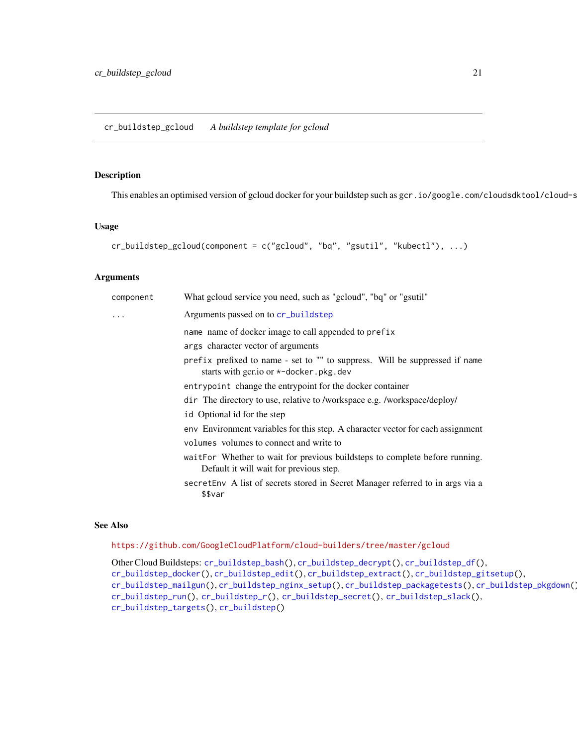<span id="page-20-1"></span><span id="page-20-0"></span>cr\_buildstep\_gcloud *A buildstep template for gcloud*

## Description

This enables an optimised version of gcloud docker for your buildstep such as gcr.io/google.com/cloudsdktool/cloud-s

#### Usage

```
cr_buildstep_gcloud(component = c("gcloud", "bq", "gsutil", "kubectl"), ...)
```
## Arguments

| component | What gcloud service you need, such as "gcloud", "bq" or "gsutil"                                                         |
|-----------|--------------------------------------------------------------------------------------------------------------------------|
| .         | Arguments passed on to cr_buildstep                                                                                      |
|           | name name of docker image to call appended to prefix                                                                     |
|           | args character vector of arguments                                                                                       |
|           | prefix prefixed to name - set to "" to suppress. Will be suppressed if name<br>starts with gcr.io or $*$ -docker.pkg.dev |
|           | entrypoint change the entrypoint for the docker container                                                                |
|           | dir The directory to use, relative to /workspace e.g. /workspace/deploy/                                                 |
|           | id Optional id for the step                                                                                              |
|           | env Environment variables for this step. A character vector for each assignment                                          |
|           | volumes volumes to connect and write to                                                                                  |
|           | waitFor Whether to wait for previous buildsteps to complete before running.<br>Default it will wait for previous step.   |
|           | secret Env A list of secrets stored in Secret Manager referred to in args via a<br>\$\$var                               |

# See Also

# <https://github.com/GoogleCloudPlatform/cloud-builders/tree/master/gcloud>

Other Cloud Buildsteps: [cr\\_buildstep\\_bash\(](#page-11-1)), [cr\\_buildstep\\_decrypt\(](#page-14-1)), [cr\\_buildstep\\_df\(](#page-15-1)), [cr\\_buildstep\\_docker\(](#page-16-1)), [cr\\_buildstep\\_edit\(](#page-17-1)), [cr\\_buildstep\\_extract\(](#page-19-1)), [cr\\_buildstep\\_gitsetup\(](#page-21-1)), [cr\\_buildstep\\_mailgun\(](#page-22-1)), [cr\\_buildstep\\_nginx\\_setup\(](#page-23-1)), [cr\\_buildstep\\_packagetests\(](#page-24-1)), [cr\\_buildstep\\_pkgdown\(](#page-26-1)), [cr\\_buildstep\\_run\(](#page-29-1)), [cr\\_buildstep\\_r\(](#page-27-1)), [cr\\_buildstep\\_secret\(](#page-31-1)), [cr\\_buildstep\\_slack\(](#page-32-1)), [cr\\_buildstep\\_targets\(](#page-33-1)), [cr\\_buildstep\(](#page-9-1))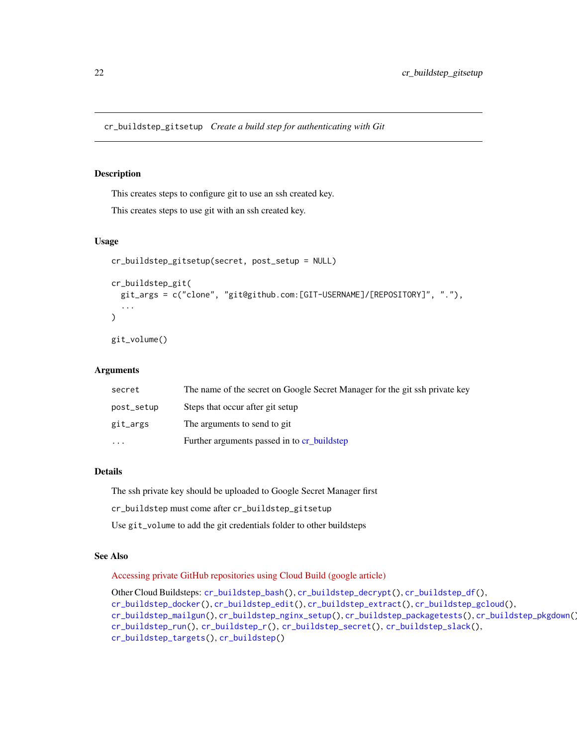#### <span id="page-21-1"></span><span id="page-21-0"></span>Description

This creates steps to configure git to use an ssh created key.

This creates steps to use git with an ssh created key.

#### Usage

```
cr_buildstep_gitsetup(secret, post_setup = NULL)
cr_buildstep_git(
  git_args = c("clone", "git@github.com:[GIT-USERNAME]/[REPOSITORY]", "."),
  ...
)
git_volume()
```
#### Arguments

| secret     | The name of the secret on Google Secret Manager for the git ssh private key |
|------------|-----------------------------------------------------------------------------|
| post_setup | Steps that occur after git setup                                            |
| git_args   | The arguments to send to git                                                |
| .          | Further arguments passed in to cr buildstep                                 |

## Details

The ssh private key should be uploaded to Google Secret Manager first

cr\_buildstep must come after cr\_buildstep\_gitsetup

Use git\_volume to add the git credentials folder to other buildsteps

# See Also

[Accessing private GitHub repositories using Cloud Build \(google article\)](https://cloud.google.com/build/docs/access-github-from-build)

```
Other Cloud Buildsteps: cr_buildstep_bash(), cr_buildstep_decrypt(), cr_buildstep_df(),
cr_buildstep_docker(), cr_buildstep_edit(), cr_buildstep_extract(), cr_buildstep_gcloud(),
cr_buildstep_mailgun(), cr_buildstep_nginx_setup(), cr_buildstep_packagetests(), cr_buildstep_pkgdown(),
cr_buildstep_run(), cr_buildstep_r(), cr_buildstep_secret(), cr_buildstep_slack(),
cr_buildstep_targets(), cr_buildstep()
```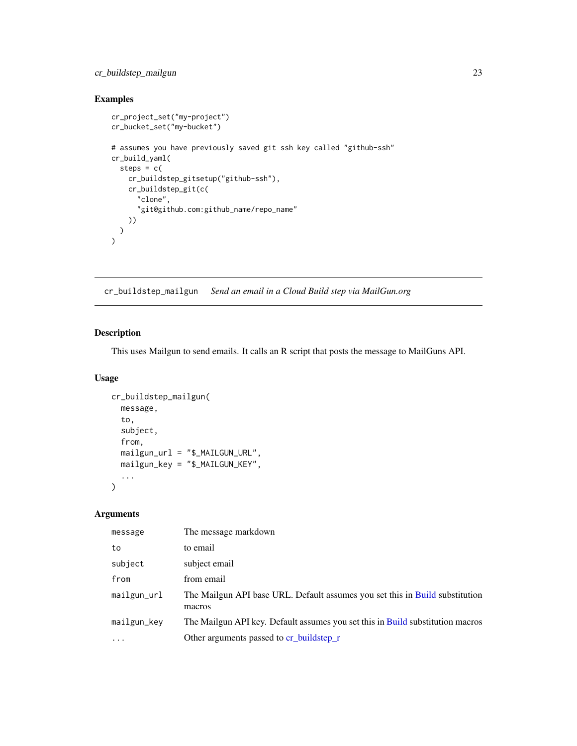# <span id="page-22-0"></span>cr\_buildstep\_mailgun 23

# Examples

```
cr_project_set("my-project")
cr_bucket_set("my-bucket")
# assumes you have previously saved git ssh key called "github-ssh"
cr_build_yaml(
  steps = c(cr_buildstep_gitsetup("github-ssh"),
   cr_buildstep_git(c(
      "clone",
      "git@github.com:github_name/repo_name"
   ))
 )
\lambda
```
<span id="page-22-1"></span>cr\_buildstep\_mailgun *Send an email in a Cloud Build step via MailGun.org*

# Description

This uses Mailgun to send emails. It calls an R script that posts the message to MailGuns API.

# Usage

```
cr_buildstep_mailgun(
  message,
  to,
  subject,
  from,
  mailgun_url = "$_MAILGUN_URL",
  mailgun_key = "$_MAILGUN_KEY",
  ...
\mathcal{L}
```
# Arguments

| message        | The message markdown                                                                   |
|----------------|----------------------------------------------------------------------------------------|
| to             | to email                                                                               |
| subject        | subject email                                                                          |
| from           | from email                                                                             |
| $mailgun\_url$ | The Mailgun API base URL. Default assumes you set this in Build substitution<br>macros |
| mailgun_key    | The Mailgun API key. Default assumes you set this in Build substitution macros         |
| $\ddotsc$      | Other arguments passed to cr_buildstep_r                                               |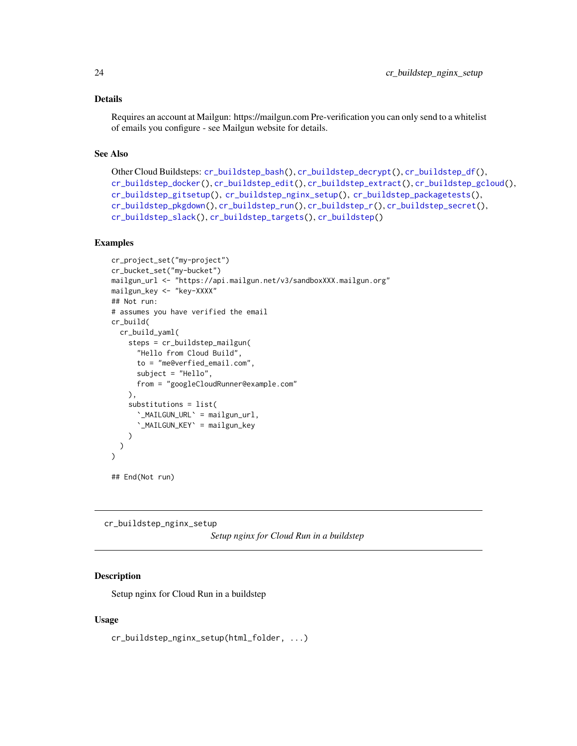## <span id="page-23-0"></span>Details

Requires an account at Mailgun: https://mailgun.com Pre-verification you can only send to a whitelist of emails you configure - see Mailgun website for details.

## See Also

```
Other Cloud Buildsteps: cr_buildstep_bash(), cr_buildstep_decrypt(), cr_buildstep_df(),
cr_buildstep_docker(), cr_buildstep_edit(), cr_buildstep_extract(), cr_buildstep_gcloud(),
cr_buildstep_gitsetup(), cr_buildstep_nginx_setup(), cr_buildstep_packagetests(),
cr_buildstep_pkgdown(), cr_buildstep_run(), cr_buildstep_r(), cr_buildstep_secret(),
cr_buildstep_slack(), cr_buildstep_targets(), cr_buildstep()
```
#### Examples

```
cr_project_set("my-project")
cr_bucket_set("my-bucket")
mailgun_url <- "https://api.mailgun.net/v3/sandboxXXX.mailgun.org"
mailgun_key <- "key-XXXX"
## Not run:
# assumes you have verified the email
cr_build(
  cr_build_yaml(
    steps = cr_buildstep_mailgun(
      "Hello from Cloud Build",
      to = "me@verfied_email.com",
      subject = "Hello",
      from = "googleCloudRunner@example.com"
    ),
    substitutions = list(
      `_MAILGUN_URL` = mailgun_url,
      `_MAILGUN_KEY` = mailgun_key
    )
  )
)
## End(Not run)
```
<span id="page-23-1"></span>cr\_buildstep\_nginx\_setup

*Setup nginx for Cloud Run in a buildstep*

## **Description**

Setup nginx for Cloud Run in a buildstep

#### Usage

cr\_buildstep\_nginx\_setup(html\_folder, ...)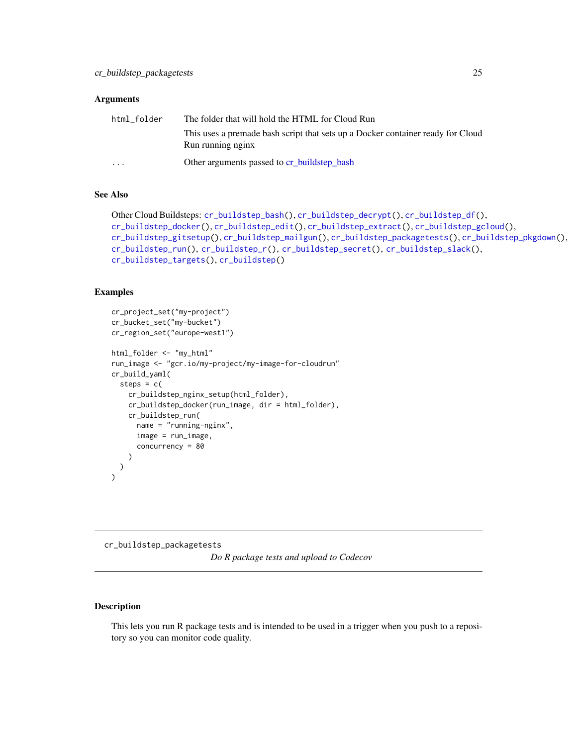#### <span id="page-24-0"></span>**Arguments**

| html folder             | The folder that will hold the HTML for Cloud Run                                |
|-------------------------|---------------------------------------------------------------------------------|
|                         | This uses a premade bash script that sets up a Docker container ready for Cloud |
|                         | Run running nginx                                                               |
| $\cdot$ $\cdot$ $\cdot$ | Other arguments passed to cr_buildstep_bash                                     |

# See Also

```
Other Cloud Buildsteps: cr_buildstep_bash(), cr_buildstep_decrypt(), cr_buildstep_df(),
cr_buildstep_docker(), cr_buildstep_edit(), cr_buildstep_extract(), cr_buildstep_gcloud(),
cr_buildstep_gitsetup(), cr_buildstep_mailgun(), cr_buildstep_packagetests(), cr_buildstep_pkgdown(),
cr_buildstep_run(), cr_buildstep_r(), cr_buildstep_secret(), cr_buildstep_slack(),
cr_buildstep_targets(), cr_buildstep()
```
## Examples

```
cr_project_set("my-project")
cr_bucket_set("my-bucket")
cr_region_set("europe-west1")
html_folder <- "my_html"
run_image <- "gcr.io/my-project/my-image-for-cloudrun"
cr_build_yaml(
  steps = c(cr_buildstep_nginx_setup(html_folder),
    cr_buildstep_docker(run_image, dir = html_folder),
    cr_buildstep_run(
      name = "running-nginx",
      image = run_image,
      concurrency = 80
    )
  \mathcal{L}\mathcal{L}
```
<span id="page-24-1"></span>cr\_buildstep\_packagetests *Do R package tests and upload to Codecov*

# Description

This lets you run R package tests and is intended to be used in a trigger when you push to a repository so you can monitor code quality.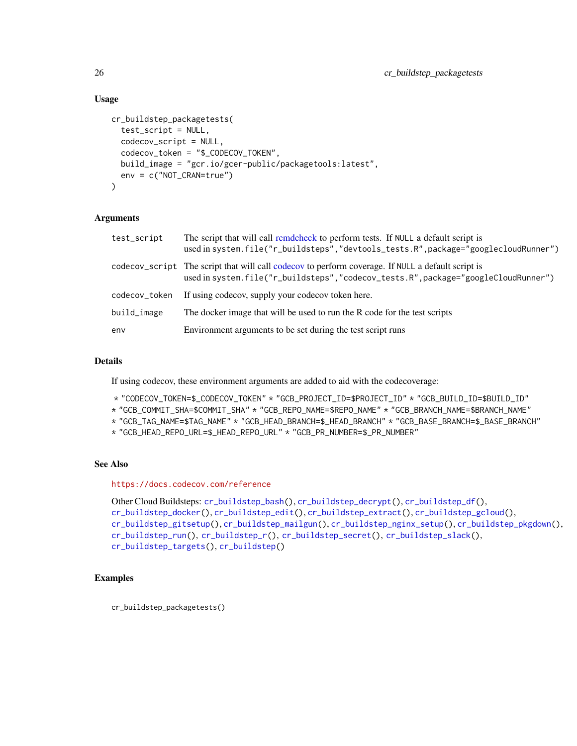## Usage

```
cr_buildstep_packagetests(
  test_script = NULL,
  codecov_script = NULL,
  codecov_token = "$_CODECOV_TOKEN",
  build_image = "gcr.io/gcer-public/packagetools:latest",
  env = c("NOT_CRAN=true")
\lambda
```
# Arguments

| test_script   | The script that will call remdeheck to perform tests. If NULL a default script is<br>used in system.file("r_buildsteps","devtools_tests.R",package="googlecloudRunner")                |
|---------------|----------------------------------------------------------------------------------------------------------------------------------------------------------------------------------------|
|               | codecov_script The script that will call codecov to perform coverage. If NULL a default script is<br>used in system.file("r_buildsteps","codecov_tests.R",package="googleCloudRunner") |
| codecov_token | If using codecov, supply your codecov token here.                                                                                                                                      |
| build_image   | The docker image that will be used to run the R code for the test scripts                                                                                                              |
| env           | Environment arguments to be set during the test script runs                                                                                                                            |

## Details

If using codecov, these environment arguments are added to aid with the codecoverage:

- \* "CODECOV\_TOKEN=\$\_CODECOV\_TOKEN" \* "GCB\_PROJECT\_ID=\$PROJECT\_ID" \* "GCB\_BUILD\_ID=\$BUILD\_ID"
- \* "GCB\_COMMIT\_SHA=\$COMMIT\_SHA" \* "GCB\_REPO\_NAME=\$REPO\_NAME" \* "GCB\_BRANCH\_NAME=\$BRANCH\_NAME"
- \* "GCB\_TAG\_NAME=\$TAG\_NAME" \* "GCB\_HEAD\_BRANCH=\$\_HEAD\_BRANCH" \* "GCB\_BASE\_BRANCH=\$\_BASE\_BRANCH"
- \* "GCB\_HEAD\_REPO\_URL=\$\_HEAD\_REPO\_URL" \* "GCB\_PR\_NUMBER=\$\_PR\_NUMBER"

## See Also

<https://docs.codecov.com/reference>

```
Other Cloud Buildsteps: cr_buildstep_bash(), cr_buildstep_decrypt(), cr_buildstep_df(),
cr_buildstep_docker(), cr_buildstep_edit(), cr_buildstep_extract(), cr_buildstep_gcloud(),
cr_buildstep_gitsetup(), cr_buildstep_mailgun(), cr_buildstep_nginx_setup(), cr_buildstep_pkgdown(),
cr_buildstep_run(), cr_buildstep_r(), cr_buildstep_secret(), cr_buildstep_slack(),
cr_buildstep_targets(), cr_buildstep()
```
# Examples

cr\_buildstep\_packagetests()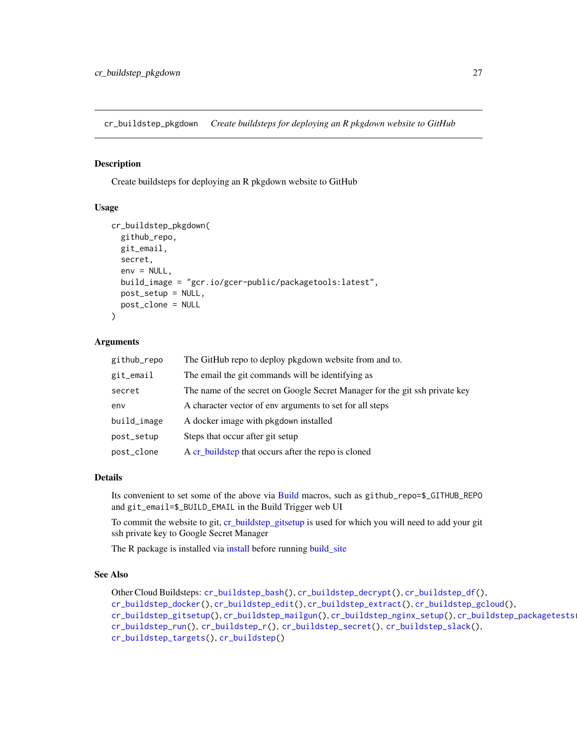<span id="page-26-1"></span><span id="page-26-0"></span>cr\_buildstep\_pkgdown *Create buildsteps for deploying an R pkgdown website to GitHub*

## Description

Create buildsteps for deploying an R pkgdown website to GitHub

# Usage

```
cr_buildstep_pkgdown(
  github_repo,
  git_email,
  secret,
  env = NULL,build_image = "gcr.io/gcer-public/packagetools:latest",
  post_setup = NULL,
  post_clone = NULL
\lambda
```
# Arguments

| github_repo | The GitHub repo to deploy pkgdown website from and to.                      |
|-------------|-----------------------------------------------------------------------------|
| git_email   | The email the git commands will be identifying as                           |
| secret      | The name of the secret on Google Secret Manager for the git ssh private key |
| env         | A character vector of env arguments to set for all steps                    |
| build_image | A docker image with pkgdown installed                                       |
| post_setup  | Steps that occur after git setup                                            |
| post_clone  | A cr_buildstep that occurs after the repo is cloned                         |

## Details

Its convenient to set some of the above via [Build](#page-3-1) macros, such as github\_repo=\$\_GITHUB\_REPO and git\_email=\$\_BUILD\_EMAIL in the Build Trigger web UI

To commit the website to git, [cr\\_buildstep\\_gitsetup](#page-21-1) is used for which you will need to add your git ssh private key to Google Secret Manager

The R package is installed via [install](#page-0-0) before running [build\\_site](#page-0-0)

# See Also

```
Other Cloud Buildsteps: cr_buildstep_bash(), cr_buildstep_decrypt(), cr_buildstep_df(),
cr_buildstep_docker(), cr_buildstep_edit(), cr_buildstep_extract(), cr_buildstep_gcloud(),
cr_buildstep_gitsetup(), cr_buildstep_mailgun(), cr_buildstep_nginx_setup(), cr_buildstep_packagetests(),
cr_buildstep_run(), cr_buildstep_r(), cr_buildstep_secret(), cr_buildstep_slack(),
cr_buildstep_targets(), cr_buildstep()
```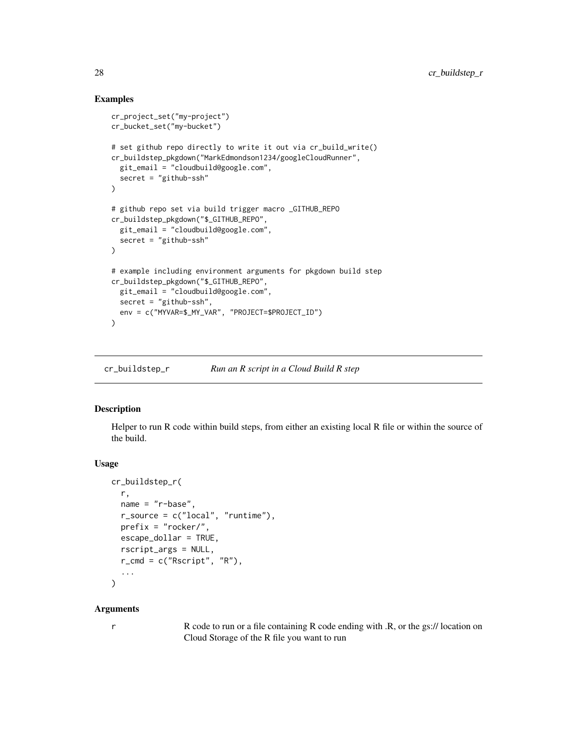# Examples

```
cr_project_set("my-project")
cr_bucket_set("my-bucket")
# set github repo directly to write it out via cr_build_write()
cr_buildstep_pkgdown("MarkEdmondson1234/googleCloudRunner",
  git_email = "cloudbuild@google.com",
  secret = "github-ssh"
)
# github repo set via build trigger macro _GITHUB_REPO
cr_buildstep_pkgdown("$_GITHUB_REPO",
  git_email = "cloudbuild@google.com",
  secret = "github-ssh"
\lambda# example including environment arguments for pkgdown build step
cr_buildstep_pkgdown("$_GITHUB_REPO",
  git_email = "cloudbuild@google.com",
  secret = "github-ssh",
  env = c("MYVAR=$_MY_VAR", "PROJECT=$PROJECT_ID")
)
```
<span id="page-27-1"></span>cr\_buildstep\_r *Run an R script in a Cloud Build R step*

# Description

Helper to run R code within build steps, from either an existing local R file or within the source of the build.

#### Usage

```
cr_buildstep_r(
  r,
  name = "r-base",
  r\_source = c("local", "runtime"),prefix = "rocker/",
  escape_dollar = TRUE,
  rscript_args = NULL,
  r_cmd = c("Rscript", "R"),
  ...
)
```
#### Arguments

r R code to run or a file containing R code ending with .R, or the gs:// location on Cloud Storage of the R file you want to run

<span id="page-27-0"></span>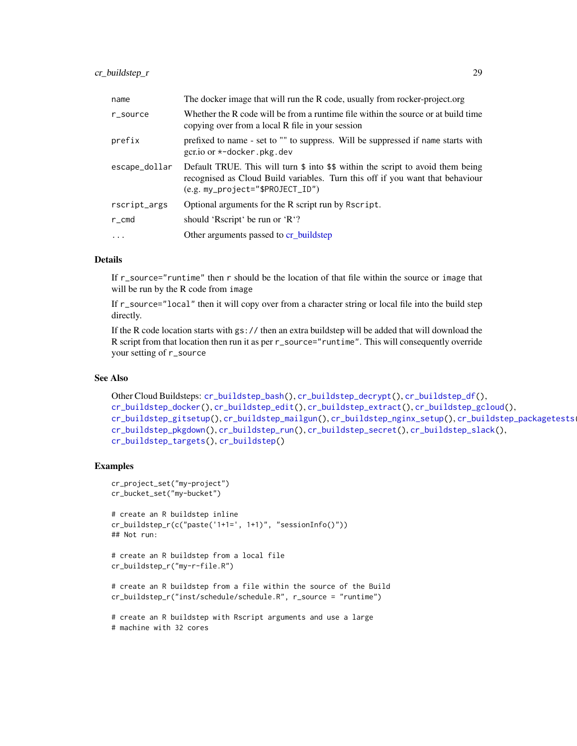# cr\_buildstep\_r 29

| name                | The docker image that will run the R code, usually from rocker-project.org                                                                                                                              |
|---------------------|---------------------------------------------------------------------------------------------------------------------------------------------------------------------------------------------------------|
| r_source            | Whether the R code will be from a runtime file within the source or at build time<br>copying over from a local R file in your session                                                                   |
| prefix              | prefixed to name - set to "" to suppress. Will be suppressed if name starts with<br>gcr.io or $*$ -docker.pkg.dev                                                                                       |
| escape_dollar       | Default TRUE. This will turn \$ into \$\$ within the script to avoid them being<br>recognised as Cloud Build variables. Turn this off if you want that behaviour<br>$(e.g. my\_project='SPROJECT\_ID")$ |
| rscript_args        | Optional arguments for the R script run by R script.                                                                                                                                                    |
| r_cmd               | should 'Rscript' be run or 'R'?                                                                                                                                                                         |
| $\cdot \cdot \cdot$ | Other arguments passed to cr_buildstep                                                                                                                                                                  |

## Details

If r\_source="runtime" then r should be the location of that file within the source or image that will be run by the R code from image

If r\_source="local" then it will copy over from a character string or local file into the build step directly.

If the R code location starts with gs:// then an extra buildstep will be added that will download the R script from that location then run it as per r\_source="runtime". This will consequently override your setting of r\_source

# See Also

```
Other Cloud Buildsteps: cr_buildstep_bash(), cr_buildstep_decrypt(), cr_buildstep_df(),
cr_buildstep_docker(), cr_buildstep_edit(), cr_buildstep_extract(), cr_buildstep_gcloud(),
cr_buildstep_gitsetup(), cr_buildstep_mailgun(), cr_buildstep_nginx_setup(), cr_buildstep_packagetests(),
cr_buildstep_pkgdown(), cr_buildstep_run(), cr_buildstep_secret(), cr_buildstep_slack(),
cr_buildstep_targets(), cr_buildstep()
```
# Examples

```
cr_project_set("my-project")
cr_bucket_set("my-bucket")
# create an R buildstep inline
cr_buildstep_r(c("paste('1+1=', 1+1)", "sessionInfo()"))
## Not run:
# create an R buildstep from a local file
cr_buildstep_r("my-r-file.R")
```
# create an R buildstep from a file within the source of the Build cr\_buildstep\_r("inst/schedule/schedule.R", r\_source = "runtime")

```
# create an R buildstep with Rscript arguments and use a large
# machine with 32 cores
```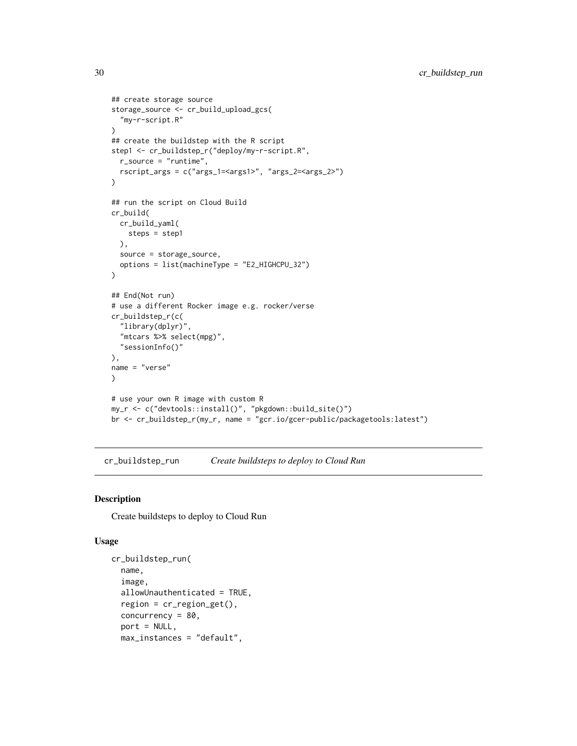```
## create storage source
storage_source <- cr_build_upload_gcs(
  "my-r-script.R"
\lambda## create the buildstep with the R script
step1 <- cr_buildstep_r("deploy/my-r-script.R",
 r_source = "runtime",
  rscript_args = c("args_1=<args1>", "args_2=<args_2>")
\lambda## run the script on Cloud Build
cr_build(
  cr_build_yaml(
    steps = step1
  ),
  source = storage_source,
  options = list(machineType = "E2_HIGHCPU_32")
\mathcal{L}## End(Not run)
# use a different Rocker image e.g. rocker/verse
cr_buildstep_r(c(
  "library(dplyr)",
  "mtcars %>% select(mpg)",
  "sessionInfo()"
),
name = "verse"
)
# use your own R image with custom R
my_r <- c("devtools::install()", "pkgdown::build_site()")
br <- cr_buildstep_r(my_r, name = "gcr.io/gcer-public/packagetools:latest")
```
<span id="page-29-1"></span>cr\_buildstep\_run *Create buildsteps to deploy to Cloud Run*

#### Description

Create buildsteps to deploy to Cloud Run

## Usage

```
cr_buildstep_run(
  name,
  image,
  allowUnauthenticated = TRUE,
  region = cr_region_get(),
  concurrency = 80,
  port = NULL,
  max_instances = "default",
```
<span id="page-29-0"></span>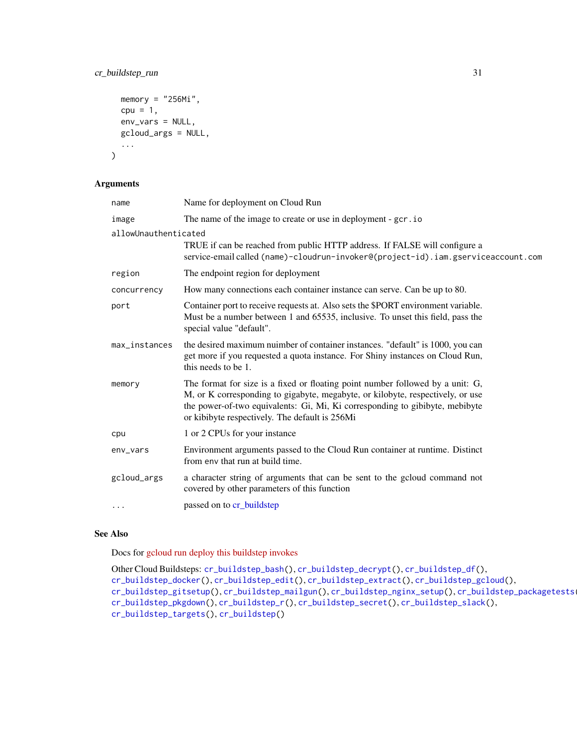# cr\_buildstep\_run 31

```
memory = "256Mi",
 cpu = 1,
 env_vars = NULL,
 gcloud_args = NULL,
  ...
)
```
## Arguments

| name                 | Name for deployment on Cloud Run                                                                                                                                                                                                                                                                   |  |
|----------------------|----------------------------------------------------------------------------------------------------------------------------------------------------------------------------------------------------------------------------------------------------------------------------------------------------|--|
| image                | The name of the image to create or use in deployment - gcr.io                                                                                                                                                                                                                                      |  |
| allowUnauthenticated |                                                                                                                                                                                                                                                                                                    |  |
|                      | TRUE if can be reached from public HTTP address. If FALSE will configure a<br>service-email called (name)-cloudrun-invoker@(project-id).iam.gserviceaccount.com                                                                                                                                    |  |
| region               | The endpoint region for deployment                                                                                                                                                                                                                                                                 |  |
| concurrency          | How many connections each container instance can serve. Can be up to 80.                                                                                                                                                                                                                           |  |
| port                 | Container port to receive requests at. Also sets the \$PORT environment variable.<br>Must be a number between 1 and 65535, inclusive. To unset this field, pass the<br>special value "default".                                                                                                    |  |
| max_instances        | the desired maximum nuimber of container instances. "default" is 1000, you can<br>get more if you requested a quota instance. For Shiny instances on Cloud Run,<br>this needs to be 1.                                                                                                             |  |
| memory               | The format for size is a fixed or floating point number followed by a unit: G,<br>M, or K corresponding to gigabyte, megabyte, or kilobyte, respectively, or use<br>the power-of-two equivalents: Gi, Mi, Ki corresponding to gibibyte, mebibyte<br>or kibibyte respectively. The default is 256Mi |  |
| cpu                  | 1 or 2 CPUs for your instance                                                                                                                                                                                                                                                                      |  |
| env_vars             | Environment arguments passed to the Cloud Run container at runtime. Distinct<br>from env that run at build time.                                                                                                                                                                                   |  |
| gcloud_args          | a character string of arguments that can be sent to the gcloud command not<br>covered by other parameters of this function                                                                                                                                                                         |  |
|                      | passed on to cr_buildstep                                                                                                                                                                                                                                                                          |  |

# See Also

Docs for [gcloud run deploy this buildstep invokes](https://cloud.google.com/sdk/gcloud/reference/run/deploy)

```
Other Cloud Buildsteps: cr_buildstep_bash(), cr_buildstep_decrypt(), cr_buildstep_df(),
cr_buildstep_docker(), cr_buildstep_edit(), cr_buildstep_extract(), cr_buildstep_gcloud(),
cr_buildstep_gitsetup(), cr_buildstep_mailgun(), cr_buildstep_nginx_setup(), cr_buildstep_packagetests(),
cr_buildstep_pkgdown(), cr_buildstep_r(), cr_buildstep_secret(), cr_buildstep_slack(),
cr_buildstep_targets(), cr_buildstep()
```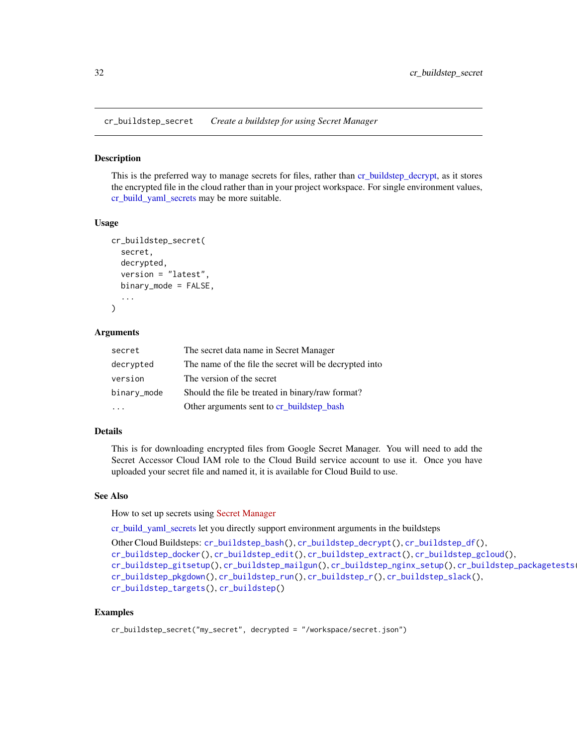<span id="page-31-1"></span><span id="page-31-0"></span>cr\_buildstep\_secret *Create a buildstep for using Secret Manager*

#### Description

This is the preferred way to manage secrets for files, rather than [cr\\_buildstep\\_decrypt,](#page-14-1) as it stores the encrypted file in the cloud rather than in your project workspace. For single environment values, [cr\\_build\\_yaml\\_secrets](#page-66-1) may be more suitable.

#### Usage

```
cr_buildstep_secret(
  secret,
  decrypted,
  version = "latest",
  binary_mode = FALSE,
  ...
)
```
#### Arguments

| secret      | The secret data name in Secret Manager                 |
|-------------|--------------------------------------------------------|
| decrypted   | The name of the file the secret will be decrypted into |
| version     | The version of the secret                              |
| binary_mode | Should the file be treated in binary/raw format?       |
|             | Other arguments sent to cr_buildstep_bash              |

## Details

This is for downloading encrypted files from Google Secret Manager. You will need to add the Secret Accessor Cloud IAM role to the Cloud Build service account to use it. Once you have uploaded your secret file and named it, it is available for Cloud Build to use.

#### See Also

How to set up secrets using [Secret Manager](https://cloud.google.com/build/docs/securing-builds/use-secrets)

[cr\\_build\\_yaml\\_secrets](#page-66-1) let you directly support environment arguments in the buildsteps

```
Other Cloud Buildsteps: cr_buildstep_bash(), cr_buildstep_decrypt(), cr_buildstep_df(),
cr_buildstep_docker(), cr_buildstep_edit(), cr_buildstep_extract(), cr_buildstep_gcloud(),
cr_buildstep_gitsetup(), cr_buildstep_mailgun(), cr_buildstep_nginx_setup(), cr_buildstep_packagetests(),
cr_buildstep_pkgdown(), cr_buildstep_run(), cr_buildstep_r(), cr_buildstep_slack(),
cr_buildstep_targets(), cr_buildstep()
```
## Examples

```
cr_buildstep_secret("my_secret", decrypted = "/workspace/secret.json")
```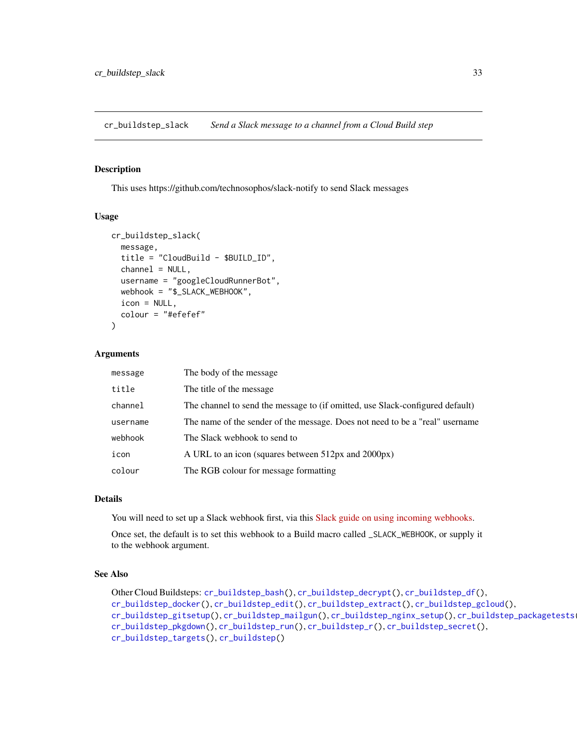<span id="page-32-1"></span><span id="page-32-0"></span>cr\_buildstep\_slack *Send a Slack message to a channel from a Cloud Build step*

#### Description

This uses https://github.com/technosophos/slack-notify to send Slack messages

#### Usage

```
cr_buildstep_slack(
 message,
  title = "CloudBuild - $BUILD_ID",
  channel = NULL,
  username = "googleCloudRunnerBot",
  webhook = "$_SLACK_WEBHOOK",
  icon = NULL,
  colour = "#efefef"
)
```
#### Arguments

| message  | The body of the message                                                       |
|----------|-------------------------------------------------------------------------------|
| title    | The title of the message.                                                     |
| channel  | The channel to send the message to (if omitted, use Slack-configured default) |
| username | The name of the sender of the message. Does not need to be a "real" username  |
| webhook  | The Slack webhook to send to                                                  |
| icon     | A URL to an icon (squares between 512px and 2000px)                           |
| colour   | The RGB colour for message formatting                                         |

#### Details

You will need to set up a Slack webhook first, via this [Slack guide on using incoming webhooks.](https://api.slack.com/messaging/webhooks)

Once set, the default is to set this webhook to a Build macro called \_SLACK\_WEBHOOK, or supply it to the webhook argument.

# See Also

```
Other Cloud Buildsteps: cr_buildstep_bash(), cr_buildstep_decrypt(), cr_buildstep_df(),
cr_buildstep_docker(), cr_buildstep_edit(), cr_buildstep_extract(), cr_buildstep_gcloud(),
cr_buildstep_gitsetup(), cr_buildstep_mailgun(), cr_buildstep_nginx_setup(), cr_buildstep_packagetests(),
cr_buildstep_pkgdown(), cr_buildstep_run(), cr_buildstep_r(), cr_buildstep_secret(),
cr_buildstep_targets(), cr_buildstep()
```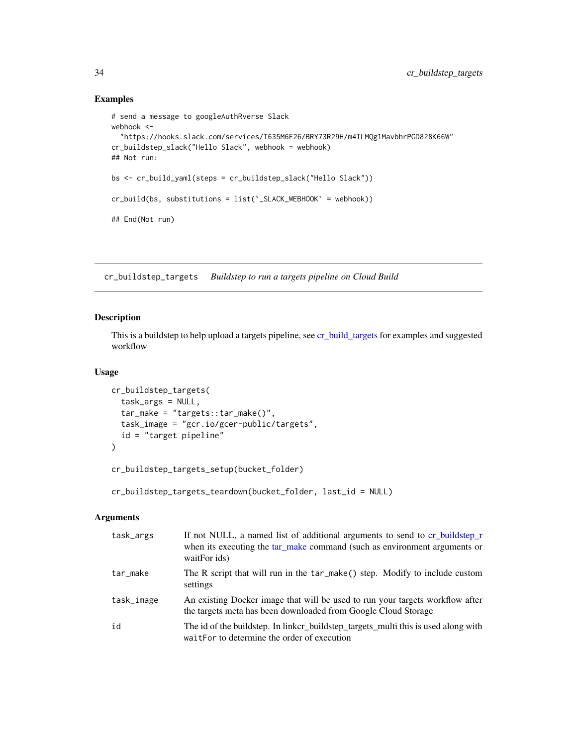# Examples

```
# send a message to googleAuthRverse Slack
webhook <-
  "https://hooks.slack.com/services/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"
cr_buildstep_slack("Hello Slack", webhook = webhook)
## Not run:
bs <- cr_build_yaml(steps = cr_buildstep_slack("Hello Slack"))
cr_build(bs, substitutions = list(`_SLACK_WEBHOOK` = webhook))
## End(Not run)
```
<span id="page-33-1"></span>cr\_buildstep\_targets *Buildstep to run a targets pipeline on Cloud Build*

#### Description

This is a buildstep to help upload a targets pipeline, see [cr\\_build\\_targets](#page-57-1) for examples and suggested workflow

# Usage

```
cr_buildstep_targets(
  task_args = NULL,
  tar_make = "targets::tar_make()",
  task_image = "gcr.io/gcer-public/targets",
  id = "target pipeline"
\mathcal{L}
```
cr\_buildstep\_targets\_setup(bucket\_folder)

cr\_buildstep\_targets\_teardown(bucket\_folder, last\_id = NULL)

# Arguments

| task_args  | If not NULL, a named list of additional arguments to send to cr_buildstep_r<br>when its executing the tar_make command (such as environment arguments or<br>waitFor ids) |
|------------|--------------------------------------------------------------------------------------------------------------------------------------------------------------------------|
| tar_make   | The R script that will run in the tar_make() step. Modify to include custom<br>settings                                                                                  |
| task_image | An existing Docker image that will be used to run your targets workflow after<br>the targets meta has been downloaded from Google Cloud Storage                          |
| id         | The id of the buildstep. In linkcr_buildstep_targets_multi this is used along with<br>waitFor to determine the order of execution                                        |

<span id="page-33-0"></span>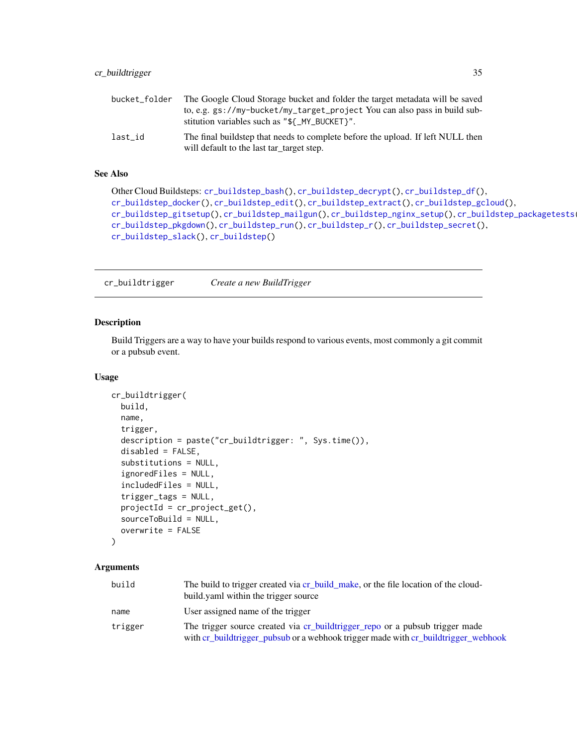<span id="page-34-0"></span>

| bucket folder | The Google Cloud Storage bucket and folder the target metadata will be saved                                                 |
|---------------|------------------------------------------------------------------------------------------------------------------------------|
|               | to, e.g. gs://my-bucket/my_target_project You can also pass in build sub-<br>stitution variables such as "\${_MY_BUCKET}".   |
| last id       | The final buildstep that needs to complete before the upload. If left NULL then<br>will default to the last tar_target step. |

## See Also

```
Other Cloud Buildsteps: cr_buildstep_bash(), cr_buildstep_decrypt(), cr_buildstep_df(),
cr_buildstep_docker(), cr_buildstep_edit(), cr_buildstep_extract(), cr_buildstep_gcloud(),
cr_buildstep_gitsetup(), cr_buildstep_mailgun(), cr_buildstep_nginx_setup(), cr_buildstep_packagetests(),
cr_buildstep_pkgdown(), cr_buildstep_run(), cr_buildstep_r(), cr_buildstep_secret(),
cr_buildstep_slack(), cr_buildstep()
```
<span id="page-34-1"></span>cr\_buildtrigger *Create a new BuildTrigger*

#### Description

Build Triggers are a way to have your builds respond to various events, most commonly a git commit or a pubsub event.

#### Usage

```
cr_buildtrigger(
  build,
  name,
  trigger,
  description = paste("cr_buildtrigger: ", Sys.time()),
  disabled = FALSE,
  substitutions = NULL,
  ignoredFiles = NULL,
  includedFiles = NULL,
  trigger_tags = NULL,
  projectId = cr_project_get(),
  sourceToBuild = NULL,
  overwrite = FALSE
)
```
# Arguments

| build   | The build to trigger created via cr build make, or the file location of the cloud-<br>build vaml within the trigger source                                         |
|---------|--------------------------------------------------------------------------------------------------------------------------------------------------------------------|
| name    | User assigned name of the trigger                                                                                                                                  |
| trigger | The trigger source created via cr_buildtrigger_repo or a pubsub trigger made<br>with cr_buildtrigger_pubsub or a webhook trigger made with cr_buildtrigger_webhook |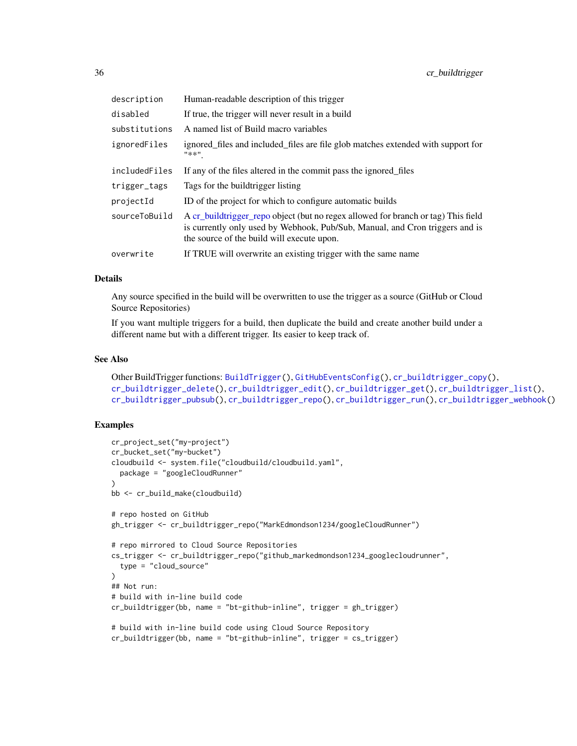| description   | Human-readable description of this trigger                                                                                                                                                                      |
|---------------|-----------------------------------------------------------------------------------------------------------------------------------------------------------------------------------------------------------------|
| disabled      | If true, the trigger will never result in a build                                                                                                                                                               |
| substitutions | A named list of Build macro variables                                                                                                                                                                           |
| ignoredFiles  | ignored files and included files are file glob matches extended with support for<br>"**"                                                                                                                        |
| includedFiles | If any of the files altered in the commit pass the ignored files                                                                                                                                                |
| trigger_tags  | Tags for the buildtrigger listing                                                                                                                                                                               |
| projectId     | ID of the project for which to configure automatic builds                                                                                                                                                       |
| sourceToBuild | A cr_buildtrigger_repo object (but no regex allowed for branch or tag) This field<br>is currently only used by Webhook, Pub/Sub, Manual, and Cron triggers and is<br>the source of the build will execute upon. |
| overwrite     | If TRUE will overwrite an existing trigger with the same name                                                                                                                                                   |

#### Details

Any source specified in the build will be overwritten to use the trigger as a source (GitHub or Cloud Source Repositories)

If you want multiple triggers for a build, then duplicate the build and create another build under a different name but with a different trigger. Its easier to keep track of.

#### See Also

```
Other BuildTrigger functions: BuildTrigger(), GitHubEventsConfig(), cr_buildtrigger_copy(),
cr_buildtrigger_delete(), cr_buildtrigger_edit(), cr_buildtrigger_get(), cr_buildtrigger_list(),
cr_buildtrigger_pubsub(), cr_buildtrigger_repo(), cr_buildtrigger_run(), cr_buildtrigger_webhook()
```
## Examples

```
cr_project_set("my-project")
cr_bucket_set("my-bucket")
cloudbuild <- system.file("cloudbuild/cloudbuild.yaml",
  package = "googleCloudRunner"
)
bb <- cr_build_make(cloudbuild)
# repo hosted on GitHub
gh_trigger <- cr_buildtrigger_repo("MarkEdmondson1234/googleCloudRunner")
# repo mirrored to Cloud Source Repositories
cs_trigger <- cr_buildtrigger_repo("github_markedmondson1234_googlecloudrunner",
  type = "cloud_source"
)
## Not run:
# build with in-line build code
cr_buildtrigger(bb, name = "bt-github-inline", trigger = gh_trigger)
# build with in-line build code using Cloud Source Repository
cr_buildtrigger(bb, name = "bt-github-inline", trigger = cs_trigger)
```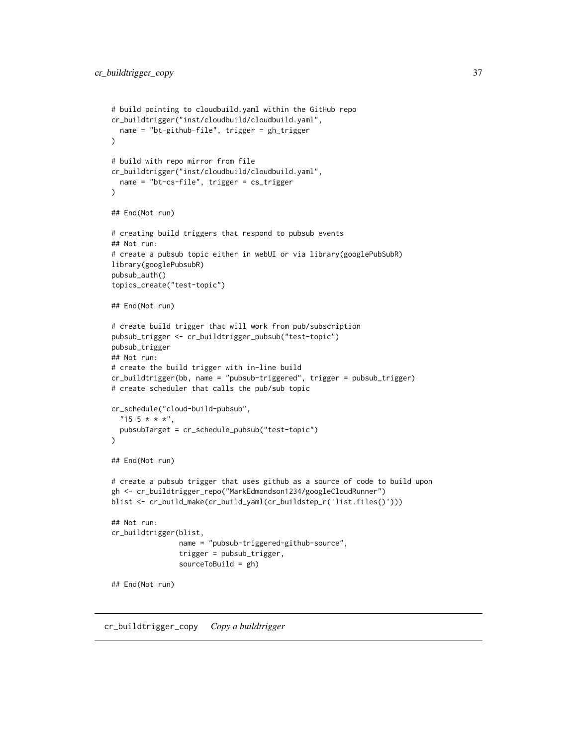```
# build pointing to cloudbuild.yaml within the GitHub repo
cr_buildtrigger("inst/cloudbuild/cloudbuild.yaml",
  name = "bt-github-file", trigger = gh_trigger
)
# build with repo mirror from file
cr_buildtrigger("inst/cloudbuild/cloudbuild.yaml",
  name = "bt-cs-file", trigger = cs_trigger
\lambda## End(Not run)
# creating build triggers that respond to pubsub events
## Not run:
# create a pubsub topic either in webUI or via library(googlePubSubR)
library(googlePubsubR)
pubsub_auth()
topics_create("test-topic")
## End(Not run)
# create build trigger that will work from pub/subscription
pubsub_trigger <- cr_buildtrigger_pubsub("test-topic")
pubsub_trigger
## Not run:
# create the build trigger with in-line build
cr_buildtrigger(bb, name = "pubsub-triggered", trigger = pubsub_trigger)
# create scheduler that calls the pub/sub topic
cr_schedule("cloud-build-pubsub",
  "15 \; 5 \; * \; * \; *"\,,pubsubTarget = cr_schedule_pubsub("test-topic")
\mathcal{L}## End(Not run)
# create a pubsub trigger that uses github as a source of code to build upon
gh <- cr_buildtrigger_repo("MarkEdmondson1234/googleCloudRunner")
blist <- cr_build_make(cr_build_yaml(cr_buildstep_r('list.files()')))
## Not run:
cr_buildtrigger(blist,
                name = "pubsub-triggered-github-source",
                trigger = pubsub_trigger,
                sourceToBuild = gh)
## End(Not run)
```
<span id="page-36-0"></span>cr\_buildtrigger\_copy *Copy a buildtrigger*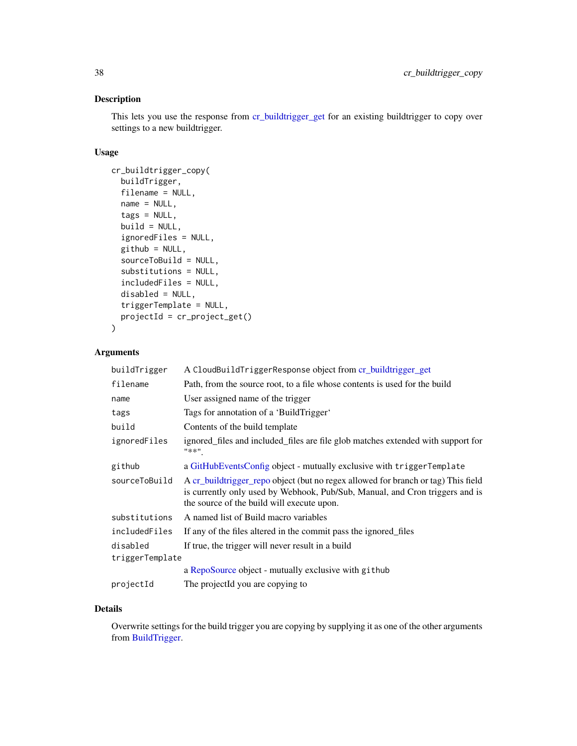# Description

This lets you use the response from [cr\\_buildtrigger\\_get](#page-40-0) for an existing buildtrigger to copy over settings to a new buildtrigger.

# Usage

```
cr_buildtrigger_copy(
  buildTrigger,
  filename = NULL,
  name = NULL,tags = NULL,build = NULL,ignoredFiles = NULL,
  github = NULL,sourceToBuild = NULL,
  substitutions = NULL,
  includedFiles = NULL,
  disabled = NULL,
  triggerTemplate = NULL,
  projectId = cr_project_get()
\lambda
```
# Arguments

| buildTrigger    | A CloudBuildTriggerResponse object from cr_buildtrigger_get                                                                                                                                                     |
|-----------------|-----------------------------------------------------------------------------------------------------------------------------------------------------------------------------------------------------------------|
| filename        | Path, from the source root, to a file whose contents is used for the build                                                                                                                                      |
| name            | User assigned name of the trigger                                                                                                                                                                               |
| tags            | Tags for annotation of a 'BuildTrigger'                                                                                                                                                                         |
| build           | Contents of the build template                                                                                                                                                                                  |
| ignoredFiles    | ignored_files and included_files are file glob matches extended with support for<br>"**"                                                                                                                        |
| github          | a GitHubEventsConfig object - mutually exclusive with triggerTemplate                                                                                                                                           |
| sourceToBuild   | A cr_buildtrigger_repo object (but no regex allowed for branch or tag) This field<br>is currently only used by Webhook, Pub/Sub, Manual, and Cron triggers and is<br>the source of the build will execute upon. |
| substitutions   | A named list of Build macro variables                                                                                                                                                                           |
| includedFiles   | If any of the files altered in the commit pass the ignored files                                                                                                                                                |
| disabled        | If true, the trigger will never result in a build                                                                                                                                                               |
| triggerTemplate |                                                                                                                                                                                                                 |
|                 | a RepoSource object - mutually exclusive with github                                                                                                                                                            |
| projectId       | The projectId you are copying to                                                                                                                                                                                |

# Details

Overwrite settings for the build trigger you are copying by supplying it as one of the other arguments from [BuildTrigger.](#page-5-0)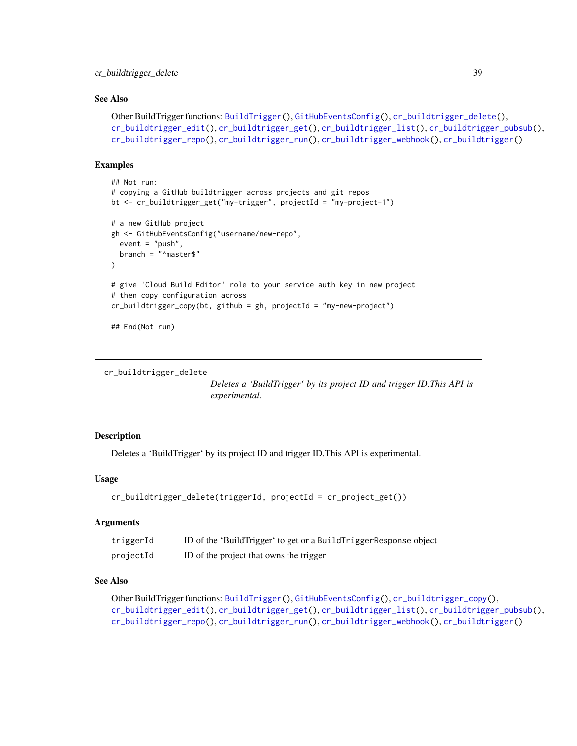### See Also

```
Other BuildTrigger functions: BuildTrigger(), GitHubEventsConfig(), cr_buildtrigger_delete(),
cr_buildtrigger_edit(), cr_buildtrigger_get(), cr_buildtrigger_list(), cr_buildtrigger_pubsub(),
cr_buildtrigger_repo(), cr_buildtrigger_run(), cr_buildtrigger_webhook(), cr_buildtrigger()
```
# Examples

```
## Not run:
# copying a GitHub buildtrigger across projects and git repos
bt <- cr_buildtrigger_get("my-trigger", projectId = "my-project-1")
# a new GitHub project
gh <- GitHubEventsConfig("username/new-repo",
  event = "push",
  branch = "^master$"
\lambda# give 'Cloud Build Editor' role to your service auth key in new project
# then copy configuration across
cr_buildtrigger_copy(bt, github = gh, projectId = "my-new-project")
## End(Not run)
```

```
cr_buildtrigger_delete
```
*Deletes a 'BuildTrigger' by its project ID and trigger ID.This API is experimental.*

# Description

Deletes a 'BuildTrigger' by its project ID and trigger ID.This API is experimental.

# Usage

```
cr_buildtrigger_delete(triggerId, projectId = cr_project_get())
```
# Arguments

| triggerId | ID of the 'BuildTrigger' to get or a BuildTriggerResponse object |
|-----------|------------------------------------------------------------------|
| projectId | ID of the project that owns the trigger                          |

# See Also

```
Other BuildTrigger functions: BuildTrigger(), GitHubEventsConfig(), cr_buildtrigger_copy(),
cr_buildtrigger_edit(), cr_buildtrigger_get(), cr_buildtrigger_list(), cr_buildtrigger_pubsub(),
cr_buildtrigger_repo(), cr_buildtrigger_run(), cr_buildtrigger_webhook(), cr_buildtrigger()
```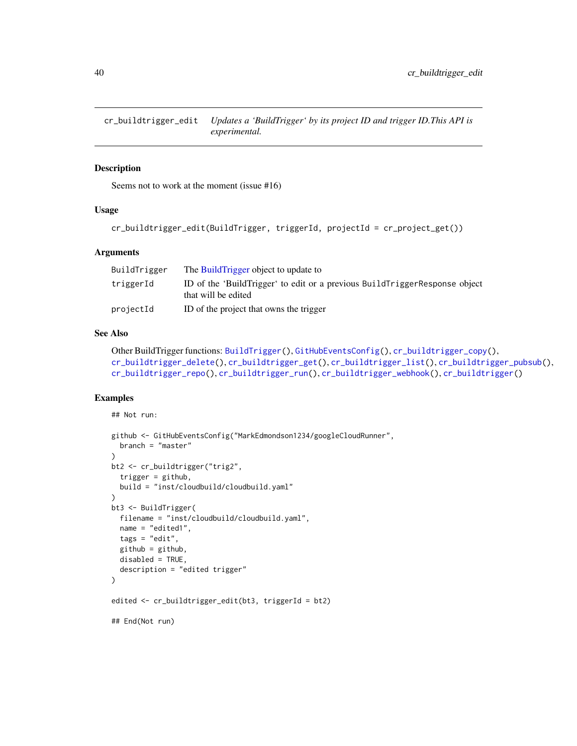<span id="page-39-0"></span>cr\_buildtrigger\_edit *Updates a 'BuildTrigger' by its project ID and trigger ID.This API is experimental.*

#### Description

Seems not to work at the moment (issue #16)

### Usage

```
cr_buildtrigger_edit(BuildTrigger, triggerId, projectId = cr_project_get())
```
### **Arguments**

| BuildTrigger | The Build Trigger object to update to                                                             |
|--------------|---------------------------------------------------------------------------------------------------|
| triggerId    | ID of the 'BuildTrigger' to edit or a previous BuildTriggerResponse object<br>that will be edited |
| projectId    | ID of the project that owns the trigger                                                           |

### See Also

```
Other BuildTrigger functions: BuildTrigger(), GitHubEventsConfig(), cr_buildtrigger_copy(),
cr_buildtrigger_delete(), cr_buildtrigger_get(), cr_buildtrigger_list(), cr_buildtrigger_pubsub(),
cr_buildtrigger_repo(), cr_buildtrigger_run(), cr_buildtrigger_webhook(), cr_buildtrigger()
```

```
## Not run:
```

```
github <- GitHubEventsConfig("MarkEdmondson1234/googleCloudRunner",
  branch = "master"
)
bt2 <- cr_buildtrigger("trig2",
  trigger = github,
  build = "inst/cloudbuild/cloudbuild.yaml"
)
bt3 <- BuildTrigger(
  filename = "inst/cloudbuild/cloudbuild.yaml",
  name = "edited1",
 tags = "edit",
  github = github,disabled = TRUE,
  description = "edited trigger"
\mathcal{L}edited <- cr_buildtrigger_edit(bt3, triggerId = bt2)
## End(Not run)
```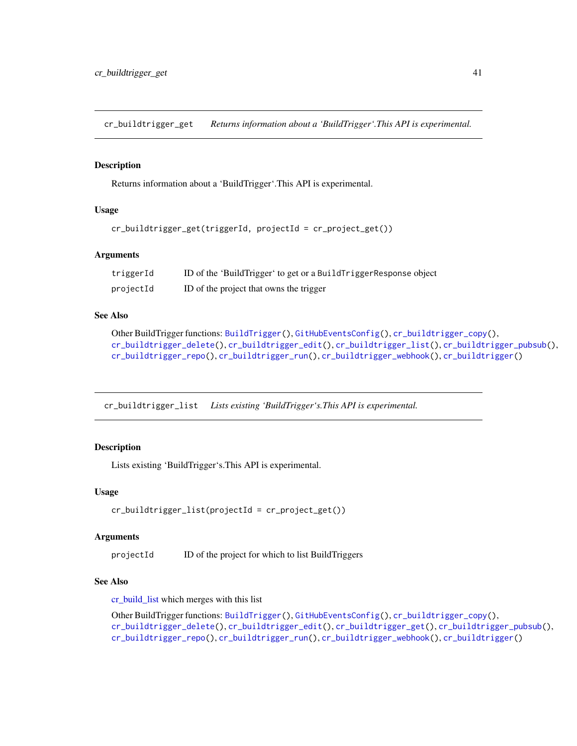<span id="page-40-0"></span>cr\_buildtrigger\_get *Returns information about a 'BuildTrigger'.This API is experimental.*

### Description

Returns information about a 'BuildTrigger'.This API is experimental.

#### Usage

```
cr_buildtrigger_get(triggerId, projectId = cr_project_get())
```
### Arguments

| triggerId | ID of the 'BuildTrigger' to get or a BuildTriggerResponse object |
|-----------|------------------------------------------------------------------|
| projectId | ID of the project that owns the trigger                          |

### See Also

```
Other BuildTrigger functions: BuildTrigger(), GitHubEventsConfig(), cr_buildtrigger_copy(),
cr_buildtrigger_delete(), cr_buildtrigger_edit(), cr_buildtrigger_list(), cr_buildtrigger_pubsub(),
cr_buildtrigger_repo(), cr_buildtrigger_run(), cr_buildtrigger_webhook(), cr_buildtrigger()
```
<span id="page-40-1"></span>cr\_buildtrigger\_list *Lists existing 'BuildTrigger's.This API is experimental.*

### **Description**

Lists existing 'BuildTrigger's.This API is experimental.

#### Usage

```
cr_buildtrigger_list(projectId = cr_project_get())
```
#### Arguments

projectId ID of the project for which to list BuildTriggers

# See Also

[cr\\_build\\_list](#page-45-0) which merges with this list

```
Other BuildTrigger functions: BuildTrigger(), GitHubEventsConfig(), cr_buildtrigger_copy(),
cr_buildtrigger_delete(), cr_buildtrigger_edit(), cr_buildtrigger_get(), cr_buildtrigger_pubsub(),
cr_buildtrigger_repo(), cr_buildtrigger_run(), cr_buildtrigger_webhook(), cr_buildtrigger()
```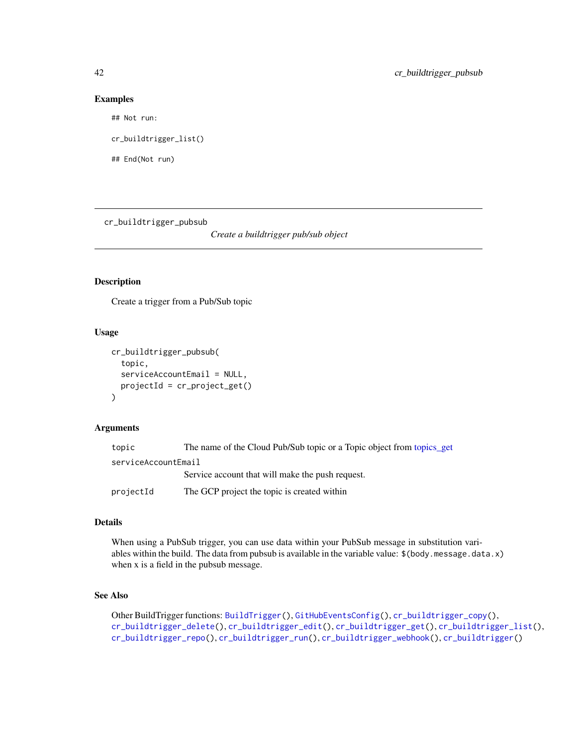#### Examples

## Not run:

cr\_buildtrigger\_list()

## End(Not run)

<span id="page-41-0"></span>cr\_buildtrigger\_pubsub

*Create a buildtrigger pub/sub object*

# Description

Create a trigger from a Pub/Sub topic

#### Usage

```
cr_buildtrigger_pubsub(
  topic,
  serviceAccountEmail = NULL,
 projectId = cr_project_get()
)
```
#### Arguments

| topic               | The name of the Cloud Pub/Sub topic or a Topic object from topics get |
|---------------------|-----------------------------------------------------------------------|
| serviceAccountEmail |                                                                       |
|                     | Service account that will make the push request.                      |
| projectId           | The GCP project the topic is created within                           |

# Details

When using a PubSub trigger, you can use data within your PubSub message in substitution variables within the build. The data from pubsub is available in the variable value: \$(body.message.data.x) when x is a field in the pubsub message.

# See Also

```
Other BuildTrigger functions: BuildTrigger(), GitHubEventsConfig(), cr_buildtrigger_copy(),
cr_buildtrigger_delete(), cr_buildtrigger_edit(), cr_buildtrigger_get(), cr_buildtrigger_list(),
cr_buildtrigger_repo(), cr_buildtrigger_run(), cr_buildtrigger_webhook(), cr_buildtrigger()
```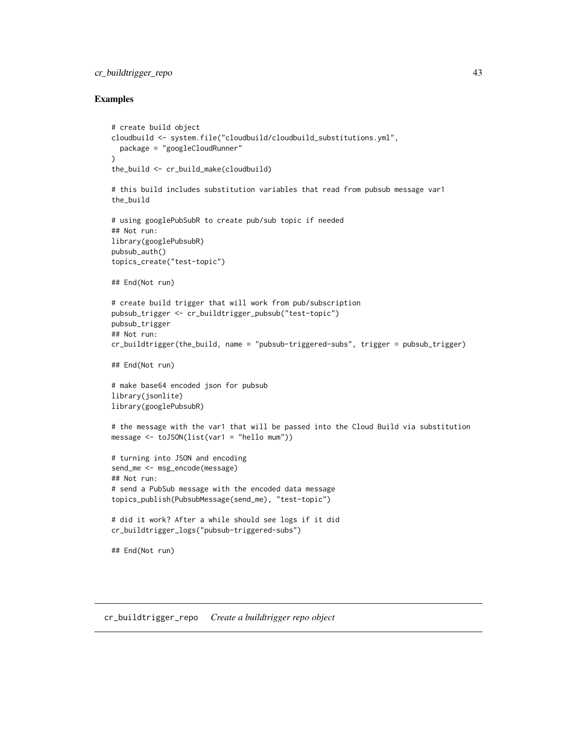# cr\_buildtrigger\_repo 43

### Examples

```
# create build object
cloudbuild <- system.file("cloudbuild/cloudbuild_substitutions.yml",
  package = "googleCloudRunner"
\lambdathe_build <- cr_build_make(cloudbuild)
# this build includes substitution variables that read from pubsub message var1
the_build
# using googlePubSubR to create pub/sub topic if needed
## Not run:
library(googlePubsubR)
pubsub_auth()
topics_create("test-topic")
## End(Not run)
# create build trigger that will work from pub/subscription
pubsub_trigger <- cr_buildtrigger_pubsub("test-topic")
pubsub_trigger
## Not run:
cr_buildtrigger(the_build, name = "pubsub-triggered-subs", trigger = pubsub_trigger)
## End(Not run)
# make base64 encoded json for pubsub
library(jsonlite)
library(googlePubsubR)
# the message with the var1 that will be passed into the Cloud Build via substitution
message <- toJSON(list(var1 = "hello mum"))
# turning into JSON and encoding
send_me <- msg_encode(message)
## Not run:
# send a PubSub message with the encoded data message
topics_publish(PubsubMessage(send_me), "test-topic")
# did it work? After a while should see logs if it did
cr_buildtrigger_logs("pubsub-triggered-subs")
## End(Not run)
```
<span id="page-42-0"></span>cr\_buildtrigger\_repo *Create a buildtrigger repo object*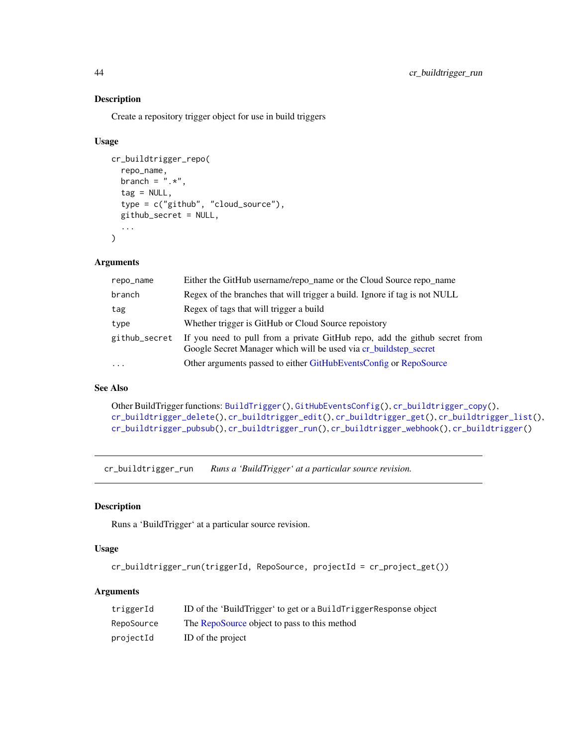# Description

Create a repository trigger object for use in build triggers

### Usage

```
cr_buildtrigger_repo(
  repo_name,
  branch = ".*",
  tag = NULL,type = c("github", "cloud_source"),
  github_secret = NULL,
  ...
\mathcal{L}
```
### Arguments

| repo_name     | Either the GitHub username/repo_name or the Cloud Source repo_name                                                                             |
|---------------|------------------------------------------------------------------------------------------------------------------------------------------------|
| branch        | Regex of the branches that will trigger a build. Ignore if tag is not NULL                                                                     |
| tag           | Regex of tags that will trigger a build                                                                                                        |
| type          | Whether trigger is GitHub or Cloud Source repoistory                                                                                           |
| github_secret | If you need to pull from a private GitHub repo, add the github secret from<br>Google Secret Manager which will be used via cr_buildstep_secret |
| $\cdots$      | Other arguments passed to either GitHubEventsConfig or RepoSource                                                                              |

# See Also

Other BuildTrigger functions: [BuildTrigger\(](#page-5-0)), [GitHubEventsConfig\(](#page-103-0)), [cr\\_buildtrigger\\_copy\(](#page-36-0)), [cr\\_buildtrigger\\_delete\(](#page-38-0)), [cr\\_buildtrigger\\_edit\(](#page-39-0)), [cr\\_buildtrigger\\_get\(](#page-40-0)), [cr\\_buildtrigger\\_list\(](#page-40-1)), [cr\\_buildtrigger\\_pubsub\(](#page-41-0)), [cr\\_buildtrigger\\_run\(](#page-43-0)), [cr\\_buildtrigger\\_webhook\(](#page-44-0)), [cr\\_buildtrigger\(](#page-34-0))

<span id="page-43-0"></span>cr\_buildtrigger\_run *Runs a 'BuildTrigger' at a particular source revision.*

### Description

Runs a 'BuildTrigger' at a particular source revision.

# Usage

```
cr_buildtrigger_run(triggerId, RepoSource, projectId = cr_project_get())
```
### Arguments

| triggerId  | ID of the 'BuildTrigger' to get or a BuildTriggerResponse object |
|------------|------------------------------------------------------------------|
| RepoSource | The RepoSource object to pass to this method                     |
| projectId  | ID of the project                                                |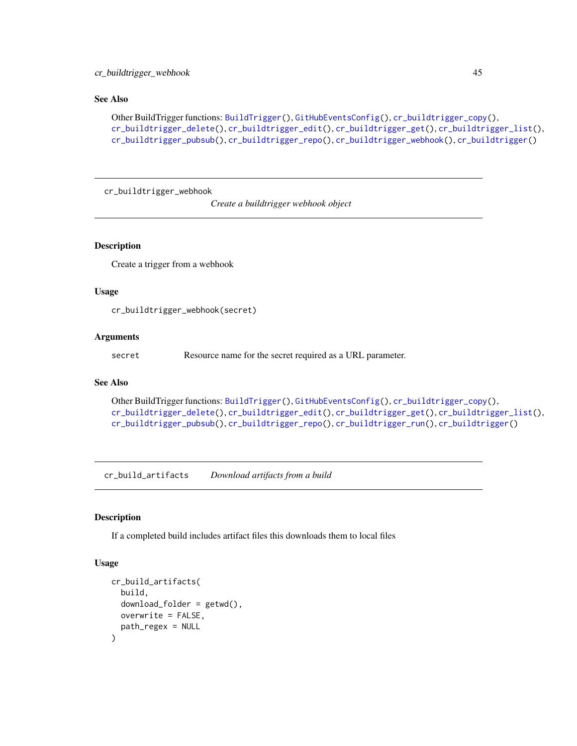# cr\_buildtrigger\_webhook 45

# See Also

```
Other BuildTrigger functions: BuildTrigger(), GitHubEventsConfig(), cr_buildtrigger_copy(),
cr_buildtrigger_delete(), cr_buildtrigger_edit(), cr_buildtrigger_get(), cr_buildtrigger_list(),
cr_buildtrigger_pubsub(), cr_buildtrigger_repo(), cr_buildtrigger_webhook(), cr_buildtrigger()
```
<span id="page-44-0"></span>cr\_buildtrigger\_webhook

*Create a buildtrigger webhook object*

### Description

Create a trigger from a webhook

### Usage

cr\_buildtrigger\_webhook(secret)

### **Arguments**

secret Resource name for the secret required as a URL parameter.

### See Also

```
Other BuildTrigger functions: BuildTrigger(), GitHubEventsConfig(), cr_buildtrigger_copy(),
cr_buildtrigger_delete(), cr_buildtrigger_edit(), cr_buildtrigger_get(), cr_buildtrigger_list(),
cr_buildtrigger_pubsub(), cr_buildtrigger_repo(), cr_buildtrigger_run(), cr_buildtrigger()
```
<span id="page-44-1"></span>cr\_build\_artifacts *Download artifacts from a build*

# Description

If a completed build includes artifact files this downloads them to local files

### Usage

```
cr_build_artifacts(
  build,
  download_folder = getwd(),
  overwrite = FALSE,
  path_regex = NULL
)
```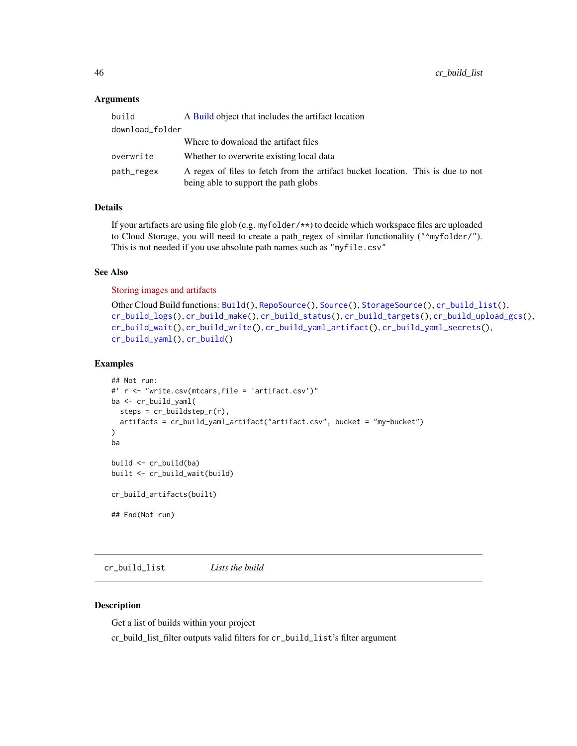### Arguments

| build           | A Build object that includes the artifact location                                                                      |  |
|-----------------|-------------------------------------------------------------------------------------------------------------------------|--|
| download_folder |                                                                                                                         |  |
|                 | Where to download the artifact files                                                                                    |  |
| overwrite       | Whether to overwrite existing local data                                                                                |  |
| path_regex      | A regex of files to fetch from the artifact bucket location. This is due to not<br>being able to support the path globs |  |

# Details

If your artifacts are using file glob (e.g. myfolder/\*\*) to decide which workspace files are uploaded to Cloud Storage, you will need to create a path\_regex of similar functionality ("^myfolder/"). This is not needed if you use absolute path names such as "myfile.csv"

### See Also

[Storing images and artifacts](https://cloud.google.com/build/docs/building/store-build-artifacts)

```
Other Cloud Build functions: Build(), RepoSource(), Source(), StorageSource(), cr_build_list(),
cr_build_logs(), cr_build_make(), cr_build_status(), cr_build_targets(), cr_build_upload_gcs(),
cr_build_wait(), cr_build_write(), cr_build_yaml_artifact(), cr_build_yaml_secrets(),
cr_build_yaml(), cr_build()
```
# Examples

```
## Not run:
#' r <- "write.csv(mtcars,file = 'artifact.csv')"
ba <- cr_build_yaml(
  steps = cr_buildstep_r(r),
  artifacts = cr_build_yaml_artifact("artifact.csv", bucket = "my-bucket")
)
ba
build <- cr_build(ba)
built <- cr_build_wait(build)
cr_build_artifacts(built)
## End(Not run)
```
<span id="page-45-0"></span>cr\_build\_list *Lists the build*

# Description

Get a list of builds within your project

cr\_build\_list\_filter outputs valid filters for cr\_build\_list's filter argument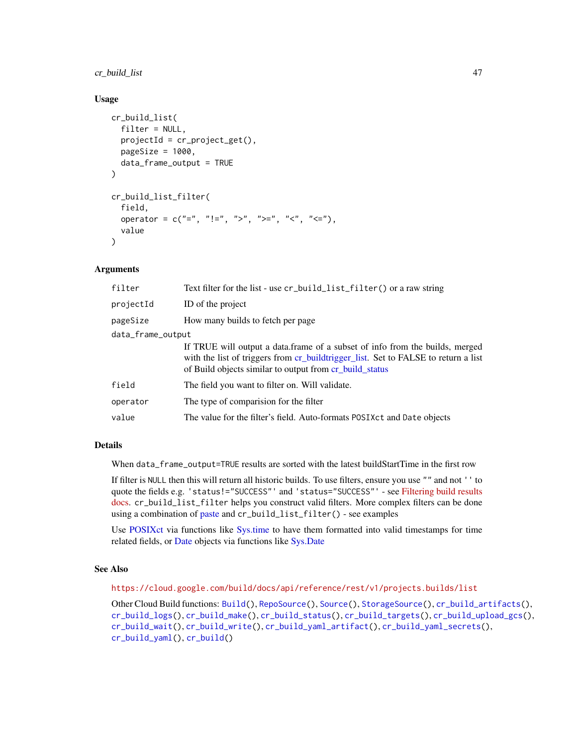# cr\_build\_list 47

### Usage

```
cr_build_list(
  filter = NULL,
  projectId = cr_project_get(),
  pageSize = 1000,
  data_frame_output = TRUE
\lambdacr_build_list_filter(
  field,
  operator = c("="", " !=", " >", " >="", " < " < " , " <=" "value
\lambda
```
## Arguments

| filter            | Text filter for the list - use cr_build_list_filter() or a raw string                                                                                                                                                         |  |
|-------------------|-------------------------------------------------------------------------------------------------------------------------------------------------------------------------------------------------------------------------------|--|
| projectId         | ID of the project                                                                                                                                                                                                             |  |
| pageSize          | How many builds to fetch per page                                                                                                                                                                                             |  |
| data_frame_output |                                                                                                                                                                                                                               |  |
|                   | If TRUE will output a data frame of a subset of info from the builds, merged<br>with the list of triggers from cr_buildtrigger_list. Set to FALSE to return a list<br>of Build objects similar to output from cr_build_status |  |
| field             | The field you want to filter on. Will validate.                                                                                                                                                                               |  |
| operator          | The type of comparision for the filter                                                                                                                                                                                        |  |
| value             | The value for the filter's field. Auto-formats POSIX ct and Date objects                                                                                                                                                      |  |
|                   |                                                                                                                                                                                                                               |  |

# Details

When data\_frame\_output=TRUE results are sorted with the latest buildStartTime in the first row

If filter is NULL then this will return all historic builds. To use filters, ensure you use "" and not '' to quote the fields e.g. 'status!="SUCCESS"' and 'status="SUCCESS"' - see [Filtering build results](https://cloud.google.com/build/docs/view-build-results#filtering_build_results_using_queries) [docs.](https://cloud.google.com/build/docs/view-build-results#filtering_build_results_using_queries) cr\_build\_list\_filter helps you construct valid filters. More complex filters can be done using a combination of [paste](#page-0-0) and cr\_build\_list\_filter() - see examples

Use [POSIXct](#page-0-0) via functions like [Sys.time](#page-0-0) to have them formatted into valid timestamps for time related fields, or [Date](#page-0-0) objects via functions like [Sys.Date](#page-0-0)

#### See Also

<https://cloud.google.com/build/docs/api/reference/rest/v1/projects.builds/list>

Other Cloud Build functions: [Build\(](#page-3-0)), [RepoSource\(](#page-108-0)), [Source\(](#page-109-0)), [StorageSource\(](#page-110-0)), [cr\\_build\\_artifacts\(](#page-44-1)), [cr\\_build\\_logs\(](#page-48-0)), [cr\\_build\\_make\(](#page-49-0)), [cr\\_build\\_status\(](#page-56-0)), [cr\\_build\\_targets\(](#page-57-0)), [cr\\_build\\_upload\\_gcs\(](#page-60-0)), [cr\\_build\\_wait\(](#page-62-0)), [cr\\_build\\_write\(](#page-62-1)), [cr\\_build\\_yaml\\_artifact\(](#page-65-0)), [cr\\_build\\_yaml\\_secrets\(](#page-66-0)), [cr\\_build\\_yaml\(](#page-63-0)), [cr\\_build\(](#page-7-0))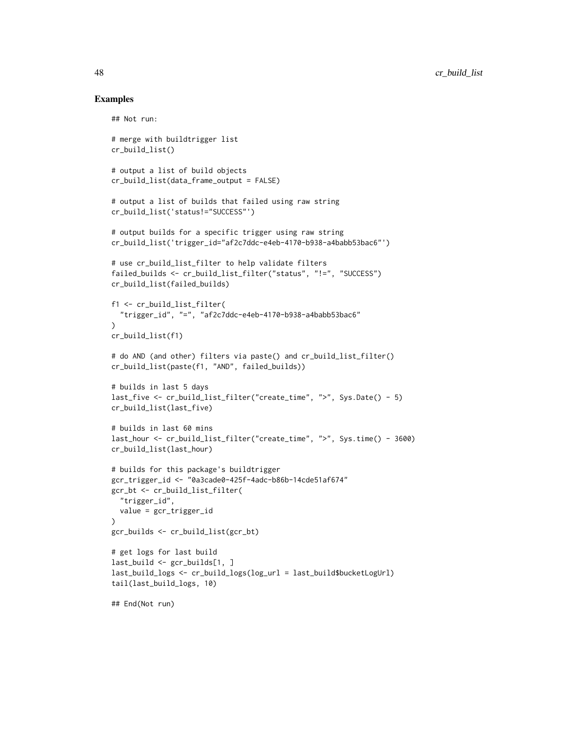```
## Not run:
# merge with buildtrigger list
cr_build_list()
# output a list of build objects
cr_build_list(data_frame_output = FALSE)
# output a list of builds that failed using raw string
cr_build_list('status!="SUCCESS"')
# output builds for a specific trigger using raw string
cr_build_list('trigger_id="af2c7ddc-e4eb-4170-b938-a4babb53bac6"')
# use cr_build_list_filter to help validate filters
failed_builds <- cr_build_list_filter("status", "!=", "SUCCESS")
cr_build_list(failed_builds)
f1 <- cr_build_list_filter(
  "trigger_id", "=", "af2c7ddc-e4eb-4170-b938-a4babb53bac6"
\lambdacr_build_list(f1)
# do AND (and other) filters via paste() and cr_build_list_filter()
cr_build_list(paste(f1, "AND", failed_builds))
# builds in last 5 days
last_five <- cr_build_list_filter("create_time", ">", Sys.Date() - 5)
cr_build_list(last_five)
# builds in last 60 mins
last_hour <- cr_build_list_filter("create_time", ">", Sys.time() - 3600)
cr_build_list(last_hour)
# builds for this package's buildtrigger
gcr_trigger_id <- "0a3cade0-425f-4adc-b86b-14cde51af674"
gcr_bt <- cr_build_list_filter(
  "trigger_id",
  value = gcr_trigger_id
\lambdagcr_builds <- cr_build_list(gcr_bt)
# get logs for last build
last_build <- gcr_builds[1, ]
last_build_logs <- cr_build_logs(log_url = last_build$bucketLogUrl)
tail(last_build_logs, 10)
## End(Not run)
```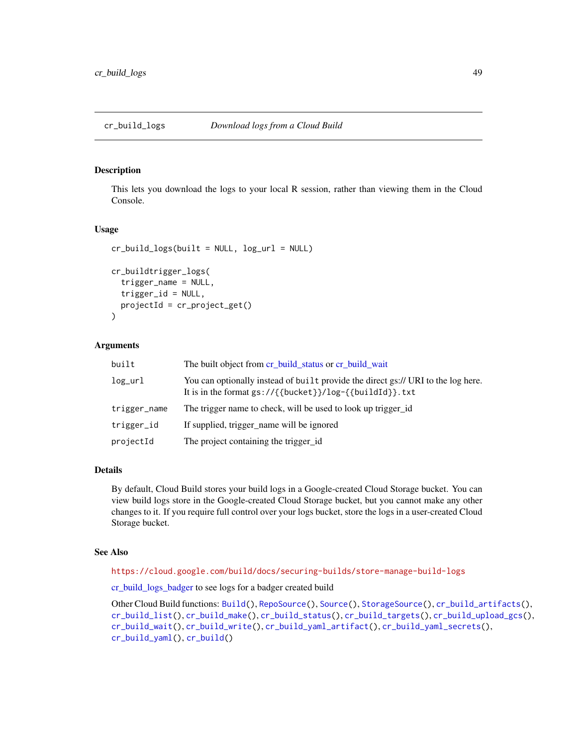# <span id="page-48-1"></span><span id="page-48-0"></span>Description

This lets you download the logs to your local R session, rather than viewing them in the Cloud Console.

#### Usage

```
cr_build_logs(built = NULL, log_url = NULL)
cr_buildtrigger_logs(
  trigger_name = NULL,
  trigger_id = NULL,
  projectId = cr_project_get()
)
```
### Arguments

| built        | The built object from cr_build_status or cr_build_wait                                                                                                      |
|--------------|-------------------------------------------------------------------------------------------------------------------------------------------------------------|
| log_url      | You can optionally instead of built provide the direct gs:// URI to the log here.<br>It is in the format $gs://{\text{bucket}}}/log-{\text{fluidId}}$ . txt |
| trigger_name | The trigger name to check, will be used to look up trigger id                                                                                               |
| trigger_id   | If supplied, trigger_name will be ignored                                                                                                                   |
| projectId    | The project containing the trigger_id                                                                                                                       |

#### Details

By default, Cloud Build stores your build logs in a Google-created Cloud Storage bucket. You can view build logs store in the Google-created Cloud Storage bucket, but you cannot make any other changes to it. If you require full control over your logs bucket, store the logs in a user-created Cloud Storage bucket.

### See Also

<https://cloud.google.com/build/docs/securing-builds/store-manage-build-logs>

[cr\\_build\\_logs\\_badger](#page-67-0) to see logs for a badger created build

Other Cloud Build functions: [Build\(](#page-3-0)), [RepoSource\(](#page-108-0)), [Source\(](#page-109-0)), [StorageSource\(](#page-110-0)), [cr\\_build\\_artifacts\(](#page-44-1)), [cr\\_build\\_list\(](#page-45-0)), [cr\\_build\\_make\(](#page-49-0)), [cr\\_build\\_status\(](#page-56-0)), [cr\\_build\\_targets\(](#page-57-0)), [cr\\_build\\_upload\\_gcs\(](#page-60-0)), [cr\\_build\\_wait\(](#page-62-0)), [cr\\_build\\_write\(](#page-62-1)), [cr\\_build\\_yaml\\_artifact\(](#page-65-0)), [cr\\_build\\_yaml\\_secrets\(](#page-66-0)), [cr\\_build\\_yaml\(](#page-63-0)), [cr\\_build\(](#page-7-0))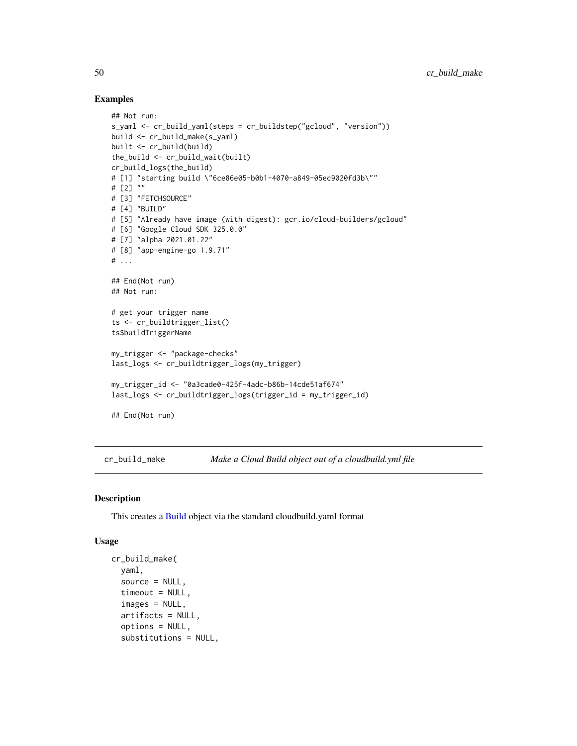### Examples

```
## Not run:
s_yaml <- cr_build_yaml(steps = cr_buildstep("gcloud", "version"))
build <- cr_build_make(s_yaml)
built <- cr_build(build)
the_build <- cr_build_wait(built)
cr_build_logs(the_build)
# [1] "starting build \"6ce86e05-b0b1-4070-a849-05ec9020fd3b\""
# [2] ""
# [3] "FETCHSOURCE"
# [4] "BUILD"
# [5] "Already have image (with digest): gcr.io/cloud-builders/gcloud"
# [6] "Google Cloud SDK 325.0.0"
# [7] "alpha 2021.01.22"
# [8] "app-engine-go 1.9.71"
# ...
## End(Not run)
## Not run:
# get your trigger name
ts <- cr_buildtrigger_list()
ts$buildTriggerName
my_trigger <- "package-checks"
last_logs <- cr_buildtrigger_logs(my_trigger)
my_trigger_id <- "0a3cade0-425f-4adc-b86b-14cde51af674"
last_logs <- cr_buildtrigger_logs(trigger_id = my_trigger_id)
## End(Not run)
```
<span id="page-49-0"></span>cr\_build\_make *Make a Cloud Build object out of a cloudbuild.yml file*

#### Description

This creates a [Build](#page-3-0) object via the standard cloudbuild.yaml format

### Usage

```
cr_build_make(
  yaml,
  source = NULL,
  timeout = NULL,
  images = NULL,
  artifacts = NULL,
  options = NULL,
  substitutions = NULL,
```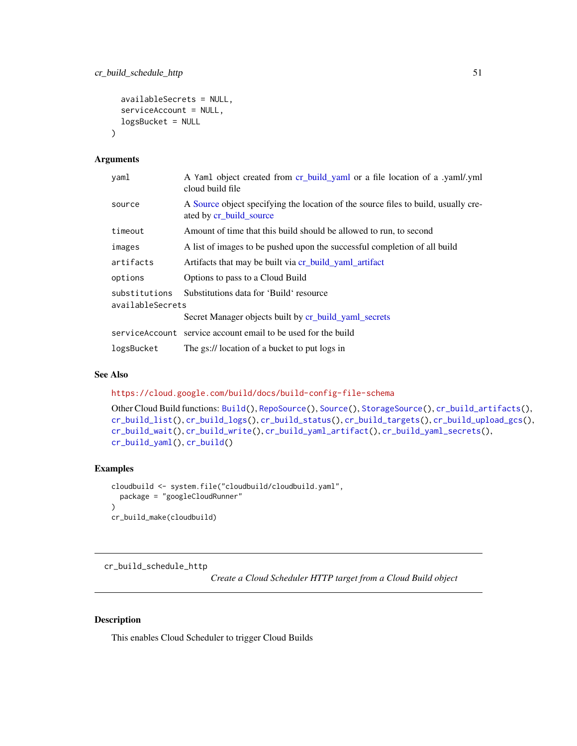```
availableSecrets = NULL,
  serviceAccount = NULL,
  logsBucket = NULL
\lambda
```
#### Arguments

| yaml                              | A Yaml object created from cr_build_yaml or a file location of a .yaml/.yml<br>cloud build file               |
|-----------------------------------|---------------------------------------------------------------------------------------------------------------|
| source                            | A Source object specifying the location of the source files to build, usually cre-<br>ated by cr_build_source |
| timeout                           | Amount of time that this build should be allowed to run, to second                                            |
| images                            | A list of images to be pushed upon the successful completion of all build                                     |
| artifacts                         | Artifacts that may be built via cr_build_yaml_artifact                                                        |
| options                           | Options to pass to a Cloud Build                                                                              |
| substitutions<br>availableSecrets | Substitutions data for 'Build' resource                                                                       |
|                                   | Secret Manager objects built by cr_build_yaml_secrets                                                         |
|                                   | serviceAccount service account email to be used for the build                                                 |
| logsBucket                        | The gs:// location of a bucket to put logs in                                                                 |

### See Also

<https://cloud.google.com/build/docs/build-config-file-schema>

```
Other Cloud Build functions: Build(), RepoSource(), Source(), StorageSource(), cr_build_artifacts(),
cr_build_list(), cr_build_logs(), cr_build_status(), cr_build_targets(), cr_build_upload_gcs(),
cr_build_wait(), cr_build_write(), cr_build_yaml_artifact(), cr_build_yaml_secrets(),
cr_build_yaml(), cr_build()
```
#### Examples

```
cloudbuild <- system.file("cloudbuild/cloudbuild.yaml",
  package = "googleCloudRunner"
\mathcal{L}cr_build_make(cloudbuild)
```
cr\_build\_schedule\_http

*Create a Cloud Scheduler HTTP target from a Cloud Build object*

# <span id="page-50-0"></span>Description

This enables Cloud Scheduler to trigger Cloud Builds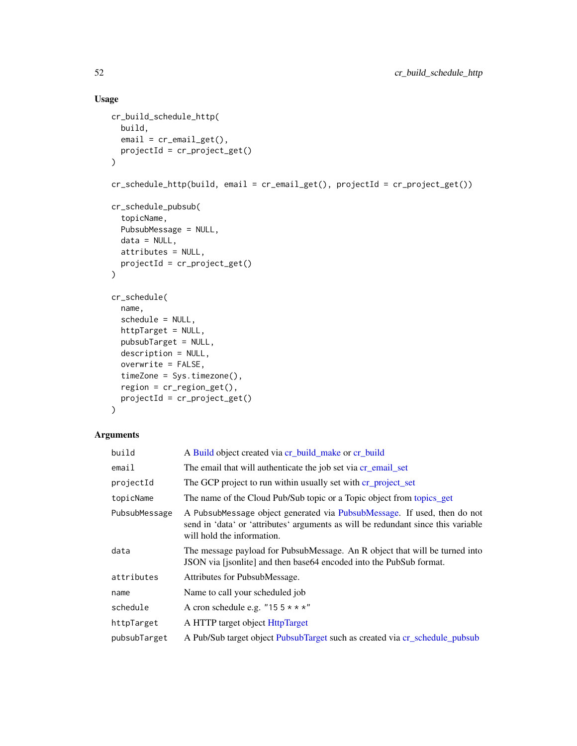# Usage

```
cr_build_schedule_http(
  build,
  email = cr_{email\_get(),}projectId = cr_project_get()
\mathcal{L}cr_schedule_http(build, email = cr_email_get(), projectId = cr_project_get())
cr_schedule_pubsub(
  topicName,
  PubsubMessage = NULL,
  data = NULL,attributes = NULL,
  projectId = cr_project_get()
)
cr_schedule(
  name,
  schedule = NULL,
  httpTarget = NULL,
  pubsubTarget = NULL,
  description = NULL,
  overwrite = FALSE,
  timeZone = Sys.timezone(),
  region = cr_region_get(),
  projectId = cr_project_get()
\mathcal{L}
```
# Arguments

| build         | A Build object created via cr_build_make or cr_build                                                                                                                                        |
|---------------|---------------------------------------------------------------------------------------------------------------------------------------------------------------------------------------------|
| email         | The email that will authenticate the job set via cr_email_set                                                                                                                               |
| projectId     | The GCP project to run within usually set with cr_project_set                                                                                                                               |
| topicName     | The name of the Cloud Pub/Sub topic or a Topic object from topics_get                                                                                                                       |
| PubsubMessage | A PubsubMessage object generated via PubsubMessage. If used, then do not<br>send in 'data' or 'attributes' arguments as will be redundant since this variable<br>will hold the information. |
| data          | The message payload for PubsubMessage. An R object that will be turned into<br>JSON via [jsonlite] and then base64 encoded into the PubSub format.                                          |
| attributes    | Attributes for PubsubMessage.                                                                                                                                                               |
| name          | Name to call your scheduled job                                                                                                                                                             |
| schedule      | A cron schedule e.g. "15 $5 \times \times \times$ "                                                                                                                                         |
| httpTarget    | A HTTP target object HttpTarget                                                                                                                                                             |
| pubsubTarget  | A Pub/Sub target object PubsubTarget such as created via cr_schedule_pubsub                                                                                                                 |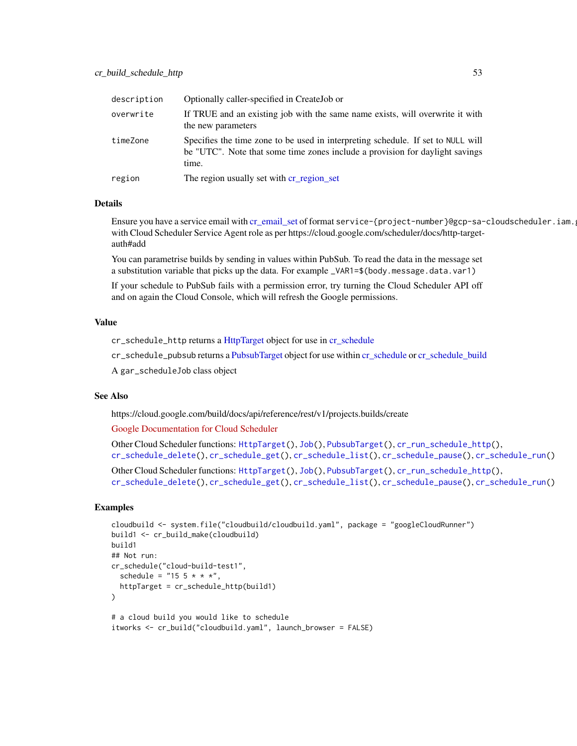| description | Optionally caller-specified in CreateJob or                                                                                                                               |
|-------------|---------------------------------------------------------------------------------------------------------------------------------------------------------------------------|
| overwrite   | If TRUE and an existing job with the same name exists, will overwrite it with<br>the new parameters                                                                       |
| timeZone    | Specifies the time zone to be used in interpreting schedule. If set to NULL will<br>be "UTC". Note that some time zones include a provision for daylight savings<br>time. |
| region      | The region usually set with cr_region_set                                                                                                                                 |

#### Details

Ensure you have a service email with [cr\\_email\\_set](#page-84-0) of format service-{project-number}@gcp-sa-cloudscheduler.iam. with Cloud Scheduler Service Agent role as per https://cloud.google.com/scheduler/docs/http-targetauth#add

You can parametrise builds by sending in values within PubSub. To read the data in the message set a substitution variable that picks up the data. For example \_VAR1=\$(body.message.data.var1)

If your schedule to PubSub fails with a permission error, try turning the Cloud Scheduler API off and on again the Cloud Console, which will refresh the Google permissions.

#### Value

cr\_schedule\_http returns a [HttpTarget](#page-104-0) object for use in [cr\\_schedule](#page-50-0)

cr\_schedule\_pubsub returns a [PubsubTarget](#page-107-0) object for use within [cr\\_schedule](#page-50-0) or [cr\\_schedule\\_build](#page-95-0)

A gar\_scheduleJob class object

### See Also

https://cloud.google.com/build/docs/api/reference/rest/v1/projects.builds/create

[Google Documentation for Cloud Scheduler](https://cloud.google.com/scheduler/docs/reference/rest/v1/projects.locations.jobs/create)

Other Cloud Scheduler functions: [HttpTarget\(](#page-104-0)), [Job\(](#page-105-0)), [PubsubTarget\(](#page-107-0)), [cr\\_run\\_schedule\\_http\(](#page-93-0)), [cr\\_schedule\\_delete\(](#page-96-0)), [cr\\_schedule\\_get\(](#page-97-0)), [cr\\_schedule\\_list\(](#page-97-1)), [cr\\_schedule\\_pause\(](#page-98-0)), [cr\\_schedule\\_run\(](#page-99-0))

Other Cloud Scheduler functions: [HttpTarget\(](#page-104-0)), [Job\(](#page-105-0)), [PubsubTarget\(](#page-107-0)), [cr\\_run\\_schedule\\_http\(](#page-93-0)), [cr\\_schedule\\_delete\(](#page-96-0)), [cr\\_schedule\\_get\(](#page-97-0)), [cr\\_schedule\\_list\(](#page-97-1)), [cr\\_schedule\\_pause\(](#page-98-0)), [cr\\_schedule\\_run\(](#page-99-0))

```
cloudbuild <- system.file("cloudbuild/cloudbuild.yaml", package = "googleCloudRunner")
build1 <- cr_build_make(cloudbuild)
build1
## Not run:
cr_schedule("cloud-build-test1",
  schedule = "15 \; 5 \; * \; * \; *",httpTarget = cr_schedule_http(build1)
)
# a cloud build you would like to schedule
```

```
itworks <- cr_build("cloudbuild.yaml", launch_browser = FALSE)
```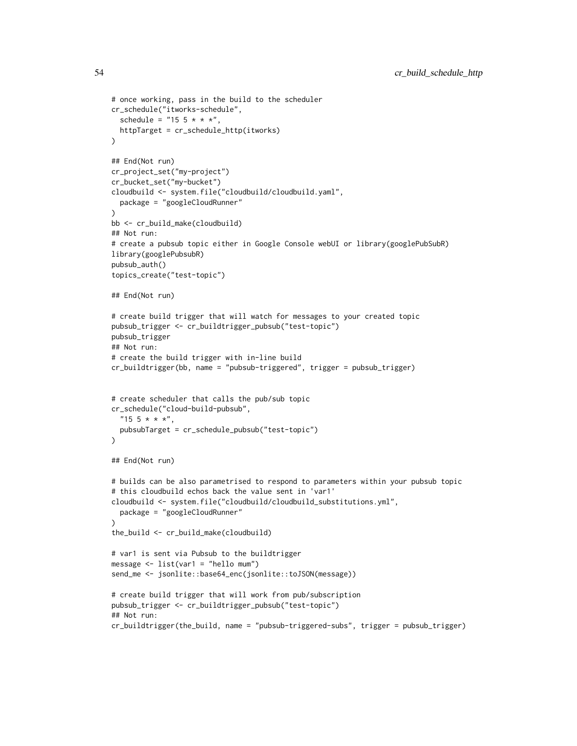```
# once working, pass in the build to the scheduler
cr_schedule("itworks-schedule",
  schedule = "15 \; 5 \; * \; * \; *",
  httpTarget = cr_schedule_http(itworks)
\lambda## End(Not run)
cr_project_set("my-project")
cr_bucket_set("my-bucket")
cloudbuild <- system.file("cloudbuild/cloudbuild.yaml",
  package = "googleCloudRunner"
)
bb <- cr_build_make(cloudbuild)
## Not run:
# create a pubsub topic either in Google Console webUI or library(googlePubSubR)
library(googlePubsubR)
pubsub_auth()
topics_create("test-topic")
## End(Not run)
# create build trigger that will watch for messages to your created topic
pubsub_trigger <- cr_buildtrigger_pubsub("test-topic")
pubsub_trigger
## Not run:
# create the build trigger with in-line build
cr_buildtrigger(bb, name = "pubsub-triggered", trigger = pubsub_trigger)
# create scheduler that calls the pub/sub topic
cr_schedule("cloud-build-pubsub",
  "15 \; 5 \; * \; * \; *"\,,pubsubTarget = cr_schedule_pubsub("test-topic")
\mathcal{L}## End(Not run)
# builds can be also parametrised to respond to parameters within your pubsub topic
# this cloudbuild echos back the value sent in 'var1'
cloudbuild <- system.file("cloudbuild/cloudbuild_substitutions.yml",
  package = "googleCloudRunner"
)
the_build <- cr_build_make(cloudbuild)
# var1 is sent via Pubsub to the buildtrigger
message \le list(var1 = "hello mum")
send_me <- jsonlite::base64_enc(jsonlite::toJSON(message))
# create build trigger that will work from pub/subscription
pubsub_trigger <- cr_buildtrigger_pubsub("test-topic")
## Not run:
cr_buildtrigger(the_build, name = "pubsub-triggered-subs", trigger = pubsub_trigger)
```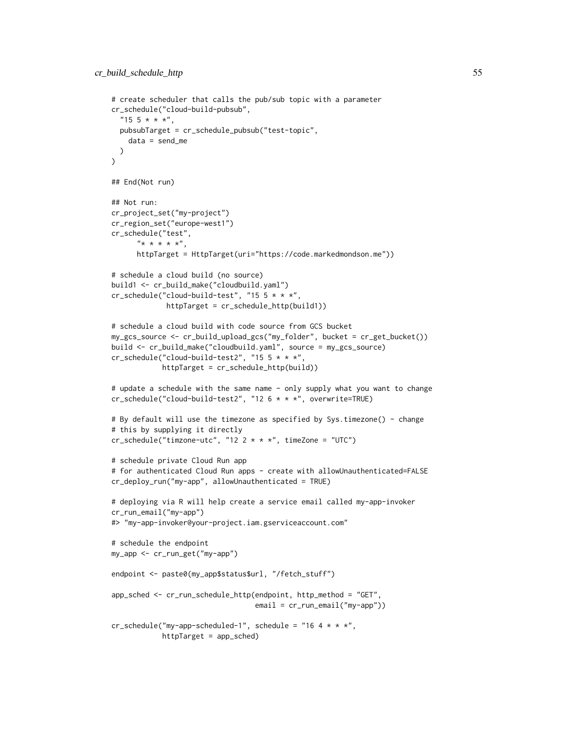```
# create scheduler that calls the pub/sub topic with a parameter
cr_schedule("cloud-build-pubsub",
  "15 \; 5 \; * \; * \; *",pubsubTarget = cr_schedule_pubsub("test-topic",
   data = send_me
  )
\lambda## End(Not run)
## Not run:
cr_project_set("my-project")
cr_region_set("europe-west1")
cr_schedule("test",
      "******",
      httpTarget = HttpTarget(uri="https://code.markedmondson.me"))
# schedule a cloud build (no source)
build1 <- cr_build_make("cloudbuild.yaml")
cr_schedule("cloud-build-test", "15 5 * * *",
             httpTarget = cr_schedule_http(build1))
# schedule a cloud build with code source from GCS bucket
my_gcs_source <- cr_build_upload_gcs("my_folder", bucket = cr_get_bucket())
build <- cr_build_make("cloudbuild.yaml", source = my_gcs_source)
cr_schedule("cloud-build-test2", "15 5 * * *",
            httpTarget = cr_schedule_http(build))
# update a schedule with the same name - only supply what you want to change
cr_schedule("cloud-build-test2", "12 6 * * *", overwrite=TRUE)
# By default will use the timezone as specified by Sys.timezone() - change
# this by supplying it directly
cr_schedule("timzone-utc", "12 2 * * *", timeZone = "UTC")
# schedule private Cloud Run app
# for authenticated Cloud Run apps - create with allowUnauthenticated=FALSE
cr_deploy_run("my-app", allowUnauthenticated = TRUE)
# deploying via R will help create a service email called my-app-invoker
cr_run_email("my-app")
#> "my-app-invoker@your-project.iam.gserviceaccount.com"
# schedule the endpoint
my_app <- cr_run_get("my-app")
endpoint <- paste0(my_app$status$url, "/fetch_stuff")
app_sched <- cr_run_schedule_http(endpoint, http_method = "GET",
                                  email = cr_run_email("my-app"))
cr_schedule("my-app-scheduled-1", schedule = "16 4 * * *",
            httpTarget = app_sched)
```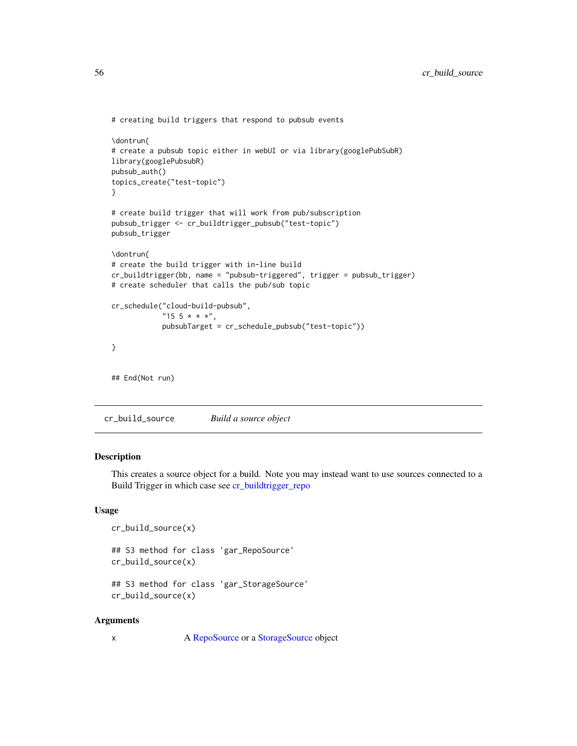```
# creating build triggers that respond to pubsub events
\dontrun{
# create a pubsub topic either in webUI or via library(googlePubSubR)
library(googlePubsubR)
pubsub_auth()
topics_create("test-topic")
}
# create build trigger that will work from pub/subscription
pubsub_trigger <- cr_buildtrigger_pubsub("test-topic")
pubsub_trigger
\dontrun{
# create the build trigger with in-line build
cr_buildtrigger(bb, name = "pubsub-triggered", trigger = pubsub_trigger)
# create scheduler that calls the pub/sub topic
cr_schedule("cloud-build-pubsub",
            "15 \; 5 \; * \; * \; *",pubsubTarget = cr_schedule_pubsub("test-topic"))
}
## End(Not run)
```
<span id="page-55-0"></span>cr\_build\_source *Build a source object*

#### Description

This creates a source object for a build. Note you may instead want to use sources connected to a Build Trigger in which case see [cr\\_buildtrigger\\_repo](#page-42-0)

# Usage

```
cr_build_source(x)
## S3 method for class 'gar_RepoSource'
cr_build_source(x)
## S3 method for class 'gar_StorageSource'
cr_build_source(x)
```
#### Arguments

x A [RepoSource](#page-108-0) or a [StorageSource](#page-110-0) object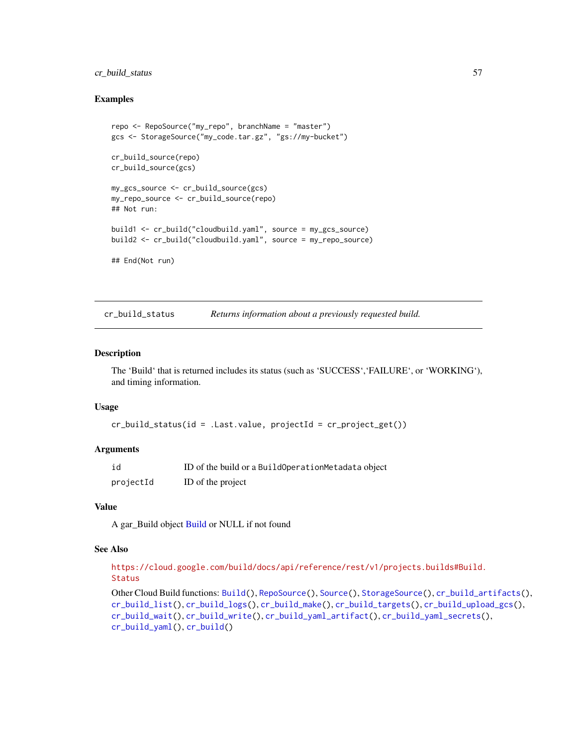# cr\_build\_status 57

### Examples

```
repo <- RepoSource("my_repo", branchName = "master")
gcs <- StorageSource("my_code.tar.gz", "gs://my-bucket")
cr_build_source(repo)
cr_build_source(gcs)
my_gcs_source <- cr_build_source(gcs)
my_repo_source <- cr_build_source(repo)
## Not run:
build1 <- cr_build("cloudbuild.yaml", source = my_gcs_source)
build2 <- cr_build("cloudbuild.yaml", source = my_repo_source)
## End(Not run)
```
<span id="page-56-0"></span>cr\_build\_status *Returns information about a previously requested build.*

#### Description

The 'Build' that is returned includes its status (such as 'SUCCESS','FAILURE', or 'WORKING'), and timing information.

#### Usage

```
cr_build_status(id = .Last.value, projectId = cr_project_get())
```
#### Arguments

| id        | ID of the build or a BuildOperationMetadata object |
|-----------|----------------------------------------------------|
| projectId | ID of the project                                  |

#### Value

A gar\_Build object [Build](#page-3-0) or NULL if not found

#### See Also

[https://cloud.google.com/build/docs/api/reference/rest/v1/projects.builds#Build.](https://cloud.google.com/build/docs/api/reference/rest/v1/projects.builds#Build.Status) [Status](https://cloud.google.com/build/docs/api/reference/rest/v1/projects.builds#Build.Status)

Other Cloud Build functions: [Build\(](#page-3-0)), [RepoSource\(](#page-108-0)), [Source\(](#page-109-0)), [StorageSource\(](#page-110-0)), [cr\\_build\\_artifacts\(](#page-44-1)), [cr\\_build\\_list\(](#page-45-0)), [cr\\_build\\_logs\(](#page-48-0)), [cr\\_build\\_make\(](#page-49-0)), [cr\\_build\\_targets\(](#page-57-0)), [cr\\_build\\_upload\\_gcs\(](#page-60-0)), [cr\\_build\\_wait\(](#page-62-0)), [cr\\_build\\_write\(](#page-62-1)), [cr\\_build\\_yaml\\_artifact\(](#page-65-0)), [cr\\_build\\_yaml\\_secrets\(](#page-66-0)), [cr\\_build\\_yaml\(](#page-63-0)), [cr\\_build\(](#page-7-0))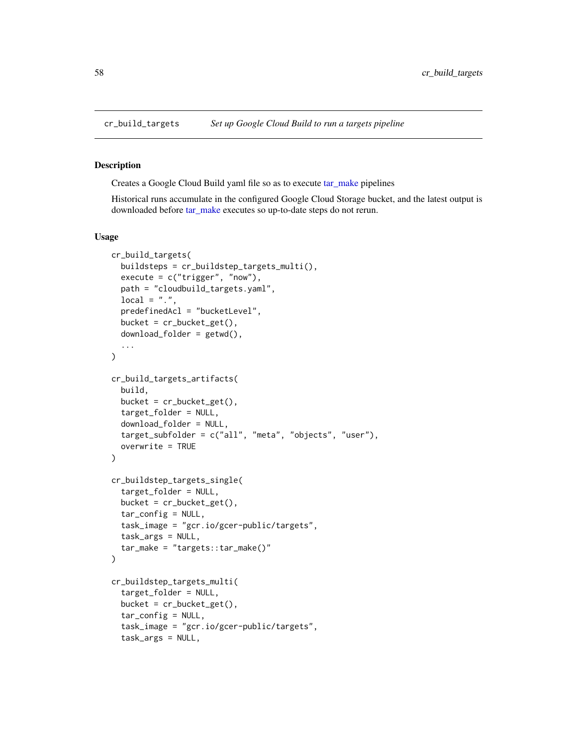<span id="page-57-0"></span>

## Description

Creates a Google Cloud Build yaml file so as to execute [tar\\_make](#page-0-0) pipelines

Historical runs accumulate in the configured Google Cloud Storage bucket, and the latest output is downloaded before [tar\\_make](#page-0-0) executes so up-to-date steps do not rerun.

#### Usage

```
cr_build_targets(
  buildsteps = cr_buildstep_targets_multi(),
  execute = c("trigger", "now"),
  path = "cloudbuild_targets.yaml",
  local = "."predefinedAcl = "bucketLevel",
  bucket = cr_b bucket get(),
  download_folder = getwd(),
  ...
)
cr_build_targets_artifacts(
  build,
  bucket = cr_bbucket_get(),
  target_folder = NULL,
  download_folder = NULL,
  target_subfolder = c("all", "meta", "objects", "user"),
  overwrite = TRUE
\lambdacr_buildstep_targets_single(
  target_folder = NULL,
  bucket = cr_bbucket_get(),
  tar_config = NULL,
  task_image = "gcr.io/gcer-public/targets",
  task_args = NULL,
  tar_make = "targets::tar_make()"
)
cr_buildstep_targets_multi(
  target_folder = NULL,
  bucket = cr_bbucket_get(),
  tar_config = NULL,
  task_image = "gcr.io/gcer-public/targets",
  task_args = NULL,
```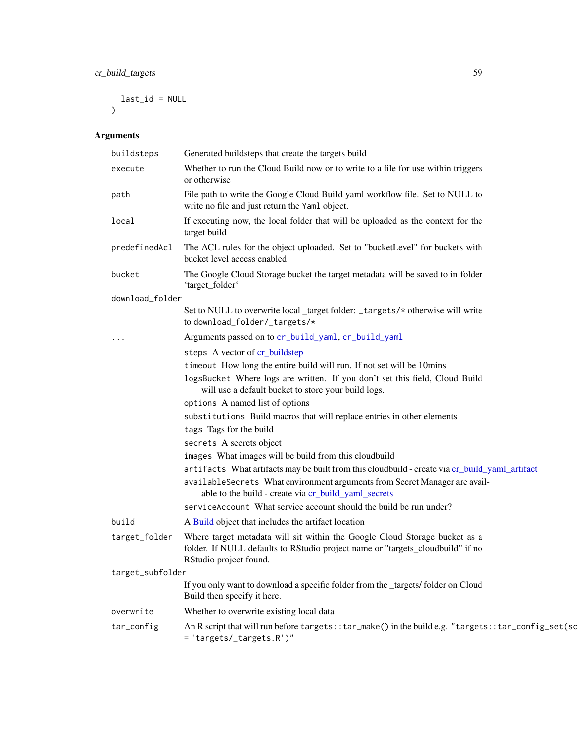# cr\_build\_targets 59

```
last_id = NULL
\mathcal{L}
```
# Arguments

|                  | buildsteps      | Generated buildsteps that create the targets build                                                                                                                                                                                   |
|------------------|-----------------|--------------------------------------------------------------------------------------------------------------------------------------------------------------------------------------------------------------------------------------|
|                  | execute         | Whether to run the Cloud Build now or to write to a file for use within triggers<br>or otherwise                                                                                                                                     |
|                  | path            | File path to write the Google Cloud Build yaml workflow file. Set to NULL to<br>write no file and just return the Yaml object.                                                                                                       |
|                  | local           | If executing now, the local folder that will be uploaded as the context for the<br>target build                                                                                                                                      |
|                  | predefinedAcl   | The ACL rules for the object uploaded. Set to "bucketLevel" for buckets with<br>bucket level access enabled                                                                                                                          |
|                  | bucket          | The Google Cloud Storage bucket the target metadata will be saved to in folder<br>'target_folder'                                                                                                                                    |
|                  | download_folder |                                                                                                                                                                                                                                      |
|                  |                 | Set to NULL to overwrite local _target folder: _targets/* otherwise will write<br>to download_folder/_targets/*                                                                                                                      |
|                  | .               | Arguments passed on to cr_build_yaml, cr_build_yaml                                                                                                                                                                                  |
|                  |                 | steps A vector of cr_buildstep                                                                                                                                                                                                       |
|                  |                 | timeout How long the entire build will run. If not set will be 10mins                                                                                                                                                                |
|                  |                 | logsBucket Where logs are written. If you don't set this field, Cloud Build<br>will use a default bucket to store your build logs.                                                                                                   |
|                  |                 | options A named list of options                                                                                                                                                                                                      |
|                  |                 | substitutions Build macros that will replace entries in other elements                                                                                                                                                               |
|                  |                 | tags Tags for the build                                                                                                                                                                                                              |
|                  |                 | secrets A secrets object                                                                                                                                                                                                             |
|                  |                 | images What images will be build from this cloudbuild                                                                                                                                                                                |
|                  |                 | artifacts What artifacts may be built from this cloudbuild - create via cr_build_yaml_artifact<br>availableSecrets What environment arguments from Secret Manager are avail-<br>able to the build - create via cr_build_yaml_secrets |
|                  |                 | serviceAccount What service account should the build be run under?                                                                                                                                                                   |
|                  | build           | A Build object that includes the artifact location                                                                                                                                                                                   |
|                  | target_folder   | Where target metadata will sit within the Google Cloud Storage bucket as a<br>folder. If NULL defaults to RStudio project name or "targets_cloudbuild" if no<br>RStudio project found.                                               |
| target_subfolder |                 |                                                                                                                                                                                                                                      |
|                  |                 | If you only want to download a specific folder from the _targets/ folder on Cloud<br>Build then specify it here.                                                                                                                     |
|                  | overwrite       | Whether to overwrite existing local data                                                                                                                                                                                             |
|                  | tar_config      | An R script that will run before targets: : tar_make() in the build e.g. "targets: : tar_config_set(sd<br>= 'targets/_targets.R')"                                                                                                   |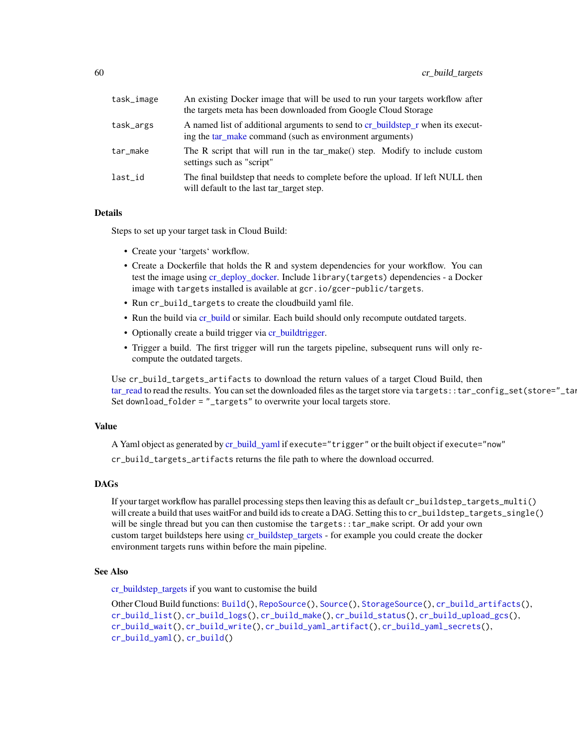| task_image | An existing Docker image that will be used to run your targets workflow after<br>the targets meta has been downloaded from Google Cloud Storage |
|------------|-------------------------------------------------------------------------------------------------------------------------------------------------|
| task_args  | A named list of additional arguments to send to cr_buildstep_r when its execut-<br>ing the tar_make command (such as environment arguments)     |
| tar_make   | The R script that will run in the tar_make() step. Modify to include custom<br>settings such as "script"                                        |
| last_id    | The final buildstep that needs to complete before the upload. If left NULL then<br>will default to the last tar_target step.                    |

#### Details

Steps to set up your target task in Cloud Build:

- Create your 'targets' workflow.
- Create a Dockerfile that holds the R and system dependencies for your workflow. You can test the image using [cr\\_deploy\\_docker.](#page-68-0) Include library(targets) dependencies - a Docker image with targets installed is available at gcr.io/gcer-public/targets.
- Run cr\_build\_targets to create the cloudbuild yaml file.
- Run the build via [cr\\_build](#page-7-0) or similar. Each build should only recompute outdated targets.
- Optionally create a build trigger via [cr\\_buildtrigger.](#page-34-0)
- Trigger a build. The first trigger will run the targets pipeline, subsequent runs will only recompute the outdated targets.

Use cr\_build\_targets\_artifacts to download the return values of a target Cloud Build, then [tar\\_read](#page-0-0) to read the results. You can set the downloaded files as the target store via targets::tar\_config\_set(store="\_targets Set download\_folder = "\_targets" to overwrite your local targets store.

## Value

A Yaml object as generated by [cr\\_build\\_yaml](#page-63-0) if execute="trigger" or the built object if execute="now"

cr\_build\_targets\_artifacts returns the file path to where the download occurred.

# DAGs

If your target workflow has parallel processing steps then leaving this as default cr\_buildstep\_targets\_multi() will create a build that uses waitFor and build ids to create a DAG. Setting this to cr\_buildstep\_targets\_single() will be single thread but you can then customise the targets::tar\_make script. Or add your own custom target buildsteps here using [cr\\_buildstep\\_targets](#page-33-0) - for example you could create the docker environment targets runs within before the main pipeline.

#### See Also

[cr\\_buildstep\\_targets](#page-33-0) if you want to customise the build

Other Cloud Build functions: [Build\(](#page-3-0)), [RepoSource\(](#page-108-0)), [Source\(](#page-109-0)), [StorageSource\(](#page-110-0)), [cr\\_build\\_artifacts\(](#page-44-1)), [cr\\_build\\_list\(](#page-45-0)), [cr\\_build\\_logs\(](#page-48-0)), [cr\\_build\\_make\(](#page-49-0)), [cr\\_build\\_status\(](#page-56-0)), [cr\\_build\\_upload\\_gcs\(](#page-60-0)), [cr\\_build\\_wait\(](#page-62-0)), [cr\\_build\\_write\(](#page-62-1)), [cr\\_build\\_yaml\\_artifact\(](#page-65-0)), [cr\\_build\\_yaml\\_secrets\(](#page-66-0)), [cr\\_build\\_yaml\(](#page-63-0)), [cr\\_build\(](#page-7-0))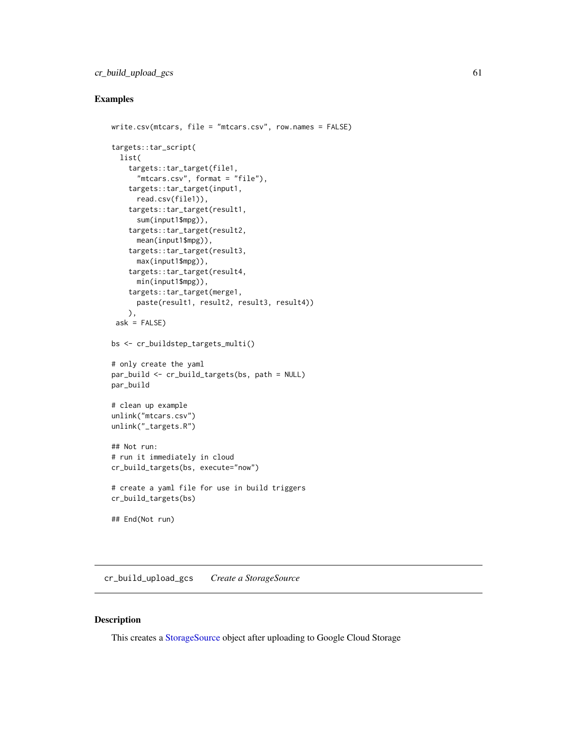# cr\_build\_upload\_gcs 61

# Examples

```
write.csv(mtcars, file = "mtcars.csv", row.names = FALSE)
targets::tar_script(
  list(
    targets::tar_target(file1,
      "mtcars.csv", format = "file"),
    targets::tar_target(input1,
      read.csv(file1)),
    targets::tar_target(result1,
      sum(input1$mpg)),
    targets::tar_target(result2,
     mean(input1$mpg)),
    targets::tar_target(result3,
     max(input1$mpg)),
    targets::tar_target(result4,
     min(input1$mpg)),
    targets::tar_target(merge1,
      paste(result1, result2, result3, result4))
    ),
 ask = FALSE)bs <- cr_buildstep_targets_multi()
# only create the yaml
par_build <- cr_build_targets(bs, path = NULL)
par_build
# clean up example
unlink("mtcars.csv")
unlink("_targets.R")
## Not run:
# run it immediately in cloud
cr_build_targets(bs, execute="now")
# create a yaml file for use in build triggers
cr_build_targets(bs)
## End(Not run)
```
<span id="page-60-0"></span>cr\_build\_upload\_gcs *Create a StorageSource*

### Description

This creates a [StorageSource](#page-110-0) object after uploading to Google Cloud Storage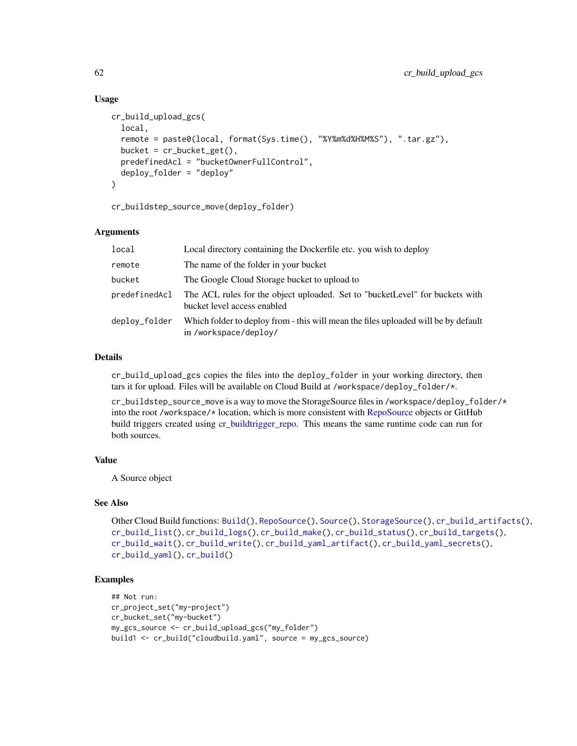### Usage

```
cr_build_upload_gcs(
  local,
  remote = paste0(local, format(Sys.time(), "%Y%m%d%H%M%S"), ".tar.gz"),
  bucket = cr_bucket_get(),
  predefinedAcl = "bucketOwnerFullControl",
  deploy_folder = "deploy"
)
```
cr\_buildstep\_source\_move(deploy\_folder)

# Arguments

| local         | Local directory containing the Dockerfile etc. you wish to deploy                                           |
|---------------|-------------------------------------------------------------------------------------------------------------|
| remote        | The name of the folder in your bucket                                                                       |
| bucket        | The Google Cloud Storage bucket to upload to                                                                |
| predefinedAcl | The ACL rules for the object uploaded. Set to "bucketLevel" for buckets with<br>bucket level access enabled |
| deploy_folder | Which folder to deploy from - this will mean the files uploaded will be by default<br>in /workspace/deploy/ |

# Details

cr\_build\_upload\_gcs copies the files into the deploy\_folder in your working directory, then tars it for upload. Files will be available on Cloud Build at /workspace/deploy\_folder/\*.

cr\_buildstep\_source\_move is a way to move the StorageSource files in /workspace/deploy\_folder/\* into the root /workspace/\* location, which is more consistent with [RepoSource](#page-108-0) objects or GitHub build triggers created using [cr\\_buildtrigger\\_repo.](#page-42-0) This means the same runtime code can run for both sources.

### Value

A Source object

# See Also

```
Other Cloud Build functions: Build(), RepoSource(), Source(), StorageSource(), cr_build_artifacts(),
cr_build_list(), cr_build_logs(), cr_build_make(), cr_build_status(), cr_build_targets(),
cr_build_wait(), cr_build_write(), cr_build_yaml_artifact(), cr_build_yaml_secrets(),
cr_build_yaml(), cr_build()
```

```
## Not run:
cr_project_set("my-project")
cr_bucket_set("my-bucket")
my_gcs_source <- cr_build_upload_gcs("my_folder")
build1 <- cr_build("cloudbuild.yaml", source = my_gcs_source)
```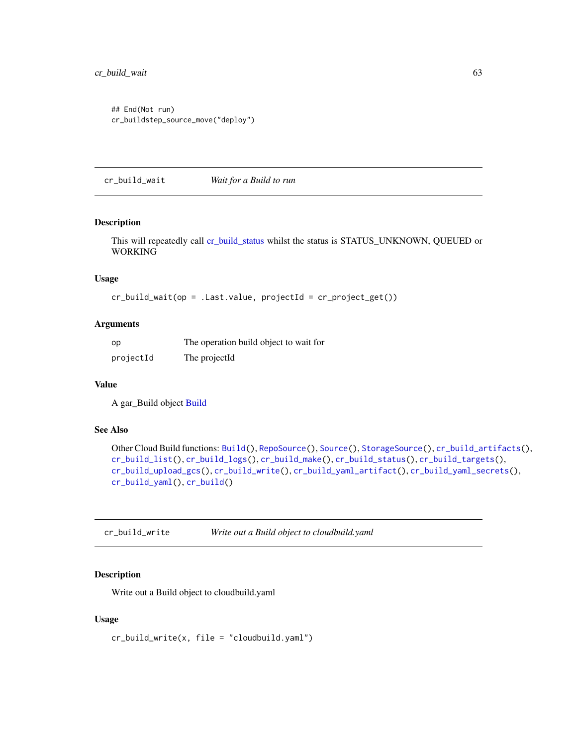```
## End(Not run)
cr_buildstep_source_move("deploy")
```
<span id="page-62-0"></span>cr\_build\_wait *Wait for a Build to run*

# Description

This will repeatedly call [cr\\_build\\_status](#page-56-0) whilst the status is STATUS\_UNKNOWN, QUEUED or WORKING

# Usage

```
cr_buid\_wait(op = .Last.value, projectId = cr_project_set())
```
### Arguments

| op        | The operation build object to wait for |
|-----------|----------------------------------------|
| projectId | The projectId                          |

# Value

A gar\_Build object [Build](#page-3-0)

#### See Also

```
Other Cloud Build functions: Build(), RepoSource(), Source(), StorageSource(), cr_build_artifacts(),
cr_build_list(), cr_build_logs(), cr_build_make(), cr_build_status(), cr_build_targets(),
cr_build_upload_gcs(), cr_build_write(), cr_build_yaml_artifact(), cr_build_yaml_secrets(),
cr_build_yaml(), cr_build()
```
<span id="page-62-1"></span>cr\_build\_write *Write out a Build object to cloudbuild.yaml*

# Description

Write out a Build object to cloudbuild.yaml

#### Usage

cr\_build\_write(x, file = "cloudbuild.yaml")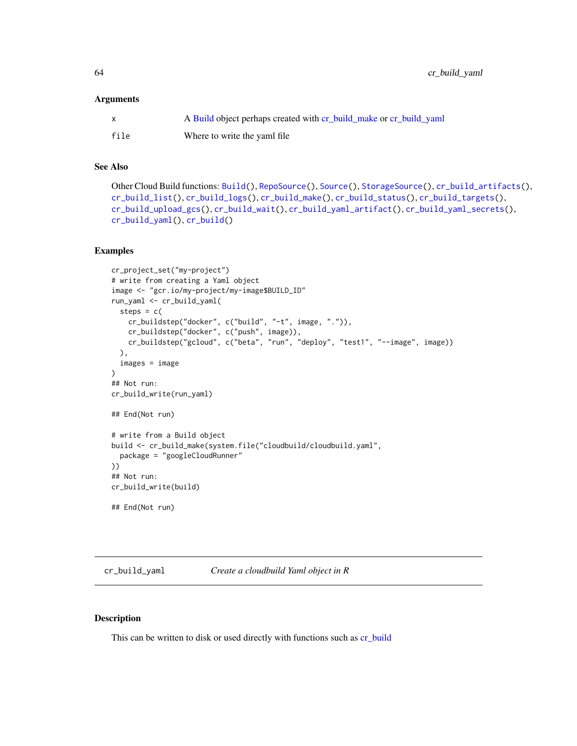64 cr\_build\_yaml

#### Arguments

| $\mathsf{X}$ | A Build object perhaps created with cr_build_make or cr_build_yaml |
|--------------|--------------------------------------------------------------------|
| file         | Where to write the yaml file                                       |

# See Also

```
Other Cloud Build functions: Build(), RepoSource(), Source(), StorageSource(), cr_build_artifacts(),
cr_build_list(), cr_build_logs(), cr_build_make(), cr_build_status(), cr_build_targets(),
cr_build_upload_gcs(), cr_build_wait(), cr_build_yaml_artifact(), cr_build_yaml_secrets(),
cr_build_yaml(), cr_build()
```
### Examples

```
cr_project_set("my-project")
# write from creating a Yaml object
image <- "gcr.io/my-project/my-image$BUILD_ID"
run_yaml <- cr_build_yaml(
  steps = c(cr_buildstep("docker", c("build", "-t", image, ".")),
    cr_buildstep("docker", c("push", image)),
    cr_buildstep("gcloud", c("beta", "run", "deploy", "test1", "--image", image))
  ),
  images = image
)
## Not run:
cr_build_write(run_yaml)
## End(Not run)
# write from a Build object
build <- cr_build_make(system.file("cloudbuild/cloudbuild.yaml",
  package = "googleCloudRunner"
))
## Not run:
cr_build_write(build)
## End(Not run)
```
<span id="page-63-0"></span>cr\_build\_yaml *Create a cloudbuild Yaml object in R*

# Description

This can be written to disk or used directly with functions such as [cr\\_build](#page-7-0)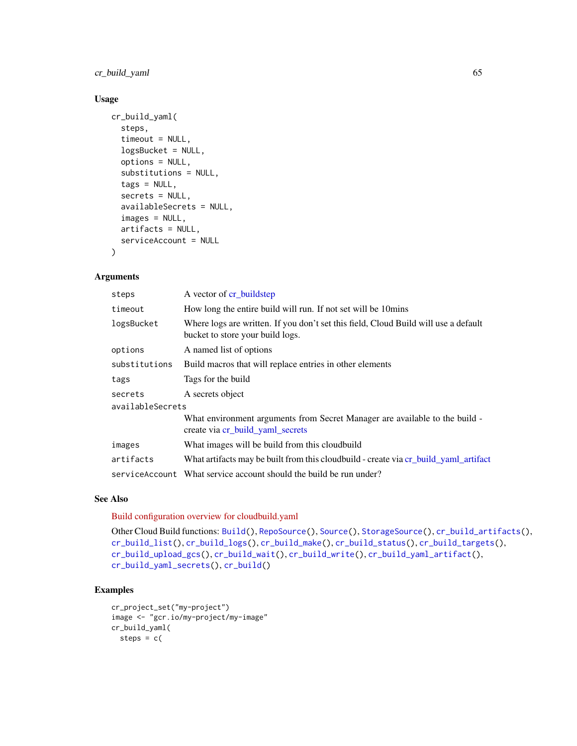cr\_build\_yaml 65

# Usage

```
cr_build_yaml(
  steps,
  timeout = NULL,
  logsBucket = NULL,
  options = NULL,
  substitutions = NULL,
  tags = NULL,secrets = NULL,
  availableSecrets = NULL,
  images = NULL,
  artifacts = NULL,
  serviceAccount = NULL
\mathcal{L}
```
### Arguments

| A vector of cr_buildstep                                                                                                |  |  |
|-------------------------------------------------------------------------------------------------------------------------|--|--|
| How long the entire build will run. If not set will be 10mins                                                           |  |  |
| Where logs are written. If you don't set this field, Cloud Build will use a default<br>bucket to store your build logs. |  |  |
| A named list of options                                                                                                 |  |  |
| Build macros that will replace entries in other elements                                                                |  |  |
| Tags for the build                                                                                                      |  |  |
| A secrets object                                                                                                        |  |  |
| availableSecrets                                                                                                        |  |  |
| What environment arguments from Secret Manager are available to the build -<br>create via cr build yaml secrets         |  |  |
| What images will be build from this cloudbuild                                                                          |  |  |
| What artifacts may be built from this cloudbuild - create via cr_build_yaml_artifact                                    |  |  |
| service Account What service account should the build be run under?                                                     |  |  |
|                                                                                                                         |  |  |

#### See Also

[Build configuration overview for cloudbuild.yaml](https://cloud.google.com/build/docs/build-config-file-schema)

```
Other Cloud Build functions: Build(), RepoSource(), Source(), StorageSource(), cr_build_artifacts(),
cr_build_list(), cr_build_logs(), cr_build_make(), cr_build_status(), cr_build_targets(),
cr_build_upload_gcs(), cr_build_wait(), cr_build_write(), cr_build_yaml_artifact(),
cr_build_yaml_secrets(), cr_build()
```

```
cr_project_set("my-project")
image <- "gcr.io/my-project/my-image"
cr_build_yaml(
 steps = c(
```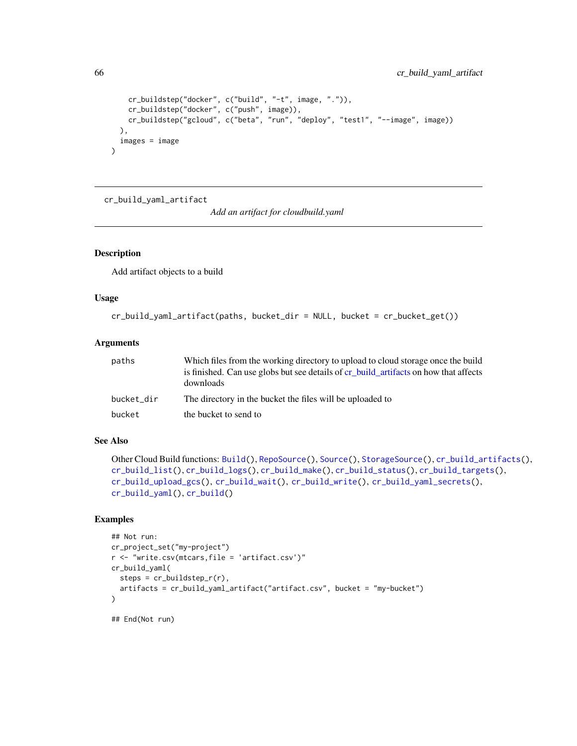```
cr_buildstep("docker", c("build", "-t", image, ".")),
   cr_buildstep("docker", c("push", image)),
   cr_buildstep("gcloud", c("beta", "run", "deploy", "test1", "--image", image))
 ),
 images = image
)
```
<span id="page-65-0"></span>cr\_build\_yaml\_artifact

*Add an artifact for cloudbuild.yaml*

# Description

Add artifact objects to a build

### Usage

```
cr_build_yaml_artifact(paths, bucket_dir = NULL, bucket = cr_bucket_get())
```
### Arguments

| paths      | Which files from the working directory to upload to cloud storage once the build<br>is finished. Can use globs but see details of cr build artifacts on how that affects<br>downloads |
|------------|---------------------------------------------------------------------------------------------------------------------------------------------------------------------------------------|
| bucket_dir | The directory in the bucket the files will be uploaded to                                                                                                                             |
| bucket     | the bucket to send to                                                                                                                                                                 |

# See Also

```
Other Cloud Build functions: Build(), RepoSource(), Source(), StorageSource(), cr_build_artifacts(),
cr_build_list(), cr_build_logs(), cr_build_make(), cr_build_status(), cr_build_targets(),
cr_build_upload_gcs(), cr_build_wait(), cr_build_write(), cr_build_yaml_secrets(),
cr_build_yaml(), cr_build()
```

```
## Not run:
cr_project_set("my-project")
r <- "write.csv(mtcars,file = 'artifact.csv')"
cr_build_yaml(
  steps = cr_buildstep_r(r),
  artifacts = cr_build_yaml_artifact("artifact.csv", bucket = "my-bucket")
)
```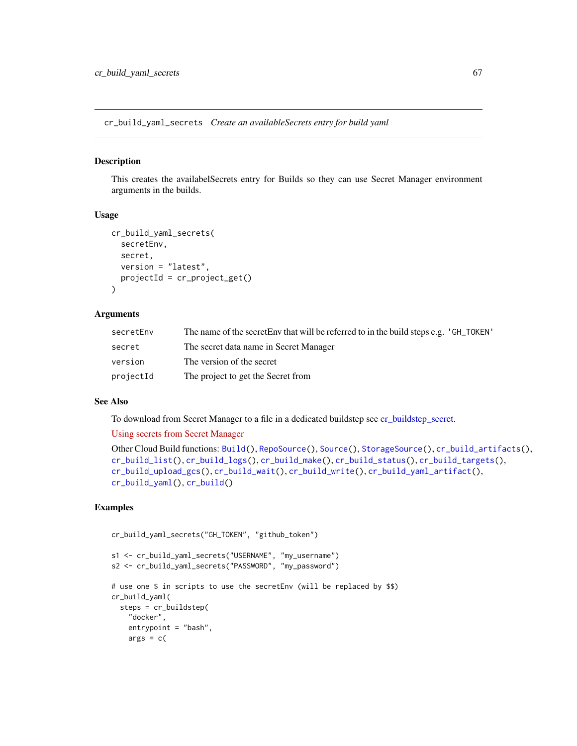<span id="page-66-0"></span>cr\_build\_yaml\_secrets *Create an availableSecrets entry for build yaml*

#### Description

This creates the availabelSecrets entry for Builds so they can use Secret Manager environment arguments in the builds.

#### Usage

```
cr_build_yaml_secrets(
  secretEnv,
  secret,
 version = "latest",
  projectId = cr_project_get()
)
```
### Arguments

| secretEnv | The name of the secretEnv that will be referred to in the build steps e.g. 'GH_TOKEN' |
|-----------|---------------------------------------------------------------------------------------|
| secret    | The secret data name in Secret Manager                                                |
| version   | The version of the secret                                                             |
| projectId | The project to get the Secret from                                                    |

### See Also

To download from Secret Manager to a file in a dedicated buildstep see [cr\\_buildstep\\_secret.](#page-31-0)

#### [Using secrets from Secret Manager](https://cloud.google.com/build/docs/securing-builds/use-secrets)

```
Other Cloud Build functions: Build(), RepoSource(), Source(), StorageSource(), cr_build_artifacts(),
cr_build_list(), cr_build_logs(), cr_build_make(), cr_build_status(), cr_build_targets(),
cr_build_upload_gcs(), cr_build_wait(), cr_build_write(), cr_build_yaml_artifact(),
cr_build_yaml(), cr_build()
```

```
cr_build_yaml_secrets("GH_TOKEN", "github_token")
```

```
s1 <- cr_build_yaml_secrets("USERNAME", "my_username")
s2 <- cr_build_yaml_secrets("PASSWORD", "my_password")
# use one $ in scripts to use the secretEnv (will be replaced by $$)
cr_build_yaml(
 steps = cr_buildstep(
    "docker",
   entrypoint = "bash",
   args = c(
```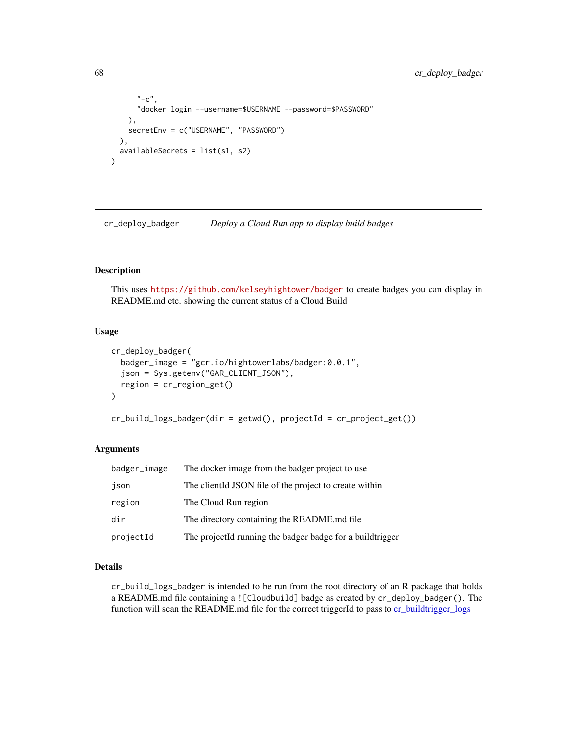```
"-c",
      "docker login --username=$USERNAME --password=$PASSWORD"
    ),
    secretEnv = c("USERNAME", "PASSWORD")
  ),
  availableSecrets = list(s1, s2)
\mathcal{L}
```
cr\_deploy\_badger *Deploy a Cloud Run app to display build badges*

# <span id="page-67-0"></span>Description

This uses <https://github.com/kelseyhightower/badger> to create badges you can display in README.md etc. showing the current status of a Cloud Build

# Usage

```
cr_deploy_badger(
  badger_image = "gcr.io/hightowerlabs/badger:0.0.1",
  json = Sys.getenv("GAR_CLIENT_JSON"),
  region = cr_region_get()
\lambda
```

```
cr_build_logs_badger(dir = getwd(), projectId = cr_project_get())
```
### Arguments

| badger_image | The docker image from the badger project to use            |
|--------------|------------------------------------------------------------|
| json         | The client ISON file of the project to create within       |
| region       | The Cloud Run region                                       |
| dir          | The directory containing the README.md file                |
| projectId    | The projectId running the badger badge for a build trigger |

#### Details

cr\_build\_logs\_badger is intended to be run from the root directory of an R package that holds a README.md file containing a ![Cloudbuild] badge as created by cr\_deploy\_badger(). The function will scan the README.md file for the correct triggerId to pass to [cr\\_buildtrigger\\_logs](#page-48-1)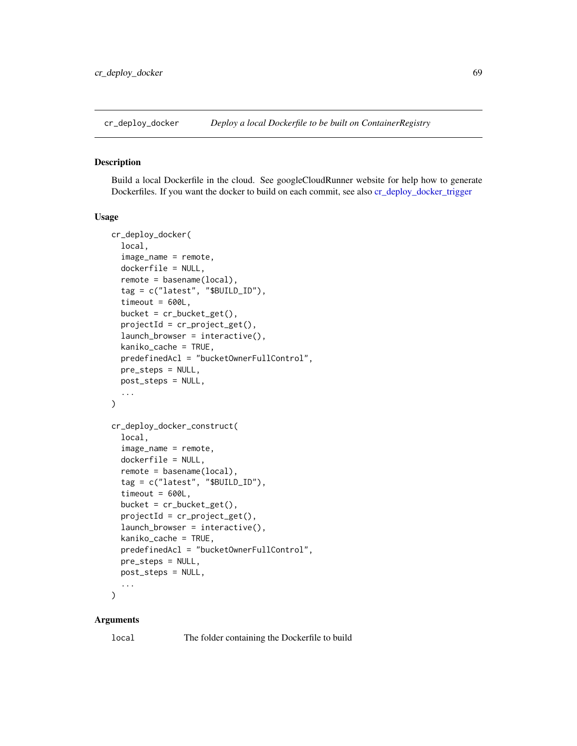#### <span id="page-68-0"></span>Description

Build a local Dockerfile in the cloud. See googleCloudRunner website for help how to generate Dockerfiles. If you want the docker to build on each commit, see also [cr\\_deploy\\_docker\\_trigger](#page-70-0)

# Usage

```
cr_deploy_docker(
  local,
  image_name = remote,
  dockerfile = NULL,
  remote = basename(local),
  tag = c("latest", "$BUILD_ID"),
  timeout = 600L,bucket = cr_bucket_get(),
  projectId = cr\_project\_get(),launch_browser = interactive(),
  kaniko_cache = TRUE,
  predefinedAcl = "bucketOwnerFullControl",
  pre_steps = NULL,
  post_steps = NULL,
  ...
\mathcal{L}cr_deploy_docker_construct(
  local,
  image_name = remote,
  dockerfile = NULL,
  remote = basename(local),
  tag = c("latest", "$BUILD_ID"),
  timeout = 600L,bucket = cr_bucket_get(),
  projectId = cr\_project\_get(),launch_browser = interactive(),
  kaniko_cache = TRUE,
  predefinedAcl = "bucketOwnerFullControl",
 pre_steps = NULL,
  post_steps = NULL,
  ...
)
```
# Arguments

local The folder containing the Dockerfile to build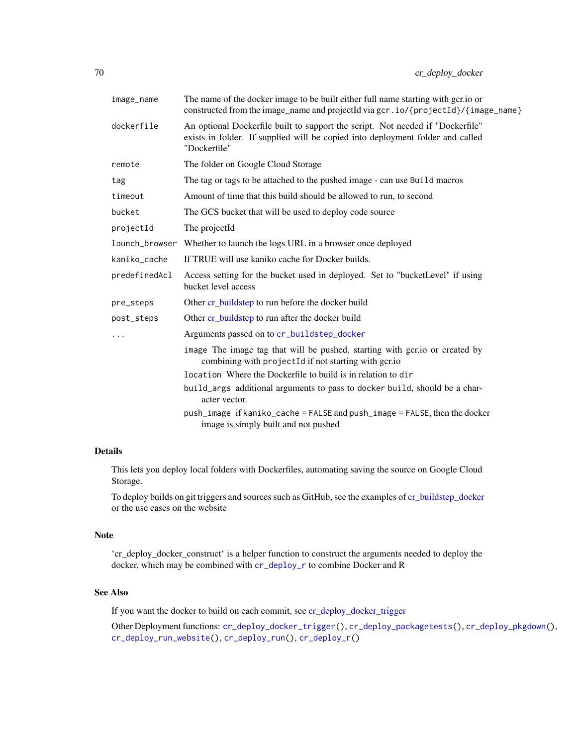| image_name    | The name of the docker image to be built either full name starting with gcr.io or<br>constructed from the image_name and projectId via gcr.io/{projectId}/{image_name}           |
|---------------|----------------------------------------------------------------------------------------------------------------------------------------------------------------------------------|
| dockerfile    | An optional Dockerfile built to support the script. Not needed if "Dockerfile"<br>exists in folder. If supplied will be copied into deployment folder and called<br>"Dockerfile" |
| remote        | The folder on Google Cloud Storage                                                                                                                                               |
| tag           | The tag or tags to be attached to the pushed image - can use Build macros                                                                                                        |
| timeout       | Amount of time that this build should be allowed to run, to second                                                                                                               |
| bucket        | The GCS bucket that will be used to deploy code source                                                                                                                           |
| projectId     | The projectId                                                                                                                                                                    |
|               | launch_browser Whether to launch the logs URL in a browser once deployed                                                                                                         |
| kaniko_cache  | If TRUE will use kaniko cache for Docker builds.                                                                                                                                 |
| predefinedAcl | Access setting for the bucket used in deployed. Set to "bucketLevel" if using<br>bucket level access                                                                             |
| pre_steps     | Other cr_buildstep to run before the docker build                                                                                                                                |
| post_steps    | Other cr_buildstep to run after the docker build                                                                                                                                 |
|               | Arguments passed on to cr_buildstep_docker                                                                                                                                       |
|               | image The image tag that will be pushed, starting with gcr.io or created by<br>combining with projectId if not starting with gcr.io                                              |
|               | location Where the Dockerfile to build is in relation to dir                                                                                                                     |
|               | build_args additional arguments to pass to docker build, should be a char-<br>acter vector.                                                                                      |
|               | push_image if kaniko_cache = FALSE and push_image = FALSE, then the docker<br>image is simply built and not pushed                                                               |
|               |                                                                                                                                                                                  |

# Details

This lets you deploy local folders with Dockerfiles, automating saving the source on Google Cloud Storage.

To deploy builds on git triggers and sources such as GitHub, see the examples of [cr\\_buildstep\\_docker](#page-16-0) or the use cases on the website

### Note

'cr\_deploy\_docker\_construct' is a helper function to construct the arguments needed to deploy the docker, which may be combined with [cr\\_deploy\\_r](#page-76-0) to combine Docker and R

### See Also

If you want the docker to build on each commit, see [cr\\_deploy\\_docker\\_trigger](#page-70-0)

Other Deployment functions: [cr\\_deploy\\_docker\\_trigger\(](#page-70-0)), [cr\\_deploy\\_packagetests\(](#page-72-0)), [cr\\_deploy\\_pkgdown\(](#page-74-0)), [cr\\_deploy\\_run\\_website\(](#page-82-0)), [cr\\_deploy\\_run\(](#page-79-0)), [cr\\_deploy\\_r\(](#page-76-0))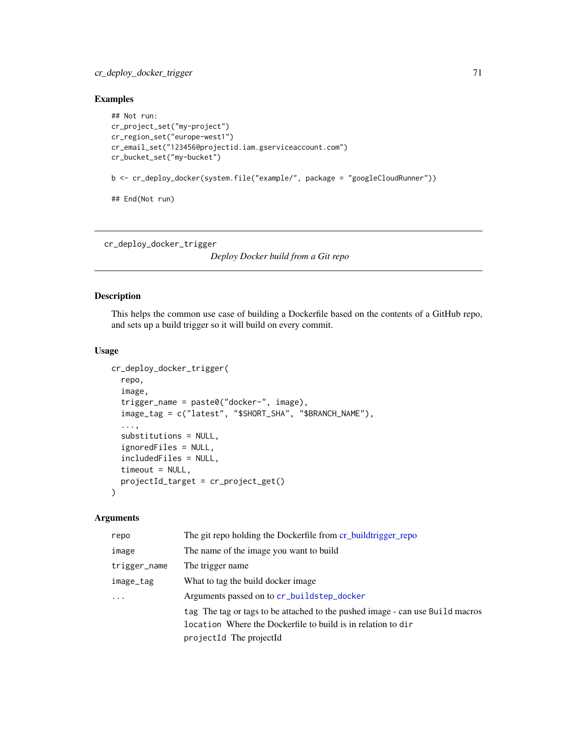# cr\_deploy\_docker\_trigger 71

# Examples

```
## Not run:
cr_project_set("my-project")
cr_region_set("europe-west1")
cr_email_set("123456@projectid.iam.gserviceaccount.com")
cr_bucket_set("my-bucket")
b <- cr_deploy_docker(system.file("example/", package = "googleCloudRunner"))
## End(Not run)
```
<span id="page-70-0"></span>cr\_deploy\_docker\_trigger

*Deploy Docker build from a Git repo*

# Description

This helps the common use case of building a Dockerfile based on the contents of a GitHub repo, and sets up a build trigger so it will build on every commit.

#### Usage

```
cr_deploy_docker_trigger(
  repo,
  image,
  trigger_name = paste0("docker-", image),
  image_tag = c("latest", "$SHORT_SHA", "$BRANCH_NAME"),
  ...,
  substitutions = NULL,
  ignoredFiles = NULL,
  includedFiles = NULL,
  timeout = NULL,projectId_target = cr_project_get()
)
```
# Arguments

| repo         | The git repo holding the Dockerfile from cr_buildtrigger_repo                 |
|--------------|-------------------------------------------------------------------------------|
| image        | The name of the image you want to build                                       |
| trigger_name | The trigger name                                                              |
| image_tag    | What to tag the build docker image.                                           |
| $\cdots$     | Arguments passed on to cr_buildstep_docker                                    |
|              | tag The tag or tags to be attached to the pushed image - can use Build macros |
|              | location Where the Dockerfile to build is in relation to dir                  |
|              | projectId The projectId                                                       |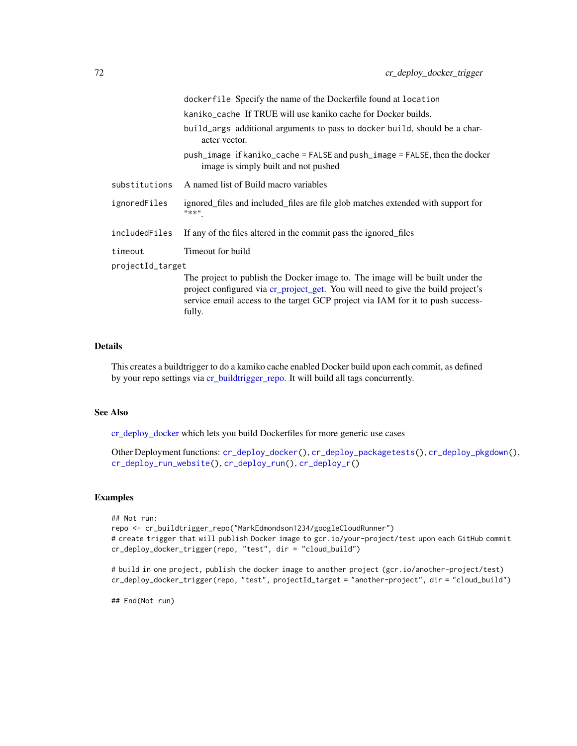|                  | dockerfile Specify the name of the Dockerfile found at location                                                                                                                                                                                     |
|------------------|-----------------------------------------------------------------------------------------------------------------------------------------------------------------------------------------------------------------------------------------------------|
|                  | kaniko_cache If TRUE will use kaniko cache for Docker builds.                                                                                                                                                                                       |
|                  | build_args additional arguments to pass to docker build, should be a char-<br>acter vector.                                                                                                                                                         |
|                  | push_image if kaniko_cache = FALSE and push_image = FALSE, then the docker<br>image is simply built and not pushed                                                                                                                                  |
| substitutions    | A named list of Build macro variables                                                                                                                                                                                                               |
| ignoredFiles     | ignored files and included files are file glob matches extended with support for<br>"**"                                                                                                                                                            |
| includedFiles    | If any of the files altered in the commit pass the ignored files                                                                                                                                                                                    |
| timeout          | Timeout for build                                                                                                                                                                                                                                   |
| projectId_target |                                                                                                                                                                                                                                                     |
|                  | The project to publish the Docker image to. The image will be built under the<br>project configured via cr_project_get. You will need to give the build project's<br>service email access to the target GCP project via IAM for it to push success- |

#### Details

This creates a buildtrigger to do a kamiko cache enabled Docker build upon each commit, as defined by your repo settings via [cr\\_buildtrigger\\_repo.](#page-42-0) It will build all tags concurrently.

#### See Also

[cr\\_deploy\\_docker](#page-68-0) which lets you build Dockerfiles for more generic use cases

fully.

Other Deployment functions: [cr\\_deploy\\_docker\(](#page-68-0)), [cr\\_deploy\\_packagetests\(](#page-72-0)), [cr\\_deploy\\_pkgdown\(](#page-74-0)), [cr\\_deploy\\_run\\_website\(](#page-82-0)), [cr\\_deploy\\_run\(](#page-79-0)), [cr\\_deploy\\_r\(](#page-76-0))

## Examples

```
## Not run:
repo <- cr_buildtrigger_repo("MarkEdmondson1234/googleCloudRunner")
# create trigger that will publish Docker image to gcr.io/your-project/test upon each GitHub commit
cr_deploy_docker_trigger(repo, "test", dir = "cloud_build")
```
# build in one project, publish the docker image to another project (gcr.io/another-project/test) cr\_deploy\_docker\_trigger(repo, "test", projectId\_target = "another-project", dir = "cloud\_build")

## End(Not run)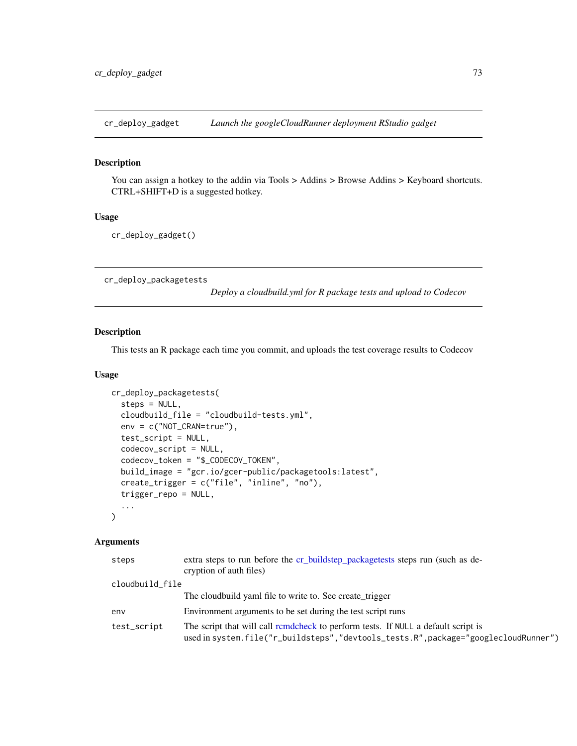#### Description

You can assign a hotkey to the addin via Tools > Addins > Browse Addins > Keyboard shortcuts. CTRL+SHIFT+D is a suggested hotkey.

# Usage

cr\_deploy\_gadget()

<span id="page-72-0"></span>cr\_deploy\_packagetests

*Deploy a cloudbuild.yml for R package tests and upload to Codecov*

# Description

This tests an R package each time you commit, and uploads the test coverage results to Codecov

#### Usage

```
cr_deploy_packagetests(
  steps = NULL,
  cloudbuild_file = "cloudbuild-tests.yml",
  env = c("NOT_CRAN=true"),
  test_script = NULL,
  codecov_script = NULL,
  codecov_token = "$_CODECOV_TOKEN",
  build_image = "gcr.io/gcer-public/packagetools:latest",
  create_trigger = c("file", "inline", "no"),
  trigger_repo = NULL,
  ...
)
```

| steps           | extra steps to run before the cr_buildstep_packagetests steps run (such as de-<br>cryption of auth files)                                                                |
|-----------------|--------------------------------------------------------------------------------------------------------------------------------------------------------------------------|
| cloudbuild_file |                                                                                                                                                                          |
|                 | The cloudbuild yaml file to write to. See create_trigger                                                                                                                 |
| env             | Environment arguments to be set during the test script runs                                                                                                              |
| test_script     | The script that will call remdefieck to perform tests. If NULL a default script is<br>used in system.file("r_buildsteps","devtools_tests.R",package="googlecloudRunner") |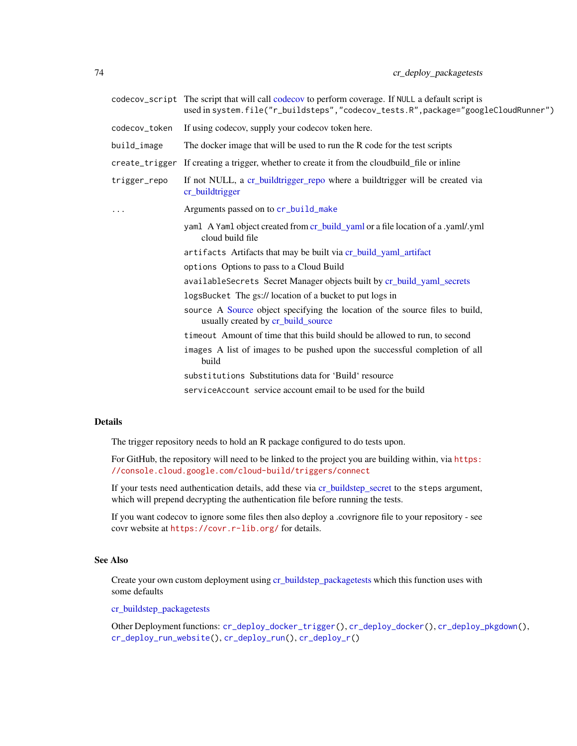|               | codecov_script The script that will call codecov to perform coverage. If NULL a default script is<br>used in system.file("r_buildsteps","codecov_tests.R",package="googleCloudRunner") |
|---------------|----------------------------------------------------------------------------------------------------------------------------------------------------------------------------------------|
| codecov_token | If using codecov, supply your codecov token here.                                                                                                                                      |
| build_image   | The docker image that will be used to run the R code for the test scripts                                                                                                              |
|               | create_trigger If creating a trigger, whether to create it from the cloudbuild_file or inline                                                                                          |
| trigger_repo  | If not NULL, a cr_buildtrigger_repo where a buildtrigger will be created via<br>cr_buildtrigger                                                                                        |
| $\cdots$      | Arguments passed on to cr_build_make                                                                                                                                                   |
|               | yaml A Yaml object created from cr_build_yaml or a file location of a .yaml/.yml<br>cloud build file                                                                                   |
|               | artifacts Artifacts that may be built via cr_build_yaml_artifact                                                                                                                       |
|               | options Options to pass to a Cloud Build                                                                                                                                               |
|               | availableSecrets Secret Manager objects built by cr_build_yaml_secrets                                                                                                                 |
|               | logsBucket The gs:// location of a bucket to put logs in                                                                                                                               |
|               | source A Source object specifying the location of the source files to build,<br>usually created by cr_build_source                                                                     |
|               | time out Amount of time that this build should be allowed to run, to second                                                                                                            |
|               | images A list of images to be pushed upon the successful completion of all<br>build                                                                                                    |
|               | substitutions Substitutions data for 'Build' resource                                                                                                                                  |
|               | service Account service account email to be used for the build                                                                                                                         |

# Details

The trigger repository needs to hold an R package configured to do tests upon.

For GitHub, the repository will need to be linked to the project you are building within, via [https:](https://console.cloud.google.com/cloud-build/triggers/connect) [//console.cloud.google.com/cloud-build/triggers/connect](https://console.cloud.google.com/cloud-build/triggers/connect)

If your tests need authentication details, add these via [cr\\_buildstep\\_secret](#page-31-0) to the steps argument, which will prepend decrypting the authentication file before running the tests.

If you want codecov to ignore some files then also deploy a .covrignore file to your repository - see covr website at <https://covr.r-lib.org/> for details.

### See Also

Create your own custom deployment using [cr\\_buildstep\\_packagetests](#page-24-0) which this function uses with some defaults

[cr\\_buildstep\\_packagetests](#page-24-0)

Other Deployment functions: [cr\\_deploy\\_docker\\_trigger\(](#page-70-0)), [cr\\_deploy\\_docker\(](#page-68-0)), [cr\\_deploy\\_pkgdown\(](#page-74-0)), [cr\\_deploy\\_run\\_website\(](#page-82-0)), [cr\\_deploy\\_run\(](#page-79-0)), [cr\\_deploy\\_r\(](#page-76-0))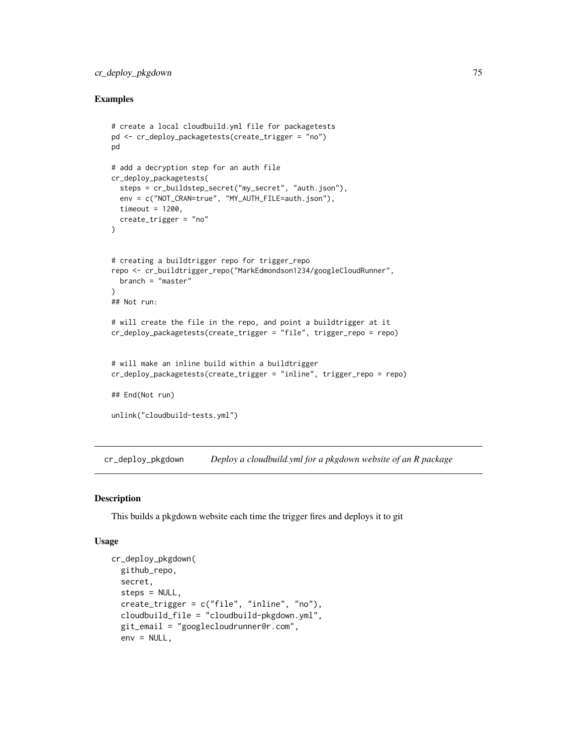# cr\_deploy\_pkgdown 75

### Examples

```
# create a local cloudbuild.yml file for packagetests
pd <- cr_deploy_packagetests(create_trigger = "no")
pd
# add a decryption step for an auth file
cr_deploy_packagetests(
  steps = cr_buildstep_secret("my_secret", "auth.json"),
  env = c("NOT_CRAN=true", "MY_AUTH_FILE=auth.json"),
  timeout = 1200,
  create_trigger = "no"
)
# creating a buildtrigger repo for trigger_repo
repo <- cr_buildtrigger_repo("MarkEdmondson1234/googleCloudRunner",
  branch = "master"
\lambda## Not run:
# will create the file in the repo, and point a buildtrigger at it
cr_deploy_packagetests(create_trigger = "file", trigger_repo = repo)
# will make an inline build within a buildtrigger
cr_deploy_packagetests(create_trigger = "inline", trigger_repo = repo)
## End(Not run)
unlink("cloudbuild-tests.yml")
```
<span id="page-74-0"></span>cr\_deploy\_pkgdown *Deploy a cloudbuild.yml for a pkgdown website of an R package*

#### Description

This builds a pkgdown website each time the trigger fires and deploys it to git

# Usage

```
cr_deploy_pkgdown(
 github_repo,
  secret,
  steps = NULL,
  create_trigger = c("file", "inline", "no"),
  cloudbuild_file = "cloudbuild-pkgdown.yml",
  git_email = "googlecloudrunner@r.com",
  env = NULL,
```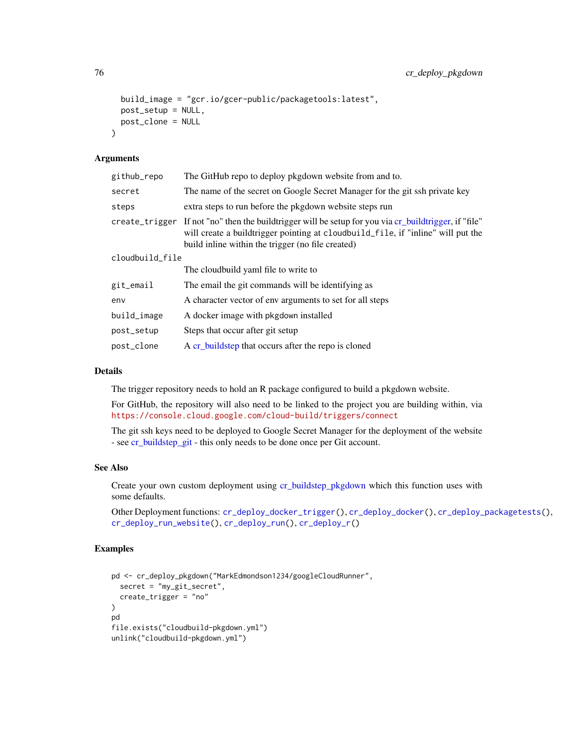```
build_image = "gcr.io/gcer-public/packagetools:latest",
 post_setup = NULL,
 post_clone = NULL
\lambda
```
## Arguments

| github_repo     | The GitHub repo to deploy pkgdown website from and to.                                                                                                                                                                                         |
|-----------------|------------------------------------------------------------------------------------------------------------------------------------------------------------------------------------------------------------------------------------------------|
| secret          | The name of the secret on Google Secret Manager for the git ssh private key                                                                                                                                                                    |
| steps           | extra steps to run before the pkgdown website steps run                                                                                                                                                                                        |
|                 | create_trigger If not "no" then the buildtrigger will be setup for you via cr_buildtrigger, if "file"<br>will create a buildtrigger pointing at cloudbuild_file, if "inline" will put the<br>build inline within the trigger (no file created) |
| cloudbuild_file |                                                                                                                                                                                                                                                |
|                 | The cloudbuild yaml file to write to                                                                                                                                                                                                           |
| git_email       | The email the git commands will be identifying as                                                                                                                                                                                              |
| env             | A character vector of env arguments to set for all steps                                                                                                                                                                                       |
| build_image     | A docker image with pkgdown installed                                                                                                                                                                                                          |
| post_setup      | Steps that occur after git setup                                                                                                                                                                                                               |
| post_clone      | A cr_buildstep that occurs after the repo is cloned                                                                                                                                                                                            |

#### Details

The trigger repository needs to hold an R package configured to build a pkgdown website.

For GitHub, the repository will also need to be linked to the project you are building within, via <https://console.cloud.google.com/cloud-build/triggers/connect>

The git ssh keys need to be deployed to Google Secret Manager for the deployment of the website - see [cr\\_buildstep\\_git](#page-21-0) - this only needs to be done once per Git account.

#### See Also

Create your own custom deployment using [cr\\_buildstep\\_pkgdown](#page-26-0) which this function uses with some defaults.

Other Deployment functions: [cr\\_deploy\\_docker\\_trigger\(](#page-70-0)), [cr\\_deploy\\_docker\(](#page-68-0)), [cr\\_deploy\\_packagetests\(](#page-72-0)), [cr\\_deploy\\_run\\_website\(](#page-82-0)), [cr\\_deploy\\_run\(](#page-79-0)), [cr\\_deploy\\_r\(](#page-76-0))

# Examples

```
pd <- cr_deploy_pkgdown("MarkEdmondson1234/googleCloudRunner",
  secret = "my_git_secret",
  create_trigger = "no"
\lambdapd
file.exists("cloudbuild-pkgdown.yml")
unlink("cloudbuild-pkgdown.yml")
```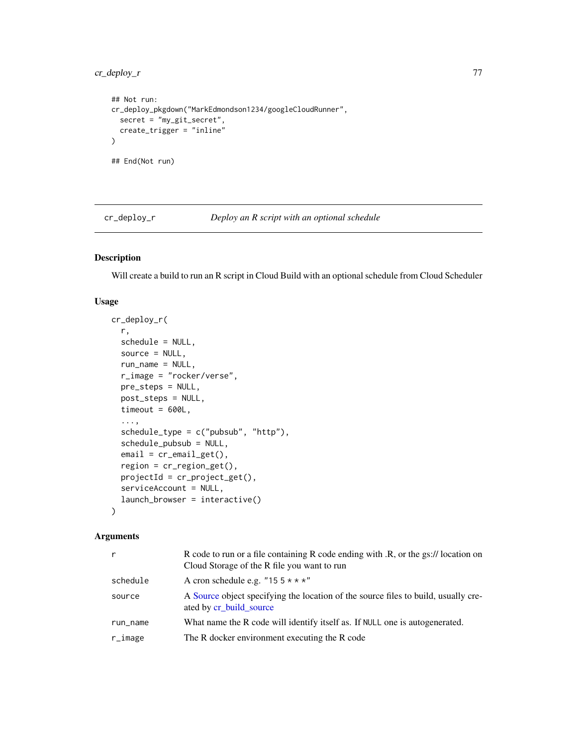```
## Not run:
cr_deploy_pkgdown("MarkEdmondson1234/googleCloudRunner",
  secret = "my_git_secret",
  create_trigger = "inline"
\mathcal{L}## End(Not run)
```
<span id="page-76-0"></span>cr\_deploy\_r *Deploy an R script with an optional schedule*

# Description

Will create a build to run an R script in Cloud Build with an optional schedule from Cloud Scheduler

# Usage

```
cr_deploy_r(
  r,
  schedule = NULL,
  source = NULL,run_name = NULL,
  r_image = "rocker/verse",
  pre_steps = NULL,
 post_steps = NULL,
  timeout = 600L,
  ...,
  schedule_type = c("pubsub", "http"),
  schedule_pubsub = NULL,
  email = cr_{email\_get()},
  region = cr_region_get(),
  projectId = cr_project_get(),
  serviceAccount = NULL,
  launch_browser = interactive()
\mathcal{L}
```

| r           | R code to run or a file containing R code ending with .R, or the gs:// location on<br>Cloud Storage of the R file you want to run |
|-------------|-----------------------------------------------------------------------------------------------------------------------------------|
| schedule    | A cron schedule e.g. "15 $5 \times \times \times$ "                                                                               |
| source      | A Source object specifying the location of the source files to build, usually cre-<br>ated by cr_build_source                     |
| run_name    | What name the R code will identify itself as. If NULL one is autogenerated.                                                       |
| $r_i$ image | The R docker environment executing the R code                                                                                     |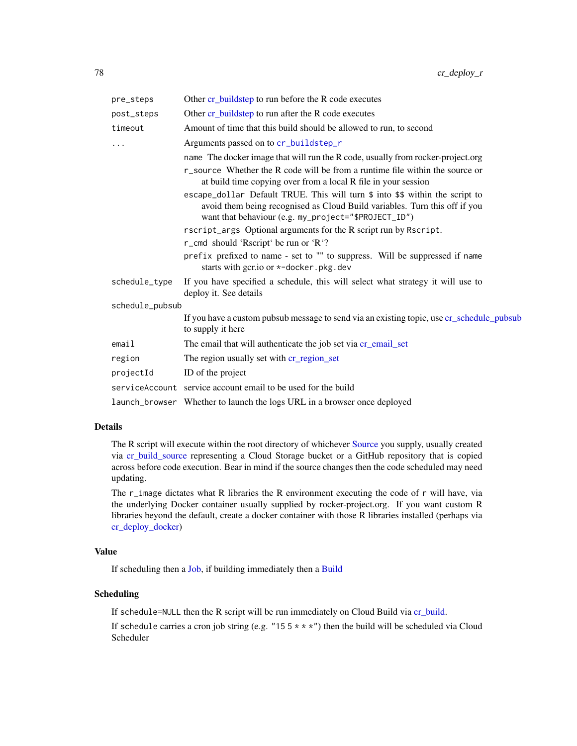| pre_steps       | Other cr_buildstep to run before the R code executes                                                                                                                                                               |
|-----------------|--------------------------------------------------------------------------------------------------------------------------------------------------------------------------------------------------------------------|
| post_steps      | Other cr_buildstep to run after the R code executes                                                                                                                                                                |
| timeout         | Amount of time that this build should be allowed to run, to second                                                                                                                                                 |
| .               | Arguments passed on to cr_buildstep_r                                                                                                                                                                              |
|                 | name The docker image that will run the R code, usually from rocker-project.org                                                                                                                                    |
|                 | r_source Whether the R code will be from a runtime file within the source or<br>at build time copying over from a local R file in your session                                                                     |
|                 | escape_dollar Default TRUE. This will turn \$ into \$\$ within the script to<br>avoid them being recognised as Cloud Build variables. Turn this off if you<br>want that behaviour (e.g. my_project="\$PROJECT_ID") |
|                 | rscript_args Optional arguments for the R script run by Rscript.                                                                                                                                                   |
|                 | r_cmd should 'Rscript' be run or 'R'?                                                                                                                                                                              |
|                 | prefix prefixed to name - set to "" to suppress. Will be suppressed if name<br>starts with gcr.io or *-docker.pkg.dev                                                                                              |
| schedule_type   | If you have specified a schedule, this will select what strategy it will use to<br>deploy it. See details                                                                                                          |
| schedule_pubsub |                                                                                                                                                                                                                    |
|                 | If you have a custom pubsub message to send via an existing topic, use cr_schedule_pubsub<br>to supply it here                                                                                                     |
| email           | The email that will authenticate the job set via cr_email_set                                                                                                                                                      |
| region          | The region usually set with cr_region_set                                                                                                                                                                          |
| projectId       | ID of the project                                                                                                                                                                                                  |
|                 | service Account service account email to be used for the build                                                                                                                                                     |
|                 | launch_browser Whether to launch the logs URL in a browser once deployed                                                                                                                                           |

## Details

The R script will execute within the root directory of whichever [Source](#page-109-0) you supply, usually created via [cr\\_build\\_source](#page-55-0) representing a Cloud Storage bucket or a GitHub repository that is copied across before code execution. Bear in mind if the source changes then the code scheduled may need updating.

The r\_image dictates what R libraries the R environment executing the code of r will have, via the underlying Docker container usually supplied by rocker-project.org. If you want custom R libraries beyond the default, create a docker container with those R libraries installed (perhaps via [cr\\_deploy\\_docker\)](#page-68-0)

#### Value

If scheduling then a [Job,](#page-105-0) if building immediately then a [Build](#page-3-0)

### Scheduling

If schedule=NULL then the R script will be run immediately on Cloud Build via [cr\\_build.](#page-7-0)

If schedule carries a cron job string (e.g. "15  $5 \times \times \times$ ") then the build will be scheduled via Cloud Scheduler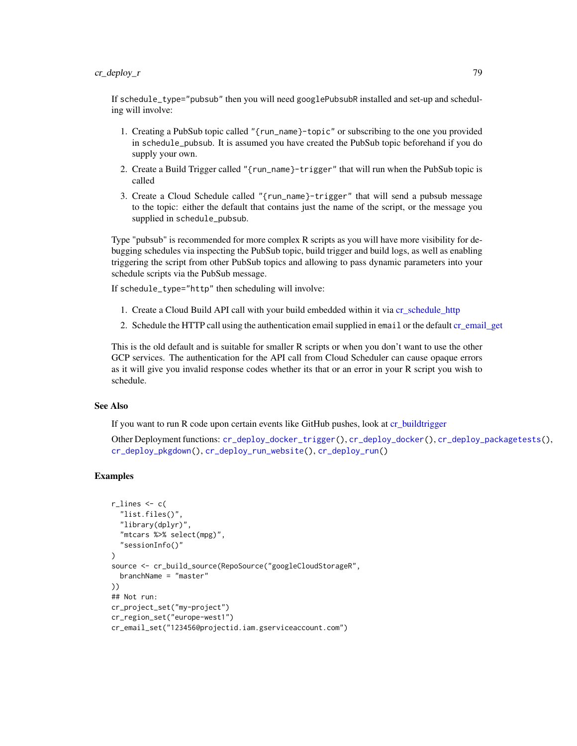# cr\_deploy\_r 79

If schedule\_type="pubsub" then you will need googlePubsubR installed and set-up and scheduling will involve:

- 1. Creating a PubSub topic called "{run\_name}-topic" or subscribing to the one you provided in schedule\_pubsub. It is assumed you have created the PubSub topic beforehand if you do supply your own.
- 2. Create a Build Trigger called "{run\_name}-trigger" that will run when the PubSub topic is called
- 3. Create a Cloud Schedule called "{run\_name}-trigger" that will send a pubsub message to the topic: either the default that contains just the name of the script, or the message you supplied in schedule\_pubsub.

Type "pubsub" is recommended for more complex R scripts as you will have more visibility for debugging schedules via inspecting the PubSub topic, build trigger and build logs, as well as enabling triggering the script from other PubSub topics and allowing to pass dynamic parameters into your schedule scripts via the PubSub message.

If schedule\_type="http" then scheduling will involve:

- 1. Create a Cloud Build API call with your build embedded within it via [cr\\_schedule\\_http](#page-50-0)
- 2. Schedule the HTTP call using the authentication email supplied in email or the default [cr\\_email\\_get](#page-84-1)

This is the old default and is suitable for smaller R scripts or when you don't want to use the other GCP services. The authentication for the API call from Cloud Scheduler can cause opaque errors as it will give you invalid response codes whether its that or an error in your R script you wish to schedule.

#### See Also

If you want to run R code upon certain events like GitHub pushes, look at [cr\\_buildtrigger](#page-34-0)

Other Deployment functions: [cr\\_deploy\\_docker\\_trigger\(](#page-70-0)), [cr\\_deploy\\_docker\(](#page-68-0)), [cr\\_deploy\\_packagetests\(](#page-72-0)), [cr\\_deploy\\_pkgdown\(](#page-74-0)), [cr\\_deploy\\_run\\_website\(](#page-82-0)), [cr\\_deploy\\_run\(](#page-79-0))

# Examples

```
r<sup>lines \leq c (</sup>
  "list.files()",
  "library(dplyr)",
  "mtcars %>% select(mpg)",
  "sessionInfo()"
\lambdasource <- cr_build_source(RepoSource("googleCloudStorageR",
  branchName = "master"
))
## Not run:
cr_project_set("my-project")
cr_region_set("europe-west1")
cr_email_set("123456@projectid.iam.gserviceaccount.com")
```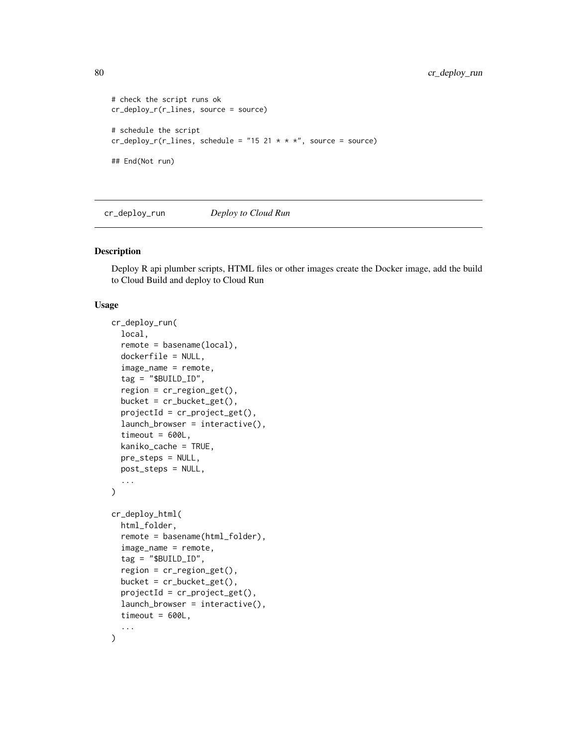```
# check the script runs ok
cr_deploy_r(r_lines, source = source)
# schedule the script
cr_deploy_r(r_lines, schedule = "15 21 * * *", source = source)
## End(Not run)
```
<span id="page-79-0"></span>cr\_deploy\_run *Deploy to Cloud Run*

#### <span id="page-79-1"></span>Description

Deploy R api plumber scripts, HTML files or other images create the Docker image, add the build to Cloud Build and deploy to Cloud Run

#### Usage

```
cr_deploy_run(
  local,
  remote = basename(local),
  dockerfile = NULL,
  image_name = remote,
  tag = "$BUILDID",region = cr_{region\_get}(),
  bucket = cr_bbucket_get(),
  projectId = cr\_project\_get(),launch_browser = interactive(),
  timeout = 600L,kaniko_cache = TRUE,
  pre_steps = NULL,
  post_steps = NULL,
  ...
\mathcal{L}cr_deploy_html(
  html_folder,
  remote = basename(html_folder),
  image_name = remote,
  tag = "$BUILDID",region = cr_region_get(),
  bucket = cr_bucket_get(),
  projectId = cr_project_get(),
  launch_browser = interactive(),
  timeout = 600L,
  ...
)
```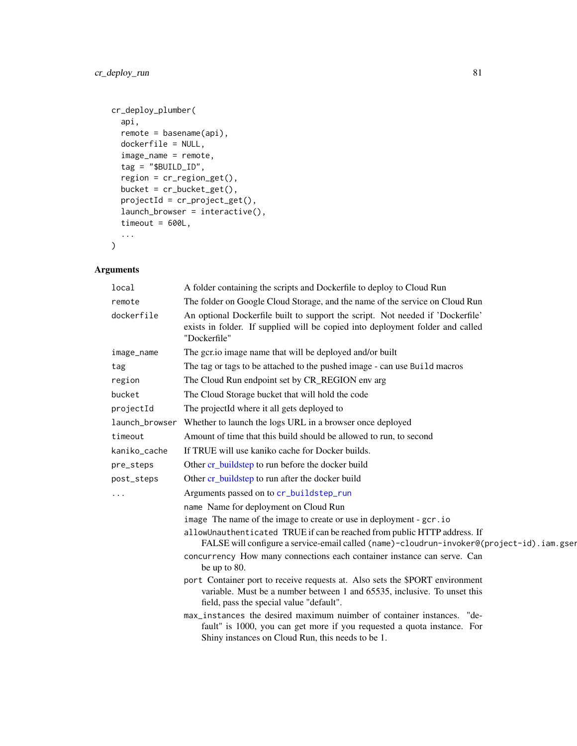```
cr_deploy_plumber(
  api,
 remote = basename(api),
 dockerfile = NULL,
  image_name = remote,
  tag = "SBUILD_ID",region = cr_region_get(),
 bucket = cr_bucket_get(),
 projectId = cr_project_get(),
 launch_browser = interactive(),
  timeout = 600L,
  ...
\mathcal{L}
```

| local          | A folder containing the scripts and Dockerfile to deploy to Cloud Run                                                                                                                                  |
|----------------|--------------------------------------------------------------------------------------------------------------------------------------------------------------------------------------------------------|
| remote         | The folder on Google Cloud Storage, and the name of the service on Cloud Run                                                                                                                           |
| dockerfile     | An optional Dockerfile built to support the script. Not needed if 'Dockerfile'<br>exists in folder. If supplied will be copied into deployment folder and called<br>"Dockerfile"                       |
| image_name     | The gcr.io image name that will be deployed and/or built                                                                                                                                               |
| tag            | The tag or tags to be attached to the pushed image - can use Build macros                                                                                                                              |
| region         | The Cloud Run endpoint set by CR_REGION env arg                                                                                                                                                        |
| bucket         | The Cloud Storage bucket that will hold the code                                                                                                                                                       |
| projectId      | The projectId where it all gets deployed to                                                                                                                                                            |
| launch_browser | Whether to launch the logs URL in a browser once deployed                                                                                                                                              |
| timeout        | Amount of time that this build should be allowed to run, to second                                                                                                                                     |
| kaniko_cache   | If TRUE will use kaniko cache for Docker builds.                                                                                                                                                       |
| pre_steps      | Other cr_buildstep to run before the docker build                                                                                                                                                      |
| post_steps     | Other cr_buildstep to run after the docker build                                                                                                                                                       |
|                | Arguments passed on to cr_buildstep_run                                                                                                                                                                |
|                | name Name for deployment on Cloud Run                                                                                                                                                                  |
|                | image The name of the image to create or use in deployment - gcr.io                                                                                                                                    |
|                | allowUnauthenticated TRUE if can be reached from public HTTP address. If<br>FALSE will configure a service-email called (name)-cloudrun-invoker@(project-id).iam.gser                                  |
|                | concurrency How many connections each container instance can serve. Can<br>be up to 80.                                                                                                                |
|                | port Container port to receive requests at. Also sets the \$PORT environment<br>variable. Must be a number between 1 and 65535, inclusive. To unset this<br>field, pass the special value "default".   |
|                | max_instances the desired maximum nuimber of container instances. "de-<br>fault" is 1000, you can get more if you requested a quota instance. For<br>Shiny instances on Cloud Run, this needs to be 1. |
|                |                                                                                                                                                                                                        |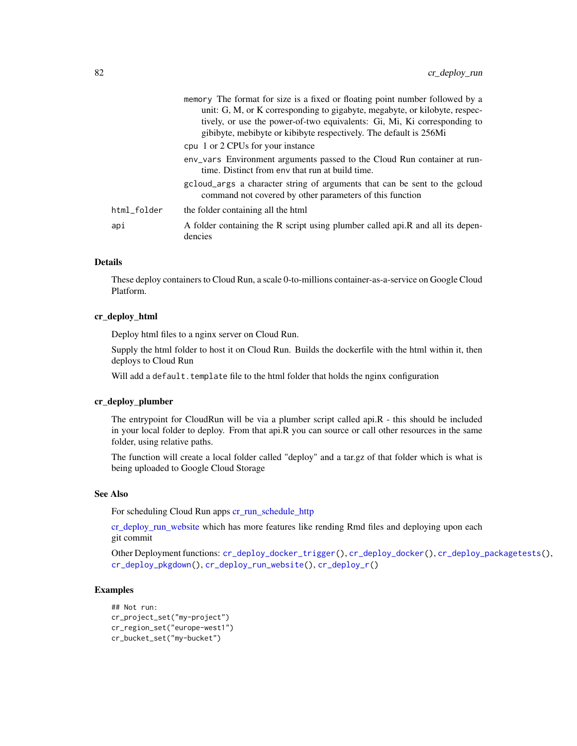|             | memory The format for size is a fixed or floating point number followed by a<br>unit: G, M, or K corresponding to gigabyte, megabyte, or kilobyte, respec-<br>tively, or use the power-of-two equivalents: Gi, Mi, Ki corresponding to<br>gibibyte, mebibyte or kibibyte respectively. The default is 256Mi |
|-------------|-------------------------------------------------------------------------------------------------------------------------------------------------------------------------------------------------------------------------------------------------------------------------------------------------------------|
|             | cpu 1 or 2 CPUs for your instance                                                                                                                                                                                                                                                                           |
|             | env_vars Environment arguments passed to the Cloud Run container at run-<br>time. Distinct from env that run at build time.                                                                                                                                                                                 |
|             | gcloud_args a character string of arguments that can be sent to the gcloud<br>command not covered by other parameters of this function                                                                                                                                                                      |
| html_folder | the folder containing all the html                                                                                                                                                                                                                                                                          |
| api         | A folder containing the R script using plumber called api.R and all its depen-<br>dencies                                                                                                                                                                                                                   |

# **Details**

These deploy containers to Cloud Run, a scale 0-to-millions container-as-a-service on Google Cloud Platform.

#### cr\_deploy\_html

Deploy html files to a nginx server on Cloud Run.

Supply the html folder to host it on Cloud Run. Builds the dockerfile with the html within it, then deploys to Cloud Run

Will add a default.template file to the html folder that holds the nginx configuration

#### cr\_deploy\_plumber

The entrypoint for CloudRun will be via a plumber script called api.R - this should be included in your local folder to deploy. From that api.R you can source or call other resources in the same folder, using relative paths.

The function will create a local folder called "deploy" and a tar.gz of that folder which is what is being uploaded to Google Cloud Storage

# See Also

For scheduling Cloud Run apps [cr\\_run\\_schedule\\_http](#page-93-0)

[cr\\_deploy\\_run\\_website](#page-82-0) which has more features like rending Rmd files and deploying upon each git commit

Other Deployment functions: [cr\\_deploy\\_docker\\_trigger\(](#page-70-0)), [cr\\_deploy\\_docker\(](#page-68-0)), [cr\\_deploy\\_packagetests\(](#page-72-0)), [cr\\_deploy\\_pkgdown\(](#page-74-0)), [cr\\_deploy\\_run\\_website\(](#page-82-0)), [cr\\_deploy\\_r\(](#page-76-0))

# Examples

```
## Not run:
cr_project_set("my-project")
cr_region_set("europe-west1")
cr_bucket_set("my-bucket")
```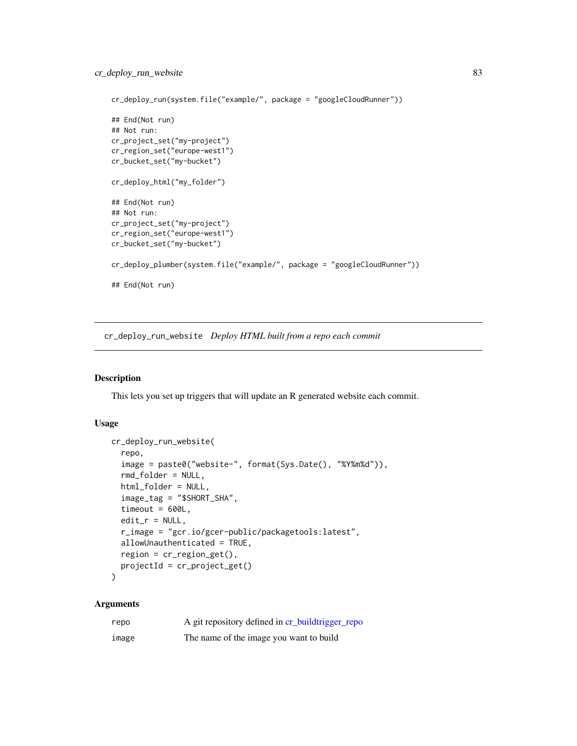```
cr_deploy_run(system.file("example/", package = "googleCloudRunner"))
## End(Not run)
## Not run:
cr_project_set("my-project")
cr_region_set("europe-west1")
cr_bucket_set("my-bucket")
cr_deploy_html("my_folder")
## End(Not run)
## Not run:
cr_project_set("my-project")
cr_region_set("europe-west1")
cr_bucket_set("my-bucket")
cr_deploy_plumber(system.file("example/", package = "googleCloudRunner"))
## End(Not run)
```
<span id="page-82-0"></span>cr\_deploy\_run\_website *Deploy HTML built from a repo each commit*

## **Description**

This lets you set up triggers that will update an R generated website each commit.

## Usage

```
cr_deploy_run_website(
  repo,
  image = paste0("website-", format(Sys.Date(), "%Y%m%d")),
  rmd_folder = NULL,
 html_folder = NULL,
  image_tag = "$SHORT_SHA",
  timeout = 600L,
 edit_r = NULL,r_image = "gcr.io/gcer-public/packagetools:latest",
  allowUnauthenticated = TRUE,
 region = cr_region_get(),
 projectId = cr_project_get()
)
```

| repo  | A git repository defined in cr_buildtrigger_repo |
|-------|--------------------------------------------------|
| image | The name of the image you want to build          |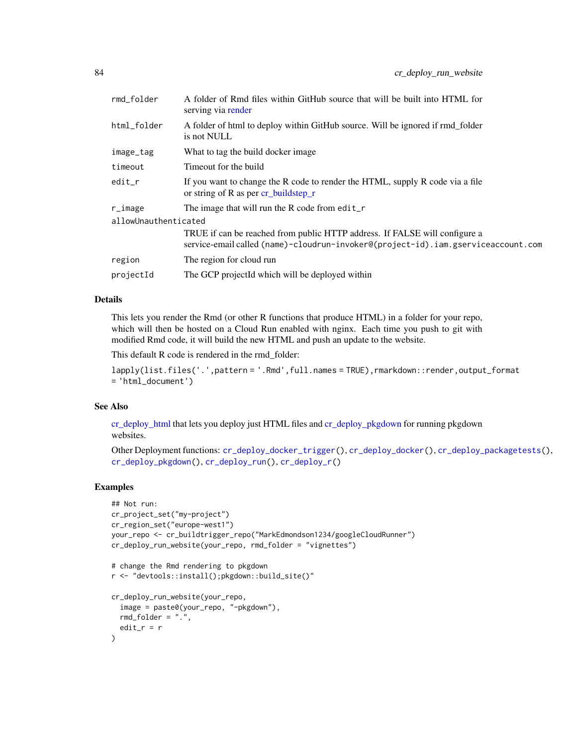| rmd_folder           | A folder of Rmd files within GitHub source that will be built into HTML for<br>serving via render                                                               |
|----------------------|-----------------------------------------------------------------------------------------------------------------------------------------------------------------|
| html_folder          | A folder of html to deploy within GitHub source. Will be ignored if rmd_folder<br>is not NULL                                                                   |
| image_tag            | What to tag the build docker image.                                                                                                                             |
| timeout              | Timeout for the build                                                                                                                                           |
| edit_r               | If you want to change the R code to render the HTML, supply R code via a file<br>or string of R as per $cr_b$ buildstep $r_a$                                   |
| r_image              | The image that will run the R code from edit_r                                                                                                                  |
| allowUnauthenticated |                                                                                                                                                                 |
|                      | TRUE if can be reached from public HTTP address. If FALSE will configure a<br>service-email called (name)-cloudrun-invoker@(project-id).iam.gserviceaccount.com |
| region               | The region for cloud run                                                                                                                                        |
| projectId            | The GCP projectId which will be deployed within                                                                                                                 |

# Details

This lets you render the Rmd (or other R functions that produce HTML) in a folder for your repo, which will then be hosted on a Cloud Run enabled with nginx. Each time you push to git with modified Rmd code, it will build the new HTML and push an update to the website.

This default R code is rendered in the rmd\_folder:

```
lapply(list.files('.',pattern = '.Rmd',full.names = TRUE),rmarkdown::render,output_format
= 'html_document')
```
# See Also

[cr\\_deploy\\_html](#page-79-1) that lets you deploy just HTML files and [cr\\_deploy\\_pkgdown](#page-74-0) for running pkgdown websites.

Other Deployment functions: [cr\\_deploy\\_docker\\_trigger\(](#page-70-0)), [cr\\_deploy\\_docker\(](#page-68-0)), [cr\\_deploy\\_packagetests\(](#page-72-0)), [cr\\_deploy\\_pkgdown\(](#page-74-0)), [cr\\_deploy\\_run\(](#page-79-0)), [cr\\_deploy\\_r\(](#page-76-0))

# Examples

)

```
## Not run:
cr_project_set("my-project")
cr_region_set("europe-west1")
your_repo <- cr_buildtrigger_repo("MarkEdmondson1234/googleCloudRunner")
cr_deploy_run_website(your_repo, rmd_folder = "vignettes")
# change the Rmd rendering to pkgdown
r <- "devtools::install();pkgdown::build_site()"
cr_deploy_run_website(your_repo,
  image = paste0(your_repo, "-pkgdown"),
 rmd_folder = "."edit_r = r
```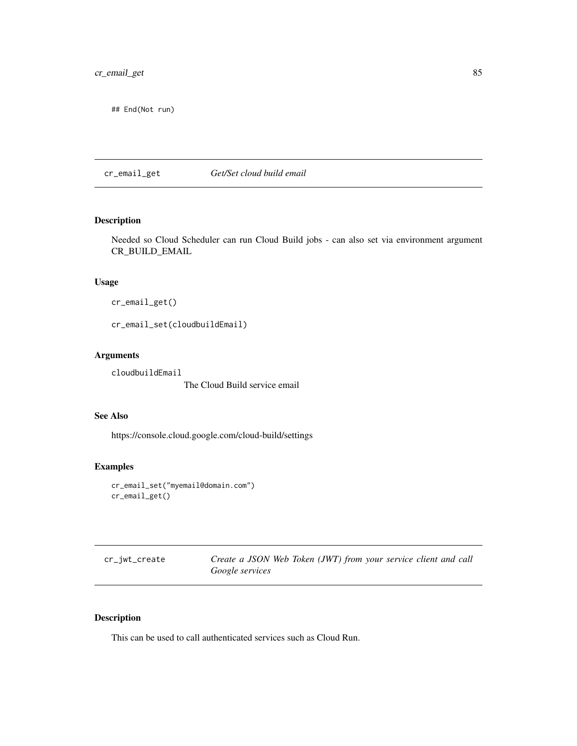## End(Not run)

<span id="page-84-1"></span>cr\_email\_get *Get/Set cloud build email*

# <span id="page-84-0"></span>Description

Needed so Cloud Scheduler can run Cloud Build jobs - can also set via environment argument CR\_BUILD\_EMAIL

# Usage

```
cr_email_get()
```
cr\_email\_set(cloudbuildEmail)

## Arguments

cloudbuildEmail

The Cloud Build service email

## See Also

https://console.cloud.google.com/cloud-build/settings

# Examples

```
cr_email_set("myemail@domain.com")
cr_email_get()
```
<span id="page-84-2"></span>

| cr_jwt_create | Create a JSON Web Token (JWT) from your service client and call |  |  |  |  |
|---------------|-----------------------------------------------------------------|--|--|--|--|
|               | <i>Google services</i>                                          |  |  |  |  |

# <span id="page-84-3"></span>Description

This can be used to call authenticated services such as Cloud Run.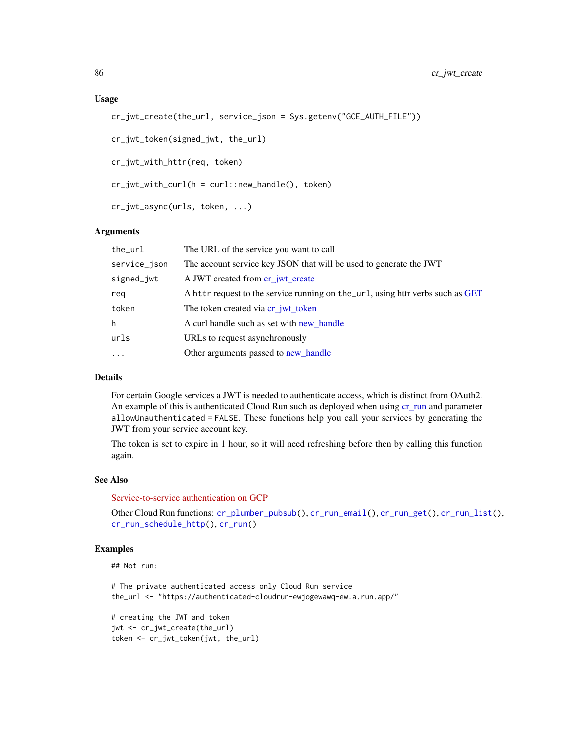```
cr_jwt_create(the_url, service_json = Sys.getenv("GCE_AUTH_FILE"))
```

```
cr_jwt_token(signed_jwt, the_url)
```
cr\_jwt\_with\_httr(req, token)

cr\_jwt\_with\_curl(h = curl::new\_handle(), token)

cr\_jwt\_async(urls, token, ...)

#### Arguments

| the_url      | The URL of the service you want to call                                        |
|--------------|--------------------------------------------------------------------------------|
| service_json | The account service key JSON that will be used to generate the JWT             |
| signed_jwt   | A JWT created from cr_jwt_create                                               |
| rea          | A httr request to the service running on the_url, using httr verbs such as GET |
| token        | The token created via cr_jwt_token                                             |
| h            | A curl handle such as set with new handle                                      |
| urls         | URLs to request asynchronously                                                 |
| $\cdots$     | Other arguments passed to new_handle                                           |
|              |                                                                                |

# Details

For certain Google services a JWT is needed to authenticate access, which is distinct from OAuth2. An example of this is authenticated Cloud Run such as deployed when using [cr\\_run](#page-89-1) and parameter allowUnauthenticated = FALSE. These functions help you call your services by generating the JWT from your service account key.

The token is set to expire in 1 hour, so it will need refreshing before then by calling this function again.

#### See Also

[Service-to-service authentication on GCP](https://cloud.google.com/run/docs/authenticating/service-to-service)

Other Cloud Run functions: [cr\\_plumber\\_pubsub\(](#page-86-0)), [cr\\_run\\_email\(](#page-91-0)), [cr\\_run\\_get\(](#page-92-0)), [cr\\_run\\_list\(](#page-92-1)), [cr\\_run\\_schedule\\_http\(](#page-93-0)), [cr\\_run\(](#page-89-1))

## Examples

## Not run:

```
# The private authenticated access only Cloud Run service
the_url <- "https://authenticated-cloudrun-ewjogewawq-ew.a.run.app/"
```

```
# creating the JWT and token
jwt <- cr_jwt_create(the_url)
token <- cr_jwt_token(jwt, the_url)
```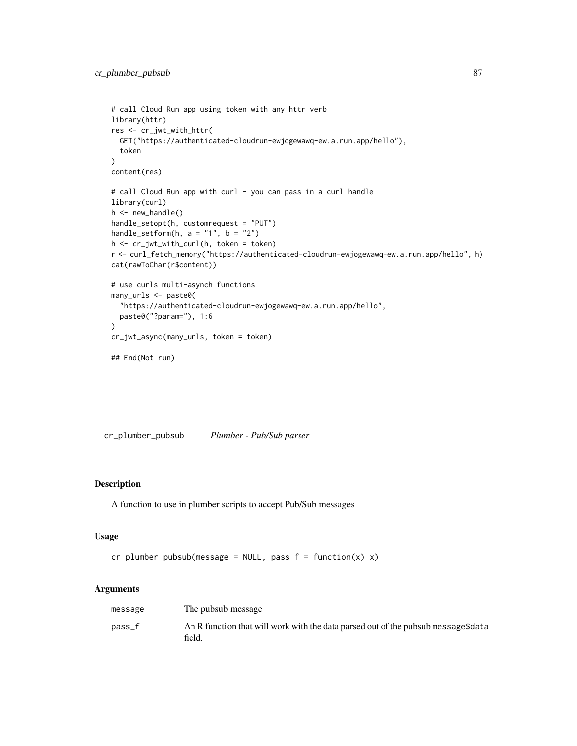```
# call Cloud Run app using token with any httr verb
library(httr)
res <- cr_jwt_with_httr(
  GET("https://authenticated-cloudrun-ewjogewawq-ew.a.run.app/hello"),
  token
\mathcal{L}content(res)
# call Cloud Run app with curl - you can pass in a curl handle
library(curl)
h <- new_handle()
handle_setopt(h, customrequest = "PUT")
handle_setform(h, a = "1", b = "2")h <- cr_jwt_with_curl(h, token = token)
r <- curl_fetch_memory("https://authenticated-cloudrun-ewjogewawq-ew.a.run.app/hello", h)
cat(rawToChar(r$content))
# use curls multi-asynch functions
many_urls <- paste0(
  "https://authenticated-cloudrun-ewjogewawq-ew.a.run.app/hello",
  paste0("?param="), 1:6
\mathcal{L}cr_jwt_async(many_urls, token = token)
## End(Not run)
```
<span id="page-86-0"></span>cr\_plumber\_pubsub *Plumber - Pub/Sub parser*

## Description

A function to use in plumber scripts to accept Pub/Sub messages

#### Usage

```
cr\_plumber\_pubsub(message = NULL, pass_f = function(x) x)
```

| message | The pubsub message                                                                          |
|---------|---------------------------------------------------------------------------------------------|
| pass f  | An R function that will work with the data parsed out of the pubsub message\$data<br>field. |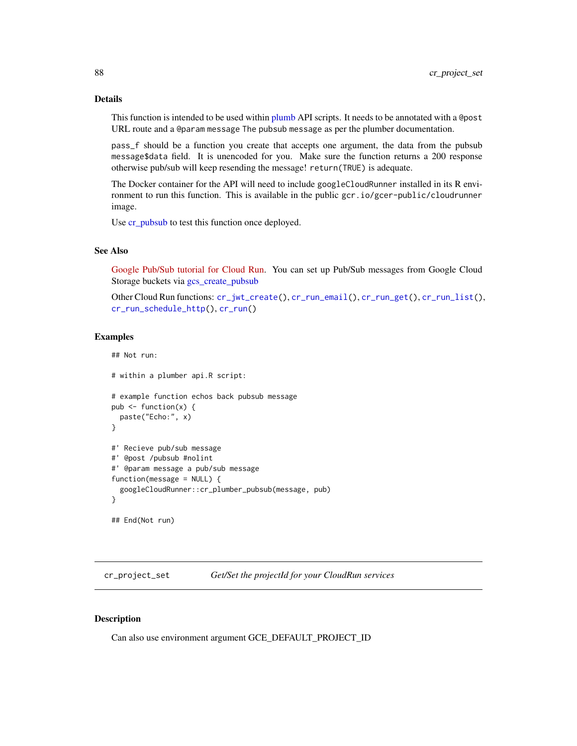## Details

This function is intended to be used within [plumb](#page-0-0) API scripts. It needs to be annotated with a @post URL route and a @param message The pubsub message as per the plumber documentation.

pass\_f should be a function you create that accepts one argument, the data from the pubsub message\$data field. It is unencoded for you. Make sure the function returns a 200 response otherwise pub/sub will keep resending the message! return(TRUE) is adequate.

The Docker container for the API will need to include googleCloudRunner installed in its R environment to run this function. This is available in the public gcr.io/gcer-public/cloudrunner image.

Use [cr\\_pubsub](#page-88-0) to test this function once deployed.

#### See Also

[Google Pub/Sub tutorial for Cloud Run.](https://cloud.google.com/run/docs/tutorials/pubsub) You can set up Pub/Sub messages from Google Cloud Storage buckets via [gcs\\_create\\_pubsub](#page-0-0)

Other Cloud Run functions: [cr\\_jwt\\_create\(](#page-84-2)), [cr\\_run\\_email\(](#page-91-0)), [cr\\_run\\_get\(](#page-92-0)), [cr\\_run\\_list\(](#page-92-1)), [cr\\_run\\_schedule\\_http\(](#page-93-0)), [cr\\_run\(](#page-89-1))

## Examples

## Not run:

```
# within a plumber api.R script:
# example function echos back pubsub message
pub \leq function(x) {
 paste("Echo:", x)
}
#' Recieve pub/sub message
#' @post /pubsub #nolint
#' @param message a pub/sub message
function(message = NULL) {
 googleCloudRunner::cr_plumber_pubsub(message, pub)
}
## End(Not run)
```
<span id="page-87-0"></span>cr\_project\_set *Get/Set the projectId for your CloudRun services*

#### Description

Can also use environment argument GCE\_DEFAULT\_PROJECT\_ID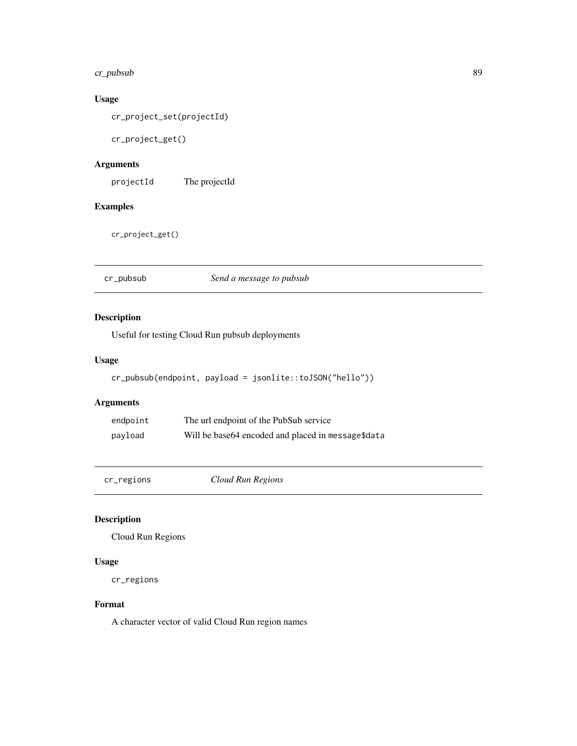# cr\_pubsub 89

# Usage

cr\_project\_set(projectId)

cr\_project\_get()

# Arguments

projectId The projectId

# Examples

cr\_project\_get()

<span id="page-88-0"></span>cr\_pubsub *Send a message to pubsub*

# Description

Useful for testing Cloud Run pubsub deployments

#### Usage

```
cr_pubsub(endpoint, payload = jsonlite::toJSON("hello"))
```
# Arguments

| endpoint | The url endpoint of the PubSub service             |
|----------|----------------------------------------------------|
| payload  | Will be base64 encoded and placed in message\$data |

cr\_regions *Cloud Run Regions*

# Description

Cloud Run Regions

# Usage

cr\_regions

# Format

A character vector of valid Cloud Run region names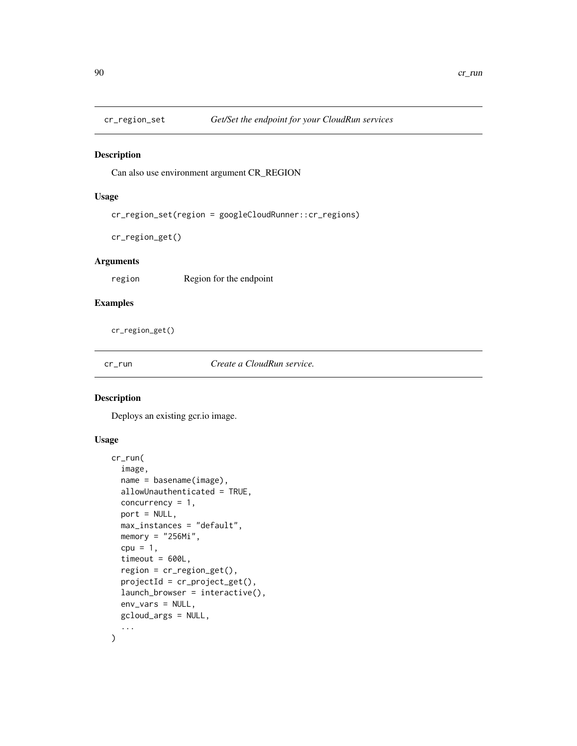<span id="page-89-0"></span>

# Description

Can also use environment argument CR\_REGION

## Usage

cr\_region\_set(region = googleCloudRunner::cr\_regions)

cr\_region\_get()

#### Arguments

region Region for the endpoint

#### Examples

cr\_region\_get()

<span id="page-89-1"></span>cr\_run *Create a CloudRun service.*

# Description

Deploys an existing gcr.io image.

# Usage

```
cr_run(
  image,
  name = basename(image),
  allowUnauthenticated = TRUE,
  concurrency = 1,
  port = NULL,
 max_instances = "default",
  memory = "256Mi",
  cpu = 1,timeout = 600L,
  region = cr_region_get(),
  projectId = cr_project_get(),
  launch_browser = interactive(),
  env_vars = NULL,
 gcloud_args = NULL,
  ...
\mathcal{E}
```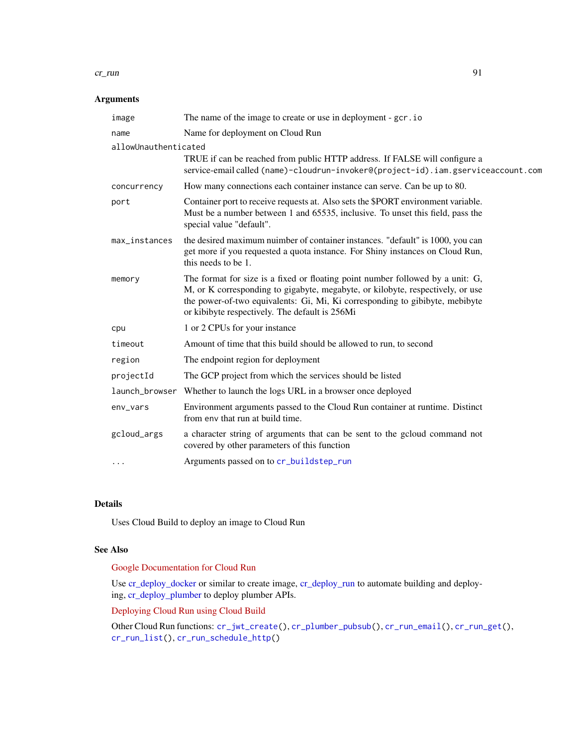#### cr\_run 91

# Arguments

| image                | The name of the image to create or use in deployment - gcr. io                                                                                                                                                                                                                                     |  |
|----------------------|----------------------------------------------------------------------------------------------------------------------------------------------------------------------------------------------------------------------------------------------------------------------------------------------------|--|
| name                 | Name for deployment on Cloud Run                                                                                                                                                                                                                                                                   |  |
| allowUnauthenticated |                                                                                                                                                                                                                                                                                                    |  |
|                      | TRUE if can be reached from public HTTP address. If FALSE will configure a<br>service-email called (name)-cloudrun-invoker@(project-id).iam.gserviceaccount.com                                                                                                                                    |  |
| concurrency          | How many connections each container instance can serve. Can be up to 80.                                                                                                                                                                                                                           |  |
| port                 | Container port to receive requests at. Also sets the \$PORT environment variable.<br>Must be a number between 1 and 65535, inclusive. To unset this field, pass the<br>special value "default".                                                                                                    |  |
| max_instances        | the desired maximum nuimber of container instances. "default" is 1000, you can<br>get more if you requested a quota instance. For Shiny instances on Cloud Run,<br>this needs to be 1.                                                                                                             |  |
| memory               | The format for size is a fixed or floating point number followed by a unit: G,<br>M, or K corresponding to gigabyte, megabyte, or kilobyte, respectively, or use<br>the power-of-two equivalents: Gi, Mi, Ki corresponding to gibibyte, mebibyte<br>or kibibyte respectively. The default is 256Mi |  |
| cpu                  | 1 or 2 CPUs for your instance                                                                                                                                                                                                                                                                      |  |
| timeout              | Amount of time that this build should be allowed to run, to second                                                                                                                                                                                                                                 |  |
| region               | The endpoint region for deployment                                                                                                                                                                                                                                                                 |  |
| projectId            | The GCP project from which the services should be listed                                                                                                                                                                                                                                           |  |
|                      | launch_browser Whether to launch the logs URL in a browser once deployed                                                                                                                                                                                                                           |  |
| env_vars             | Environment arguments passed to the Cloud Run container at runtime. Distinct<br>from env that run at build time.                                                                                                                                                                                   |  |
| gcloud_args          | a character string of arguments that can be sent to the gcloud command not<br>covered by other parameters of this function                                                                                                                                                                         |  |
| .                    | Arguments passed on to cr_buildstep_run                                                                                                                                                                                                                                                            |  |

# Details

Uses Cloud Build to deploy an image to Cloud Run

# See Also

# [Google Documentation for Cloud Run](https://cloud.google.com/run/)

Use [cr\\_deploy\\_docker](#page-68-0) or similar to create image, [cr\\_deploy\\_run](#page-79-0) to automate building and deploying, [cr\\_deploy\\_plumber](#page-79-1) to deploy plumber APIs.

# [Deploying Cloud Run using Cloud Build](https://cloud.google.com/build/docs/deploying-builds/deploy-cloud-run)

Other Cloud Run functions: [cr\\_jwt\\_create\(](#page-84-2)), [cr\\_plumber\\_pubsub\(](#page-86-0)), [cr\\_run\\_email\(](#page-91-0)), [cr\\_run\\_get\(](#page-92-0)), [cr\\_run\\_list\(](#page-92-1)), [cr\\_run\\_schedule\\_http\(](#page-93-0))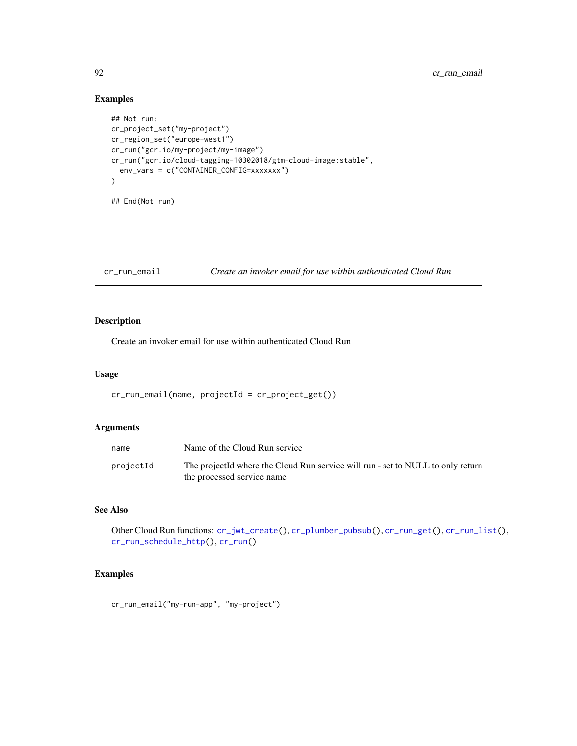# Examples

```
## Not run:
cr_project_set("my-project")
cr_region_set("europe-west1")
cr_run("gcr.io/my-project/my-image")
cr_run("gcr.io/cloud-tagging-10302018/gtm-cloud-image:stable",
  env_vars = c("CONTAINER_CONFIG=xxxxxxx")
\mathcal{L}## End(Not run)
```
## <span id="page-91-0"></span>cr\_run\_email *Create an invoker email for use within authenticated Cloud Run*

# Description

Create an invoker email for use within authenticated Cloud Run

## Usage

```
cr_run_email(name, projectId = cr_project_get())
```
# Arguments

| name      | Name of the Cloud Run service                                                                                 |
|-----------|---------------------------------------------------------------------------------------------------------------|
| projectId | The projectId where the Cloud Run service will run - set to NULL to only return<br>the processed service name |

#### See Also

Other Cloud Run functions: [cr\\_jwt\\_create\(](#page-84-2)), [cr\\_plumber\\_pubsub\(](#page-86-0)), [cr\\_run\\_get\(](#page-92-0)), [cr\\_run\\_list\(](#page-92-1)), [cr\\_run\\_schedule\\_http\(](#page-93-0)), [cr\\_run\(](#page-89-1))

# Examples

cr\_run\_email("my-run-app", "my-project")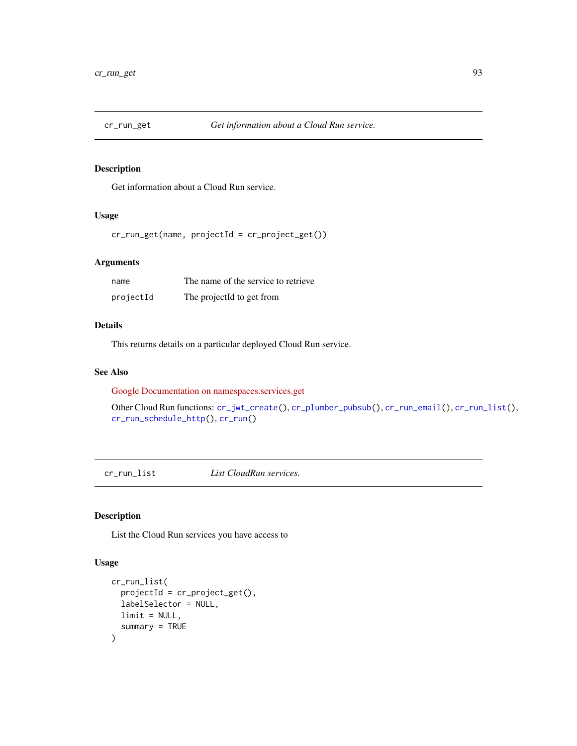<span id="page-92-0"></span>

# Description

Get information about a Cloud Run service.

# Usage

cr\_run\_get(name, projectId = cr\_project\_get())

#### Arguments

| name      | The name of the service to retrieve |
|-----------|-------------------------------------|
| projectId | The projectId to get from           |

#### Details

This returns details on a particular deployed Cloud Run service.

#### See Also

[Google Documentation on namespaces.services.get](https://cloud.google.com/run/docs/reference/rest/v1/namespaces.services/get)

Other Cloud Run functions: [cr\\_jwt\\_create\(](#page-84-2)), [cr\\_plumber\\_pubsub\(](#page-86-0)), [cr\\_run\\_email\(](#page-91-0)), [cr\\_run\\_list\(](#page-92-1)), [cr\\_run\\_schedule\\_http\(](#page-93-0)), [cr\\_run\(](#page-89-1))

<span id="page-92-1"></span>cr\_run\_list *List CloudRun services.*

# Description

List the Cloud Run services you have access to

# Usage

```
cr_run_list(
  projectId = cr_project_get(),
  labelSelector = NULL,
  limit = NULL,
  summary = TRUE
\mathcal{E}
```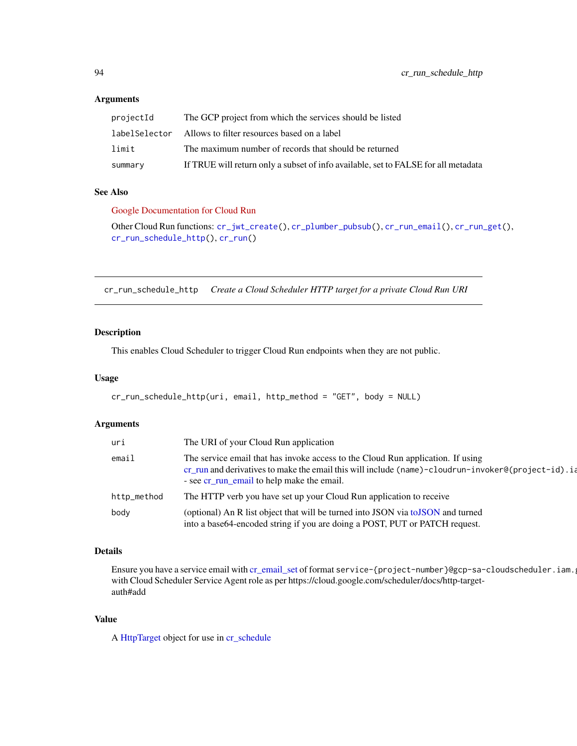#### Arguments

| projectId | The GCP project from which the services should be listed                           |
|-----------|------------------------------------------------------------------------------------|
|           | label Selector Allows to filter resources based on a label                         |
| limit     | The maximum number of records that should be returned                              |
| summary   | If TRUE will return only a subset of info available, set to FALSE for all metadata |

## See Also

[Google Documentation for Cloud Run](https://cloud.google.com/run/)

Other Cloud Run functions: [cr\\_jwt\\_create\(](#page-84-2)), [cr\\_plumber\\_pubsub\(](#page-86-0)), [cr\\_run\\_email\(](#page-91-0)), [cr\\_run\\_get\(](#page-92-0)), [cr\\_run\\_schedule\\_http\(](#page-93-0)), [cr\\_run\(](#page-89-1))

<span id="page-93-0"></span>cr\_run\_schedule\_http *Create a Cloud Scheduler HTTP target for a private Cloud Run URI*

#### Description

This enables Cloud Scheduler to trigger Cloud Run endpoints when they are not public.

## Usage

```
cr_run_schedule_http(uri, email, http_method = "GET", body = NULL)
```
#### Arguments

| uri         | The URI of your Cloud Run application                                                                                                                                                                                               |
|-------------|-------------------------------------------------------------------------------------------------------------------------------------------------------------------------------------------------------------------------------------|
| email       | The service email that has invoke access to the Cloud Run application. If using<br>cr_run and derivatives to make the email this will include (name)-cloudrun-invoker@(project-id).ia<br>- see cr_run_email to help make the email. |
| http_method | The HTTP verb you have set up your Cloud Run application to receive                                                                                                                                                                 |
| body        | (optional) An R list object that will be turned into JSON via toJSON and turned<br>into a base64-encoded string if you are doing a POST, PUT or PATCH request.                                                                      |

## Details

Ensure you have a service email with [cr\\_email\\_set](#page-84-0) of format service-{project-number}@gcp-sa-cloudscheduler.iam. with Cloud Scheduler Service Agent role as per https://cloud.google.com/scheduler/docs/http-targetauth#add

#### Value

A [HttpTarget](#page-104-0) object for use in [cr\\_schedule](#page-50-0)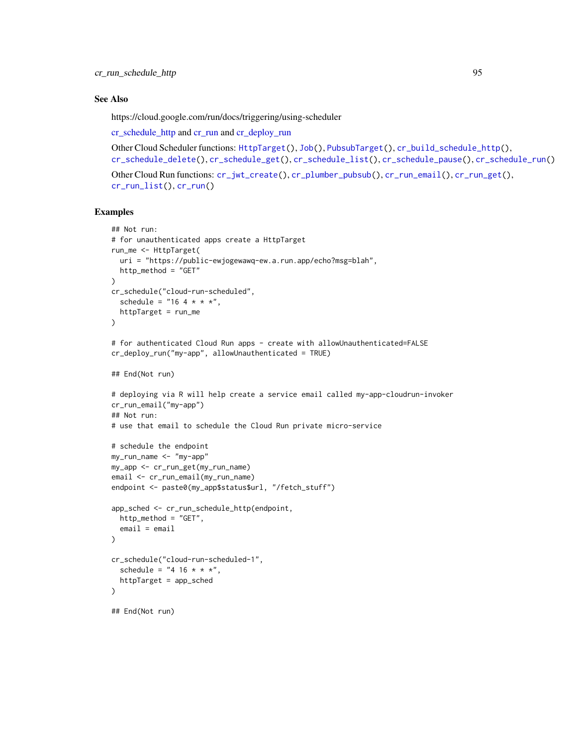#### See Also

https://cloud.google.com/run/docs/triggering/using-scheduler

[cr\\_schedule\\_http](#page-50-0) and [cr\\_run](#page-89-1) and [cr\\_deploy\\_run](#page-79-0)

```
Other Cloud Scheduler functions: HttpTarget(), Job(), PubsubTarget(), cr_build_schedule_http(),
cr_schedule_delete(), cr_schedule_get(), cr_schedule_list(), cr_schedule_pause(), cr_schedule_run()
```

```
Other Cloud Run functions: cr_jwt_create(), cr_plumber_pubsub(), cr_run_email(), cr_run_get(),
cr_run_list(), cr_run()
```
## Examples

```
## Not run:
# for unauthenticated apps create a HttpTarget
run_me <- HttpTarget(
 uri = "https://public-ewjogewawq-ew.a.run.app/echo?msg=blah",
 http_method = "GET"
)
cr_schedule("cloud-run-scheduled",
  schedule = "16 + * * * ",
  httpTarget = run_me
)
# for authenticated Cloud Run apps - create with allowUnauthenticated=FALSE
cr_deploy_run("my-app", allowUnauthenticated = TRUE)
## End(Not run)
# deploying via R will help create a service email called my-app-cloudrun-invoker
cr_run_email("my-app")
## Not run:
# use that email to schedule the Cloud Run private micro-service
# schedule the endpoint
my_run_name <- "my-app"
my_app <- cr_run_get(my_run_name)
email <- cr_run_email(my_run_name)
endpoint <- paste0(my_app$status$url, "/fetch_stuff")
app_sched <- cr_run_schedule_http(endpoint,
 http_method = "GET",
  email = email
)
cr_schedule("cloud-run-scheduled-1",
  schedule = "4 16 * * * ",
  httpTarget = app_sched
\mathcal{L}## End(Not run)
```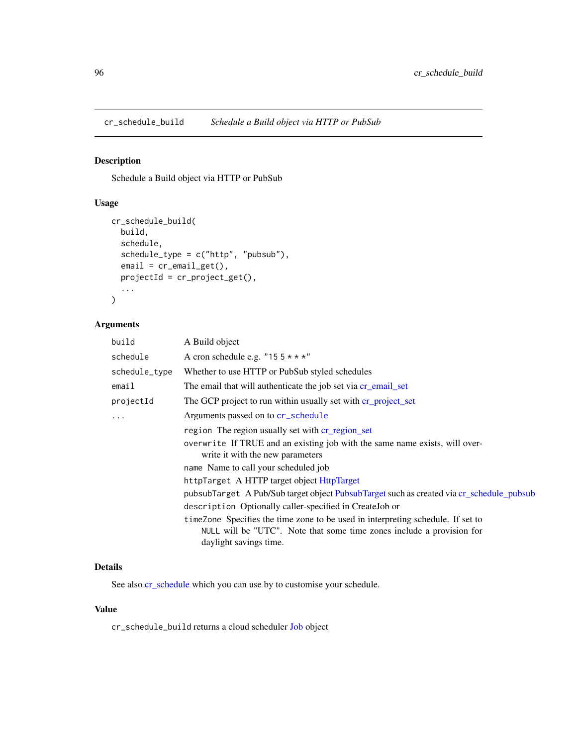cr\_schedule\_build *Schedule a Build object via HTTP or PubSub*

# Description

Schedule a Build object via HTTP or PubSub

# Usage

```
cr_schedule_build(
  build,
  schedule,
  schedule_type = c("http", "pubsub"),
  email = cr_{email\_get(),}projectId = cr_project_get(),
  ...
)
```
#### Arguments

| build         | A Build object                                                                                                                                                                      |
|---------------|-------------------------------------------------------------------------------------------------------------------------------------------------------------------------------------|
| schedule      | A cron schedule e.g. "15 $5 \times \times \times$ "                                                                                                                                 |
| schedule_type | Whether to use HTTP or PubSub styled schedules                                                                                                                                      |
| email         | The email that will authenticate the job set via cr_email_set                                                                                                                       |
| projectId     | The GCP project to run within usually set with cr_project_set                                                                                                                       |
| $\cdots$      | Arguments passed on to cr_schedule                                                                                                                                                  |
|               | region The region usually set with cr_region_set                                                                                                                                    |
|               | overwrite If TRUE and an existing job with the same name exists, will over-<br>write it with the new parameters                                                                     |
|               | name Name to call your scheduled job                                                                                                                                                |
|               | httpTarget A HTTP target object HttpTarget                                                                                                                                          |
|               | pubsubTarget A Pub/Sub target object PubsubTarget such as created via cr_schedule_pubsub                                                                                            |
|               | description Optionally caller-specified in CreateJob or                                                                                                                             |
|               | time Zone Specifies the time zone to be used in interpreting schedule. If set to<br>NULL will be "UTC". Note that some time zones include a provision for<br>daylight savings time. |

# Details

See also [cr\\_schedule](#page-50-0) which you can use by to customise your schedule.

## Value

cr\_schedule\_build returns a cloud scheduler [Job](#page-105-0) object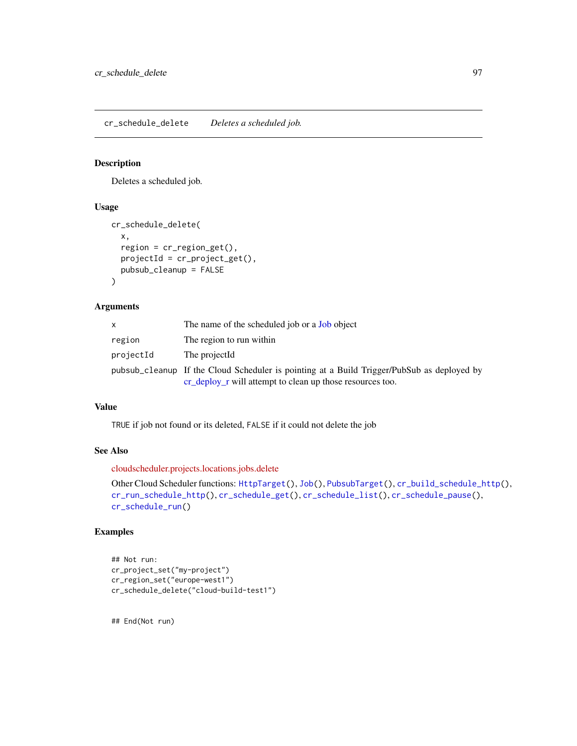<span id="page-96-0"></span>cr\_schedule\_delete *Deletes a scheduled job.*

#### Description

Deletes a scheduled job.

# Usage

```
cr_schedule_delete(
  x,
  region = cr_region_get(),
  projectId = cr_project_get(),
 pubsub_cleanup = FALSE
)
```
# Arguments

|           | The name of the scheduled job or a <b>Job</b> object                                       |
|-----------|--------------------------------------------------------------------------------------------|
| region    | The region to run within                                                                   |
| projectId | The projectId                                                                              |
|           | pubsub_cleanup If the Cloud Scheduler is pointing at a Build Trigger/PubSub as deployed by |
|           | cr_deploy_r will attempt to clean up those resources too.                                  |

### Value

TRUE if job not found or its deleted, FALSE if it could not delete the job

#### See Also

[cloudscheduler.projects.locations.jobs.delete](https://cloud.google.com/scheduler/docs/reference/rest/v1/projects.locations.jobs/delete)

```
Other Cloud Scheduler functions: HttpTarget(), Job(), PubsubTarget(), cr_build_schedule_http(),
cr_run_schedule_http(), cr_schedule_get(), cr_schedule_list(), cr_schedule_pause(),
cr_schedule_run()
```
## Examples

```
## Not run:
cr_project_set("my-project")
cr_region_set("europe-west1")
cr_schedule_delete("cloud-build-test1")
```
## End(Not run)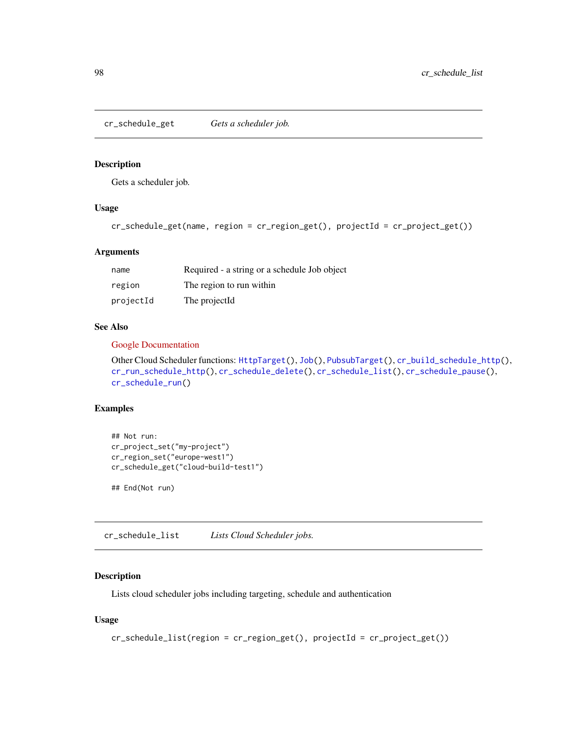<span id="page-97-0"></span>cr\_schedule\_get *Gets a scheduler job.*

#### Description

Gets a scheduler job.

# Usage

```
cr_schedule_get(name, region = cr_region_get(), projectId = cr_project_get())
```
#### Arguments

| name      | Required - a string or a schedule Job object |
|-----------|----------------------------------------------|
| region    | The region to run within                     |
| projectId | The projectId                                |

# See Also

#### [Google Documentation](https://cloud.google.com/scheduler/docs/reference/rest/v1/projects.locations.jobs/get)

Other Cloud Scheduler functions: [HttpTarget\(](#page-104-0)), [Job\(](#page-105-0)), [PubsubTarget\(](#page-107-0)), [cr\\_build\\_schedule\\_http\(](#page-50-1)), [cr\\_run\\_schedule\\_http\(](#page-93-0)), [cr\\_schedule\\_delete\(](#page-96-0)), [cr\\_schedule\\_list\(](#page-97-1)), [cr\\_schedule\\_pause\(](#page-98-0)), [cr\\_schedule\\_run\(](#page-99-0))

# Examples

```
## Not run:
cr_project_set("my-project")
cr_region_set("europe-west1")
cr_schedule_get("cloud-build-test1")
```
## End(Not run)

<span id="page-97-1"></span>cr\_schedule\_list *Lists Cloud Scheduler jobs.*

# Description

Lists cloud scheduler jobs including targeting, schedule and authentication

# Usage

```
cr_schedule_list(region = cr_region_get(), projectId = cr_project_get())
```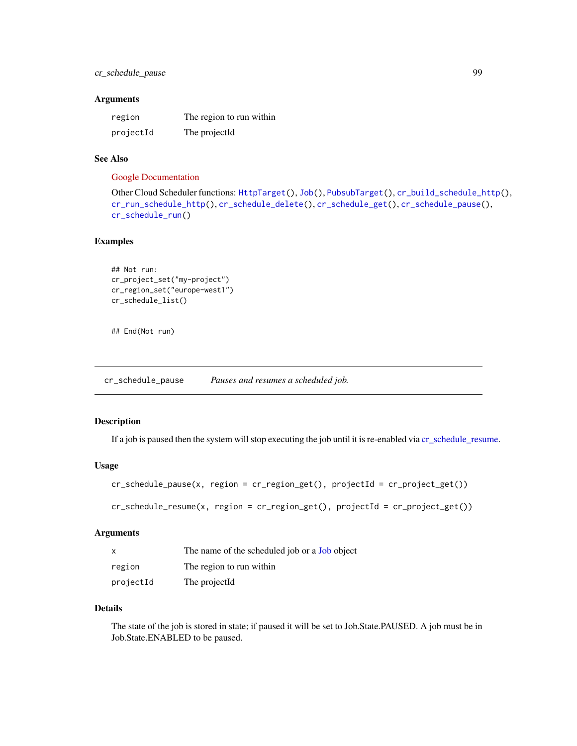# cr\_schedule\_pause 99

#### Arguments

| region    | The region to run within |
|-----------|--------------------------|
| projectId | The projectId            |

## See Also

#### [Google Documentation](https://cloud.google.com/scheduler/docs/reference/rest/v1/projects.locations.jobs/list)

```
Other Cloud Scheduler functions: HttpTarget(), Job(), PubsubTarget(), cr_build_schedule_http(),
cr_run_schedule_http(), cr_schedule_delete(), cr_schedule_get(), cr_schedule_pause(),
cr_schedule_run()
```
## Examples

```
## Not run:
cr_project_set("my-project")
cr_region_set("europe-west1")
cr_schedule_list()
```
## End(Not run)

<span id="page-98-0"></span>cr\_schedule\_pause *Pauses and resumes a scheduled job.*

# <span id="page-98-1"></span>Description

If a job is paused then the system will stop executing the job until it is re-enabled via [cr\\_schedule\\_resume.](#page-98-1)

#### Usage

```
cr\_schedule\_pause(x, region = cr\_region\_get(), projectId = cr\_project.get())
```

```
cr_schedule_resume(x, region = cr_region_get(), projectId = cr_project_get())
```
#### Arguments

| $\mathsf{x}$ | The name of the scheduled job or a <b>Job</b> object |
|--------------|------------------------------------------------------|
| region       | The region to run within                             |
| projectId    | The projectId                                        |

#### Details

The state of the job is stored in state; if paused it will be set to Job.State.PAUSED. A job must be in Job.State.ENABLED to be paused.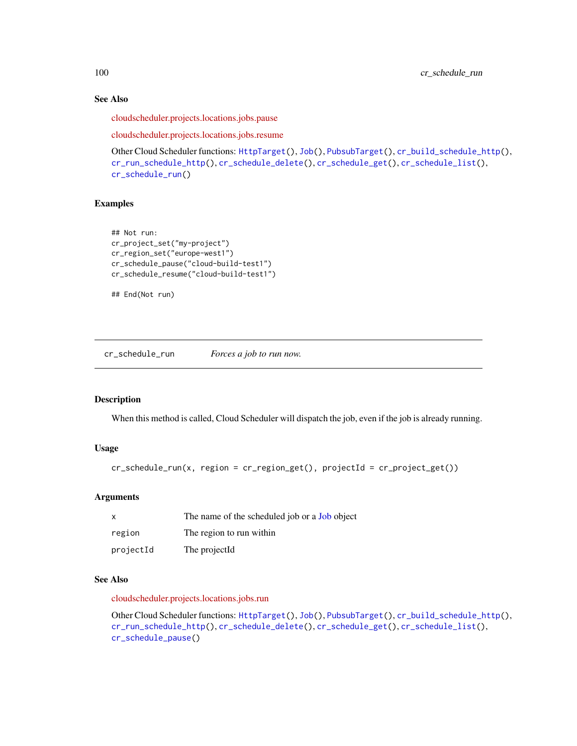# See Also

[cloudscheduler.projects.locations.jobs.pause](https://cloud.google.com/scheduler/docs/reference/rest/v1/projects.locations.jobs/pause)

[cloudscheduler.projects.locations.jobs.resume](https://cloud.google.com/scheduler/)

```
Other Cloud Scheduler functions: HttpTarget(), Job(), PubsubTarget(), cr_build_schedule_http(),
cr_run_schedule_http(), cr_schedule_delete(), cr_schedule_get(), cr_schedule_list(),
cr_schedule_run()
```
#### Examples

```
## Not run:
cr_project_set("my-project")
cr_region_set("europe-west1")
cr_schedule_pause("cloud-build-test1")
cr_schedule_resume("cloud-build-test1")
```

```
## End(Not run)
```
<span id="page-99-0"></span>cr\_schedule\_run *Forces a job to run now.*

#### Description

When this method is called, Cloud Scheduler will dispatch the job, even if the job is already running.

## Usage

```
cr_schedule_run(x, region = cr_region_get(), projectId = cr_project_get())
```
# Arguments

| х         | The name of the scheduled job or a <b>Job</b> object |
|-----------|------------------------------------------------------|
| region    | The region to run within                             |
| projectId | The projectId                                        |

#### See Also

[cloudscheduler.projects.locations.jobs.run](https://cloud.google.com/scheduler/docs/reference/rest/v1/projects.locations.jobs/run)

Other Cloud Scheduler functions: [HttpTarget\(](#page-104-0)), [Job\(](#page-105-0)), [PubsubTarget\(](#page-107-0)), [cr\\_build\\_schedule\\_http\(](#page-50-1)), [cr\\_run\\_schedule\\_http\(](#page-93-0)), [cr\\_schedule\\_delete\(](#page-96-0)), [cr\\_schedule\\_get\(](#page-97-0)), [cr\\_schedule\\_list\(](#page-97-1)), [cr\\_schedule\\_pause\(](#page-98-0))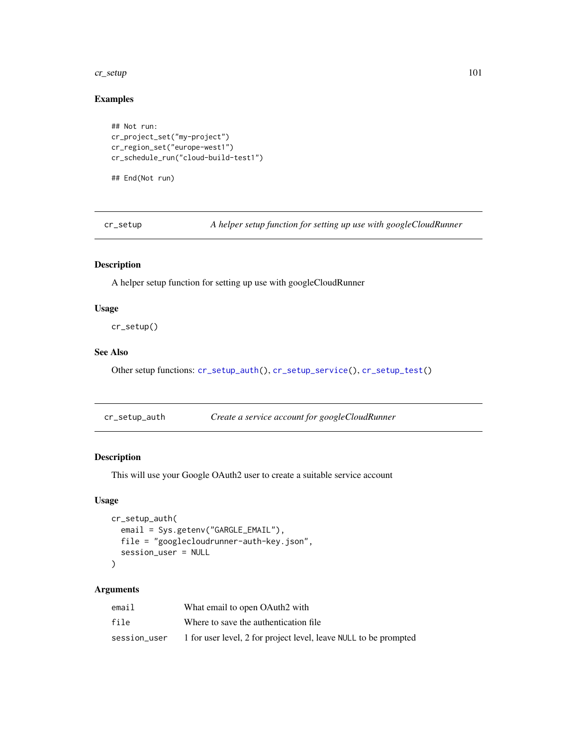#### cr\_setup 101

# Examples

```
## Not run:
cr_project_set("my-project")
cr_region_set("europe-west1")
cr_schedule_run("cloud-build-test1")
## End(Not run)
```
<span id="page-100-1"></span>cr\_setup *A helper setup function for setting up use with googleCloudRunner*

# Description

A helper setup function for setting up use with googleCloudRunner

#### Usage

cr\_setup()

# See Also

Other setup functions: [cr\\_setup\\_auth\(](#page-100-0)), [cr\\_setup\\_service\(](#page-101-0)), [cr\\_setup\\_test\(](#page-102-0))

<span id="page-100-0"></span>cr\_setup\_auth *Create a service account for googleCloudRunner*

# Description

This will use your Google OAuth2 user to create a suitable service account

# Usage

```
cr_setup_auth(
  email = Sys.getenv("GARGLE_EMAIL"),
 file = "googlecloudrunner-auth-key.json",
  session_user = NULL
)
```

| email        | What email to open OAuth2 with                                   |
|--------------|------------------------------------------------------------------|
| file         | Where to save the authentication file.                           |
| session_user | 1 for user level, 2 for project level, leave NULL to be prompted |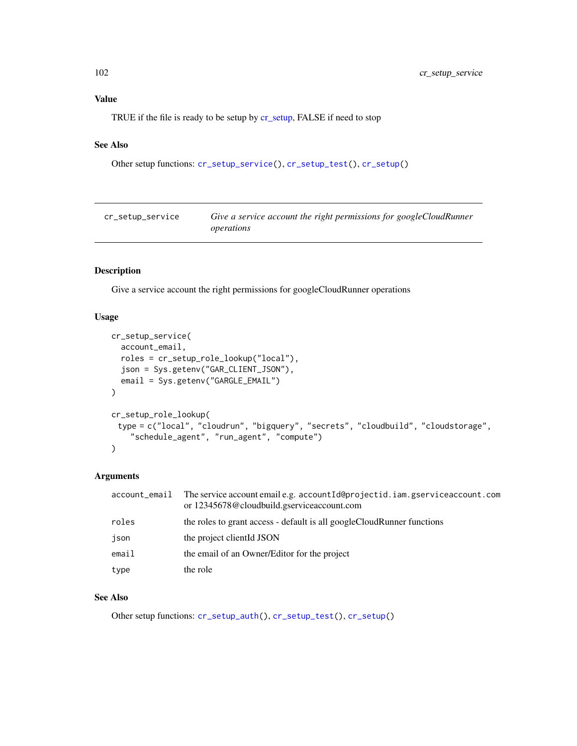# Value

TRUE if the file is ready to be setup by [cr\\_setup,](#page-100-1) FALSE if need to stop

# See Also

```
Other setup functions: cr_setup_service(), cr_setup_test(), cr_setup()
```
<span id="page-101-0"></span>

| cr_setup_service | Give a service account the right permissions for googleCloudRunner |
|------------------|--------------------------------------------------------------------|
|                  | operations                                                         |

# Description

Give a service account the right permissions for googleCloudRunner operations

# Usage

```
cr_setup_service(
  account_email,
  roles = cr_setup_role_lookup("local"),
  json = Sys.getenv("GAR_CLIENT_JSON"),
  email = Sys.getenv("GARGLE_EMAIL")
)
cr_setup_role_lookup(
 type = c("local", "cloudrun", "bigquery", "secrets", "cloudbuild", "cloudstorage",
    "schedule_agent", "run_agent", "compute")
)
```
# Arguments

| account_email | The service account email e.g. account Id@projectid.iam.gserviceaccount.com<br>or 12345678@cloudbuild.gserviceaccount.com |
|---------------|---------------------------------------------------------------------------------------------------------------------------|
| roles         | the roles to grant access - default is all googleCloudRunner functions                                                    |
| json          | the project client d JSON                                                                                                 |
| email         | the email of an Owner/Editor for the project                                                                              |
| type          | the role                                                                                                                  |

## See Also

Other setup functions: [cr\\_setup\\_auth\(](#page-100-0)), [cr\\_setup\\_test\(](#page-102-0)), [cr\\_setup\(](#page-100-1))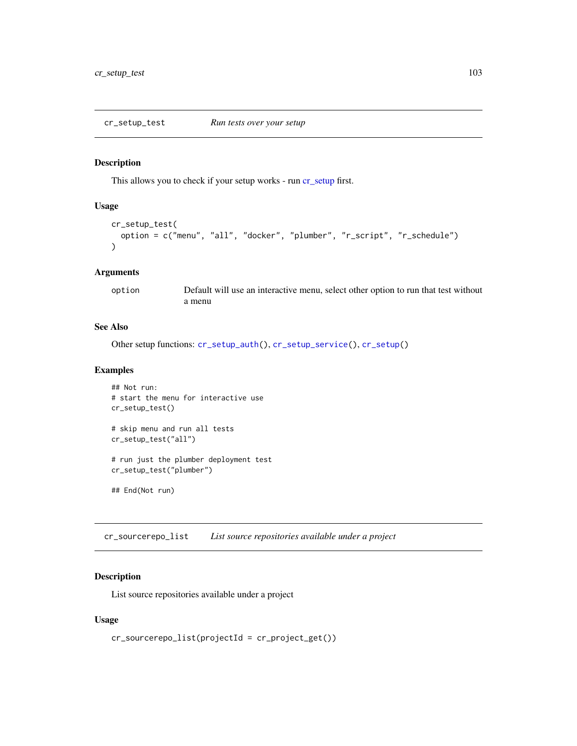#### <span id="page-102-0"></span>Description

This allows you to check if your setup works - run [cr\\_setup](#page-100-1) first.

## Usage

```
cr_setup_test(
  option = c("menu", "all", "docker", "plumber", "r_script", "r_schedule")
\lambda
```
## Arguments

option Default will use an interactive menu, select other option to run that test without a menu

# See Also

Other setup functions: [cr\\_setup\\_auth\(](#page-100-0)), [cr\\_setup\\_service\(](#page-101-0)), [cr\\_setup\(](#page-100-1))

#### Examples

```
## Not run:
# start the menu for interactive use
cr_setup_test()
# skip menu and run all tests
cr_setup_test("all")
# run just the plumber deployment test
cr_setup_test("plumber")
```
## End(Not run)

cr\_sourcerepo\_list *List source repositories available under a project*

## Description

List source repositories available under a project

#### Usage

```
cr_sourcerepo_list(projectId = cr_project_get())
```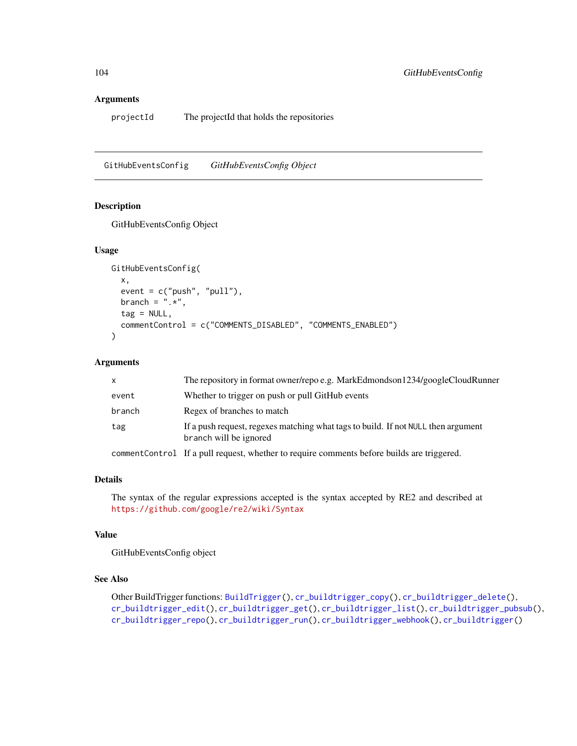#### Arguments

projectId The projectId that holds the repositories

GitHubEventsConfig *GitHubEventsConfig Object*

# Description

GitHubEventsConfig Object

#### Usage

```
GitHubEventsConfig(
  x,
  event = c("push", "pull"),branch = ".**",
  tag = NULL,commentControl = c("COMMENTS_DISABLED", "COMMENTS_ENABLED")
\mathcal{L}
```
#### Arguments

| $\mathsf{x}$ | The repository in format owner/repo e.g. MarkEdmondson1234/googleCloudRunner                                |
|--------------|-------------------------------------------------------------------------------------------------------------|
| event        | Whether to trigger on push or pull GitHub events                                                            |
| branch       | Regex of branches to match                                                                                  |
| tag          | If a push request, regexes matching what tags to build. If not NULL then argument<br>branch will be ignored |
|              | commentControl If a pull request, whether to require comments before builds are triggered.                  |

#### Details

The syntax of the regular expressions accepted is the syntax accepted by RE2 and described at <https://github.com/google/re2/wiki/Syntax>

# Value

GitHubEventsConfig object

# See Also

```
Other BuildTrigger functions: BuildTrigger(), cr_buildtrigger_copy(), cr_buildtrigger_delete(),
cr_buildtrigger_edit(), cr_buildtrigger_get(), cr_buildtrigger_list(), cr_buildtrigger_pubsub(),
cr_buildtrigger_repo(), cr_buildtrigger_run(), cr_buildtrigger_webhook(), cr_buildtrigger()
```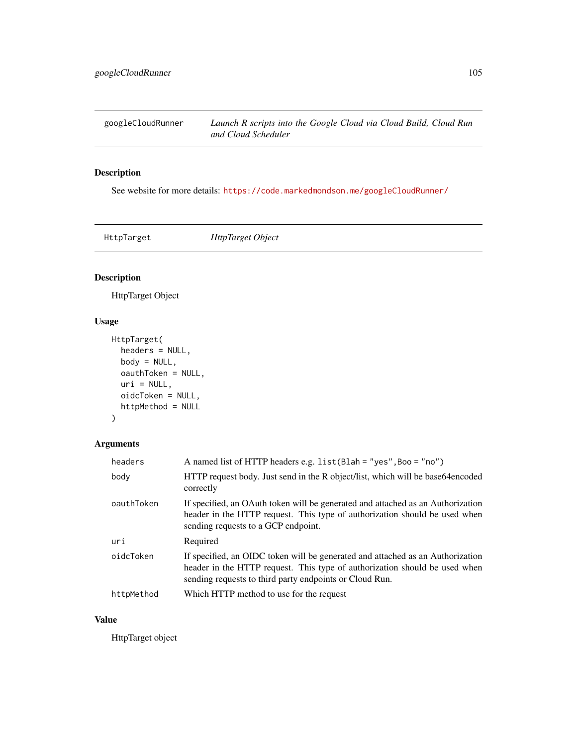googleCloudRunner *Launch R scripts into the Google Cloud via Cloud Build, Cloud Run and Cloud Scheduler*

# Description

See website for more details: <https://code.markedmondson.me/googleCloudRunner/>

<span id="page-104-0"></span>HttpTarget *HttpTarget Object*

# Description

HttpTarget Object

# Usage

```
HttpTarget(
 headers = NULL,
 body = NULL,
 oauthToken = NULL,
 uri = NULL,oidcToken = NULL,
 httpMethod = NULL
)
```
# Arguments

| headers    | A named list of HTTP headers e.g. list (Blah = "yes", Boo = "no")                                                                                                                                                       |
|------------|-------------------------------------------------------------------------------------------------------------------------------------------------------------------------------------------------------------------------|
| body       | HTTP request body. Just send in the R object/list, which will be base64encoded<br>correctly                                                                                                                             |
| oauthToken | If specified, an OAuth token will be generated and attached as an Authorization<br>header in the HTTP request. This type of authorization should be used when<br>sending requests to a GCP endpoint.                    |
| uri        | Required                                                                                                                                                                                                                |
| oidcToken  | If specified, an OIDC token will be generated and attached as an Authorization<br>header in the HTTP request. This type of authorization should be used when<br>sending requests to third party endpoints or Cloud Run. |
| httpMethod | Which HTTP method to use for the request                                                                                                                                                                                |

# Value

HttpTarget object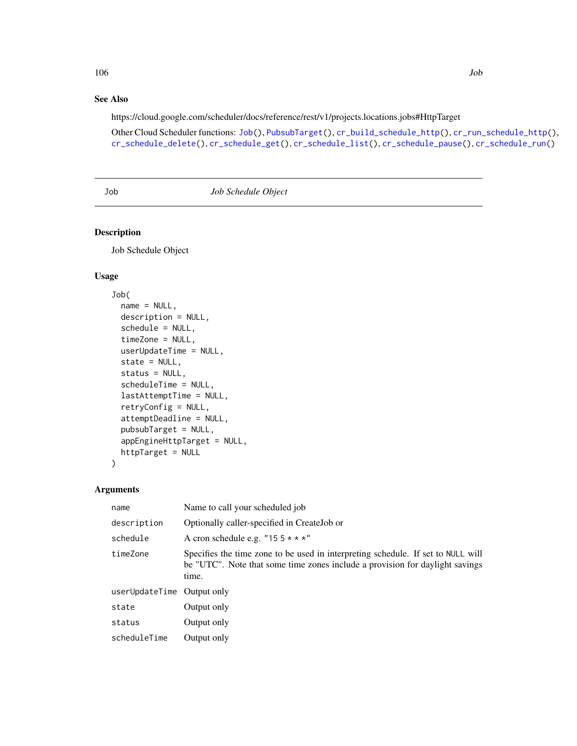#### 106 Job

# See Also

https://cloud.google.com/scheduler/docs/reference/rest/v1/projects.locations.jobs#HttpTarget

Other Cloud Scheduler functions: [Job\(](#page-105-0)), [PubsubTarget\(](#page-107-0)), [cr\\_build\\_schedule\\_http\(](#page-50-1)), [cr\\_run\\_schedule\\_http\(](#page-93-0)), [cr\\_schedule\\_delete\(](#page-96-0)), [cr\\_schedule\\_get\(](#page-97-0)), [cr\\_schedule\\_list\(](#page-97-1)), [cr\\_schedule\\_pause\(](#page-98-0)), [cr\\_schedule\\_run\(](#page-99-0))

<span id="page-105-0"></span>Job *Job Schedule Object*

# Description

Job Schedule Object

# Usage

```
Job(
  name = NULL,description = NULL,
  schedule = NULL,
  timeZone = NULL,
  userUpdateTime = NULL,
  state = NULL,
  status = NULL,
  scheduleTime = NULL,
  lastAttemptTime = NULL,
  retryConfig = NULL,
  attemptDeadline = NULL,
  pubsubTarget = NULL,
  appEngineHttpTarget = NULL,
  httpTarget = NULL
)
```

| name                       | Name to call your scheduled job                                                                                                                                           |
|----------------------------|---------------------------------------------------------------------------------------------------------------------------------------------------------------------------|
| description                | Optionally caller-specified in CreateJob or                                                                                                                               |
| schedule                   | A cron schedule e.g. "15 $5 \times \times \times$ "                                                                                                                       |
| timeZone                   | Specifies the time zone to be used in interpreting schedule. If set to NULL will<br>be "UTC". Note that some time zones include a provision for daylight savings<br>time. |
| userUpdateTime Output only |                                                                                                                                                                           |
| state                      | Output only                                                                                                                                                               |
| status                     | Output only                                                                                                                                                               |
| scheduleTime               | Output only                                                                                                                                                               |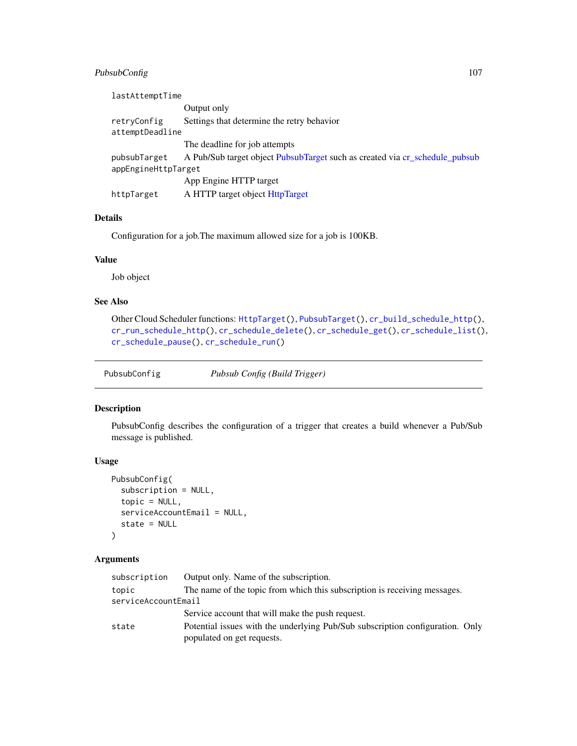# PubsubConfig 107

| lastAttemptTime     |                                                                             |
|---------------------|-----------------------------------------------------------------------------|
|                     | Output only                                                                 |
| retryConfig         | Settings that determine the retry behavior                                  |
| attemptDeadline     |                                                                             |
|                     | The deadline for job attempts                                               |
| pubsubTarget        | A Pub/Sub target object PubsubTarget such as created via cr_schedule_pubsub |
| appEngineHttpTarget |                                                                             |
|                     | App Engine HTTP target                                                      |
| httpTarget          | A HTTP target object HttpTarget                                             |

# Details

Configuration for a job.The maximum allowed size for a job is 100KB.

# Value

Job object

# See Also

```
Other Cloud Scheduler functions: HttpTarget(), PubsubTarget(), cr_build_schedule_http(),
cr_run_schedule_http(), cr_schedule_delete(), cr_schedule_get(), cr_schedule_list(),
cr_schedule_pause(), cr_schedule_run()
```
PubsubConfig *Pubsub Config (Build Trigger)*

# Description

PubsubConfig describes the configuration of a trigger that creates a build whenever a Pub/Sub message is published.

# Usage

```
PubsubConfig(
  subscription = NULL,
  topic = NULL,serviceAccountEmail = NULL,
  state = NULL
\mathcal{L}
```

| Output only. Name of the subscription.                                                                      |
|-------------------------------------------------------------------------------------------------------------|
| The name of the topic from which this subscription is receiving messages.                                   |
| serviceAccountEmail                                                                                         |
| Service account that will make the push request.                                                            |
| Potential issues with the underlying Pub/Sub subscription configuration. Only<br>populated on get requests. |
|                                                                                                             |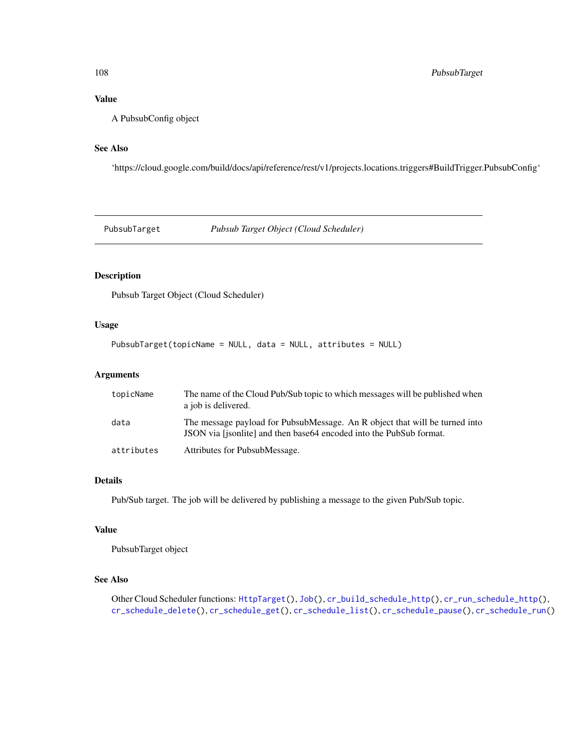# Value

A PubsubConfig object

#### See Also

'https://cloud.google.com/build/docs/api/reference/rest/v1/projects.locations.triggers#BuildTrigger.PubsubConfig'

<span id="page-107-0"></span>PubsubTarget *Pubsub Target Object (Cloud Scheduler)*

# Description

Pubsub Target Object (Cloud Scheduler)

# Usage

PubsubTarget(topicName = NULL, data = NULL, attributes = NULL)

## Arguments

| topicName  | The name of the Cloud Pub/Sub topic to which messages will be published when<br>a job is delivered.                                                |
|------------|----------------------------------------------------------------------------------------------------------------------------------------------------|
| data       | The message payload for PubsubMessage. An R object that will be turned into<br>JSON via [jsonlite] and then base64 encoded into the PubSub format. |
| attributes | Attributes for PubsubMessage.                                                                                                                      |

# Details

Pub/Sub target. The job will be delivered by publishing a message to the given Pub/Sub topic.

## Value

PubsubTarget object

# See Also

Other Cloud Scheduler functions: [HttpTarget\(](#page-104-0)), [Job\(](#page-105-0)), [cr\\_build\\_schedule\\_http\(](#page-50-1)), [cr\\_run\\_schedule\\_http\(](#page-93-0)), [cr\\_schedule\\_delete\(](#page-96-0)), [cr\\_schedule\\_get\(](#page-97-0)), [cr\\_schedule\\_list\(](#page-97-1)), [cr\\_schedule\\_pause\(](#page-98-0)), [cr\\_schedule\\_run\(](#page-99-0))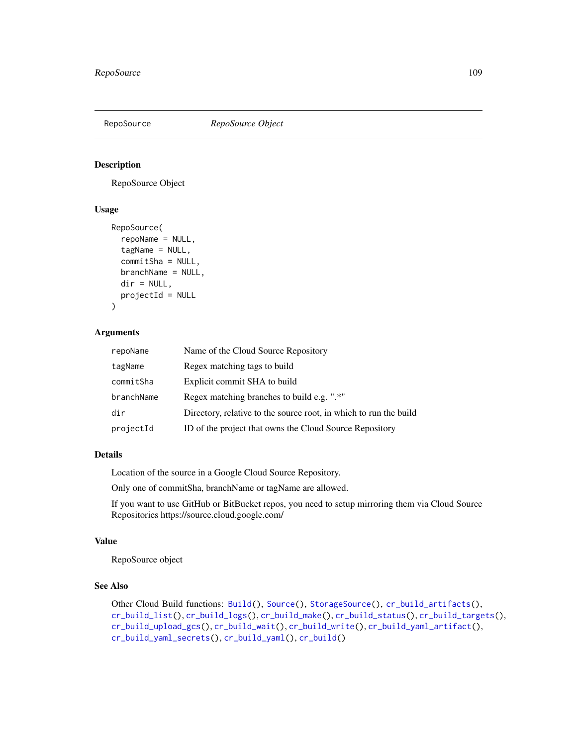<span id="page-108-1"></span><span id="page-108-0"></span>

#### Description

RepoSource Object

#### Usage

```
RepoSource(
  repoName = NULL,
  tagName = NULL,
  commitSha = NULL,
  branchName = NULL,
  dir = NULL,projectId = NULL
)
```
#### Arguments

| repoName   | Name of the Cloud Source Repository                               |
|------------|-------------------------------------------------------------------|
| tagName    | Regex matching tags to build                                      |
| commitSha  | Explicit commit SHA to build                                      |
| branchName | Regex matching branches to build e.g. ".*"                        |
| dir        | Directory, relative to the source root, in which to run the build |
| projectId  | ID of the project that owns the Cloud Source Repository           |

#### Details

Location of the source in a Google Cloud Source Repository.

Only one of commitSha, branchName or tagName are allowed.

If you want to use GitHub or BitBucket repos, you need to setup mirroring them via Cloud Source Repositories https://source.cloud.google.com/

#### Value

RepoSource object

#### See Also

Other Cloud Build functions: [Build\(](#page-3-0)), [Source\(](#page-109-0)), [StorageSource\(](#page-110-0)), [cr\\_build\\_artifacts\(](#page-44-0)), [cr\\_build\\_list\(](#page-45-0)), [cr\\_build\\_logs\(](#page-48-0)), [cr\\_build\\_make\(](#page-49-0)), [cr\\_build\\_status\(](#page-56-0)), [cr\\_build\\_targets\(](#page-57-0)), [cr\\_build\\_upload\\_gcs\(](#page-60-0)), [cr\\_build\\_wait\(](#page-62-0)), [cr\\_build\\_write\(](#page-62-1)), [cr\\_build\\_yaml\\_artifact\(](#page-65-0)), [cr\\_build\\_yaml\\_secrets\(](#page-66-0)), [cr\\_build\\_yaml\(](#page-63-0)), [cr\\_build\(](#page-7-0))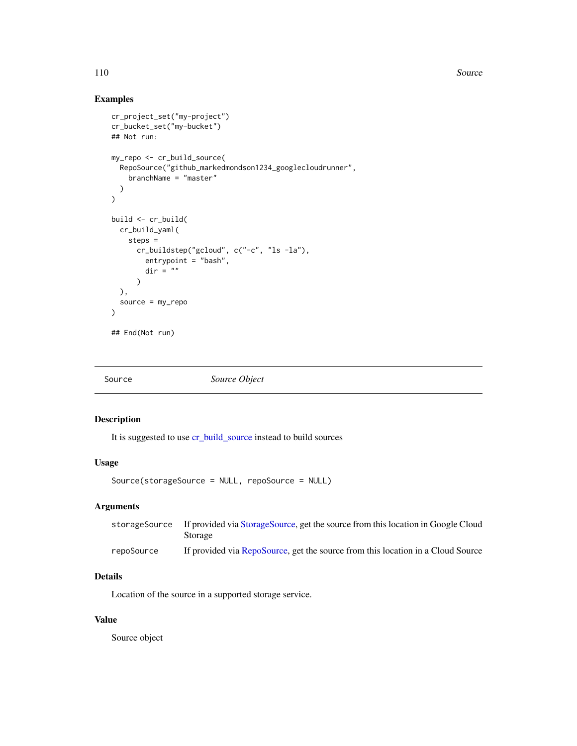<span id="page-109-1"></span>110 Source

#### Examples

```
cr_project_set("my-project")
cr_bucket_set("my-bucket")
## Not run:
my_repo <- cr_build_source(
  RepoSource("github_markedmondson1234_googlecloudrunner",
    branchName = "master"
  )
\lambdabuild <- cr_build(
  cr_build_yaml(
    steps =
      cr_buildstep("gcloud", c("-c", "ls -la"),
        entrypoint = "bash",
        dir = ")
  ),
  source = my_repo
\overline{\phantom{a}}## End(Not run)
```
<span id="page-109-0"></span>Source *Source Object*

#### Description

It is suggested to use [cr\\_build\\_source](#page-55-0) instead to build sources

#### Usage

Source(storageSource = NULL, repoSource = NULL)

#### Arguments

|            | storageSource If provided via StorageSource, get the source from this location in Google Cloud<br>Storage |
|------------|-----------------------------------------------------------------------------------------------------------|
| repoSource | If provided via RepoSource, get the source from this location in a Cloud Source                           |

## Details

Location of the source in a supported storage service.

#### Value

Source object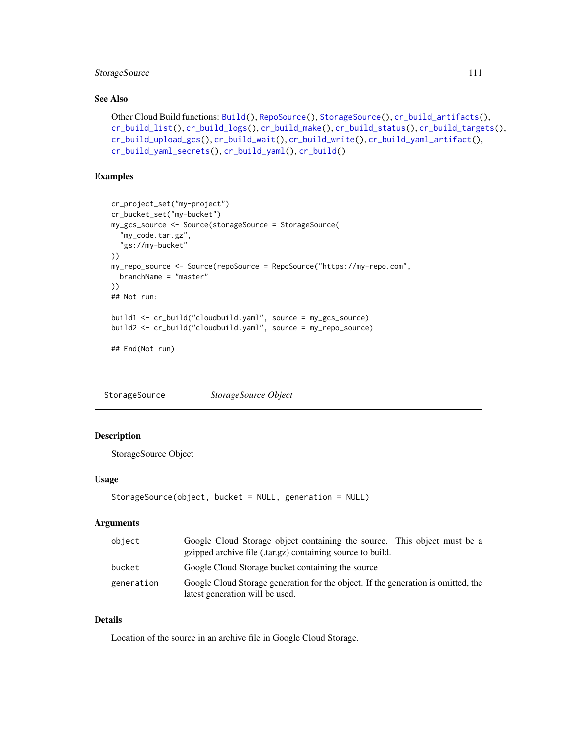#### <span id="page-110-1"></span>StorageSource 1111

#### See Also

```
Other Cloud Build functions: Build(), RepoSource(), StorageSource(), cr_build_artifacts(),
cr_build_list(), cr_build_logs(), cr_build_make(), cr_build_status(), cr_build_targets(),
cr_build_upload_gcs(), cr_build_wait(), cr_build_write(), cr_build_yaml_artifact(),
cr_build_yaml_secrets(), cr_build_yaml(), cr_build()
```
#### Examples

```
cr_project_set("my-project")
cr_bucket_set("my-bucket")
my_gcs_source <- Source(storageSource = StorageSource(
  "my_code.tar.gz",
  "gs://my-bucket"
))
my_repo_source <- Source(repoSource = RepoSource("https://my-repo.com",
  branchName = "master"
))
## Not run:
build1 <- cr_build("cloudbuild.yaml", source = my_gcs_source)
build2 <- cr_build("cloudbuild.yaml", source = my_repo_source)
```
## End(Not run)

<span id="page-110-0"></span>StorageSource *StorageSource Object*

#### Description

StorageSource Object

#### Usage

```
StorageSource(object, bucket = NULL, generation = NULL)
```
#### Arguments

| object     | Google Cloud Storage object containing the source. This object must be a<br>gzipped archive file (.tar.gz) containing source to build. |
|------------|----------------------------------------------------------------------------------------------------------------------------------------|
| bucket     | Google Cloud Storage bucket containing the source                                                                                      |
| generation | Google Cloud Storage generation for the object. If the generation is omitted, the<br>latest generation will be used.                   |

#### Details

Location of the source in an archive file in Google Cloud Storage.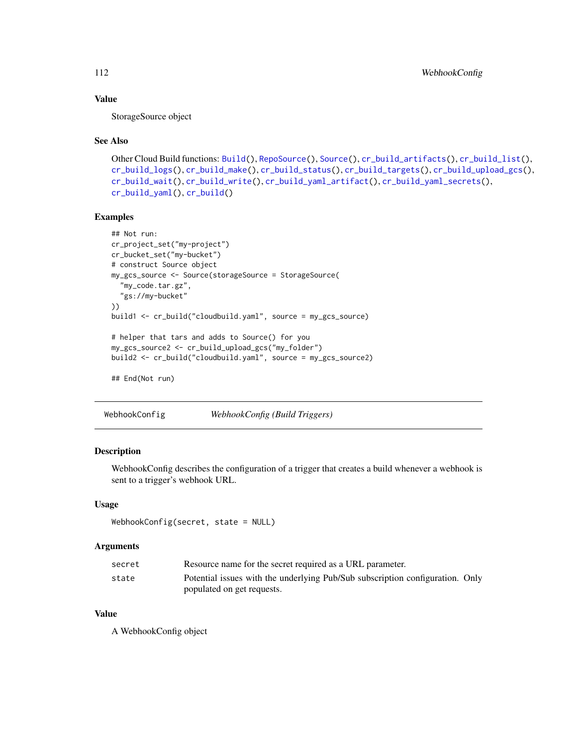#### Value

StorageSource object

#### See Also

```
Other Cloud Build functions: Build(), RepoSource(), Source(), cr_build_artifacts(), cr_build_list(),
cr_build_logs(), cr_build_make(), cr_build_status(), cr_build_targets(), cr_build_upload_gcs(),
cr_build_wait(), cr_build_write(), cr_build_yaml_artifact(), cr_build_yaml_secrets(),
cr_build_yaml(), cr_build()
```
#### Examples

```
## Not run:
cr_project_set("my-project")
cr_bucket_set("my-bucket")
# construct Source object
my_gcs_source <- Source(storageSource = StorageSource(
  "my_code.tar.gz",
  "gs://my-bucket"
))
build1 <- cr_build("cloudbuild.yaml", source = my_gcs_source)
# helper that tars and adds to Source() for you
my_gcs_source2 <- cr_build_upload_gcs("my_folder")
build2 <- cr_build("cloudbuild.yaml", source = my_gcs_source2)
## End(Not run)
```
WebhookConfig *WebhookConfig (Build Triggers)*

#### Description

WebhookConfig describes the configuration of a trigger that creates a build whenever a webhook is sent to a trigger's webhook URL.

#### Usage

```
WebhookConfig(secret, state = NULL)
```
#### Arguments

| secret | Resource name for the secret required as a URL parameter.                     |  |
|--------|-------------------------------------------------------------------------------|--|
| state  | Potential issues with the underlying Pub/Sub subscription configuration. Only |  |
|        | populated on get requests.                                                    |  |

#### Value

A WebhookConfig object

<span id="page-111-0"></span>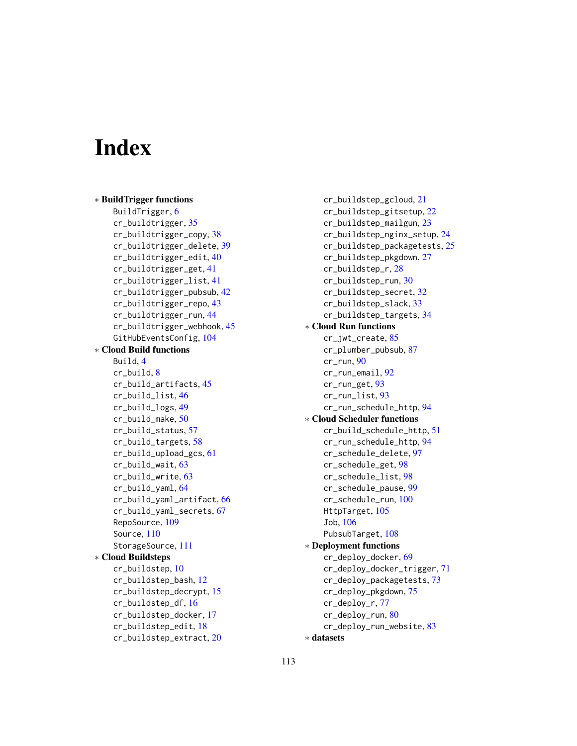# **Index**

∗ BuildTrigger functions BuildTrigger, [6](#page-5-0) cr\_buildtrigger, [35](#page-34-0) cr\_buildtrigger\_copy, [38](#page-37-0) cr\_buildtrigger\_delete, [39](#page-38-0) cr\_buildtrigger\_edit, [40](#page-39-0) cr\_buildtrigger\_get, [41](#page-40-0) cr\_buildtrigger\_list, [41](#page-40-0) cr\_buildtrigger\_pubsub, [42](#page-41-0) cr\_buildtrigger\_repo, [43](#page-42-0) cr\_buildtrigger\_run, [44](#page-43-0) cr\_buildtrigger\_webhook, [45](#page-44-1) GitHubEventsConfig, [104](#page-103-0) ∗ Cloud Build functions Build, [4](#page-3-1) cr\_build, [8](#page-7-1) cr\_build\_artifacts, [45](#page-44-1) cr\_build\_list, [46](#page-45-1) cr\_build\_logs, [49](#page-48-1) cr\_build\_make, [50](#page-49-1) cr\_build\_status, [57](#page-56-1) cr\_build\_targets, [58](#page-57-1) cr\_build\_upload\_gcs, [61](#page-60-1) cr\_build\_wait, [63](#page-62-2) cr\_build\_write, [63](#page-62-2) cr\_build\_yaml, [64](#page-63-1) cr\_build\_yaml\_artifact, [66](#page-65-1) cr\_build\_yaml\_secrets, [67](#page-66-1) RepoSource, [109](#page-108-1) Source, [110](#page-109-1) StorageSource, [111](#page-110-1) ∗ Cloud Buildsteps cr\_buildstep, [10](#page-9-0) cr\_buildstep\_bash, [12](#page-11-0) cr\_buildstep\_decrypt, [15](#page-14-0) cr\_buildstep\_df, [16](#page-15-0) cr\_buildstep\_docker, [17](#page-16-0) cr\_buildstep\_edit, [18](#page-17-0) cr\_buildstep\_extract, [20](#page-19-0)

cr\_buildstep\_gcloud, [21](#page-20-0) cr\_buildstep\_gitsetup, [22](#page-21-0) cr\_buildstep\_mailgun, [23](#page-22-0) cr\_buildstep\_nginx\_setup, [24](#page-23-0) cr\_buildstep\_packagetests, [25](#page-24-0) cr\_buildstep\_pkgdown, [27](#page-26-0) cr\_buildstep\_r, [28](#page-27-0) cr\_buildstep\_run, [30](#page-29-0) cr\_buildstep\_secret, [32](#page-31-0) cr\_buildstep\_slack, [33](#page-32-0) cr\_buildstep\_targets, [34](#page-33-0) ∗ Cloud Run functions cr\_jwt\_create, [85](#page-84-0) cr\_plumber\_pubsub, [87](#page-86-0) cr\_run, [90](#page-89-0) cr\_run\_email, [92](#page-91-0) cr\_run\_get, [93](#page-92-0) cr\_run\_list, [93](#page-92-0) cr\_run\_schedule\_http, [94](#page-93-0) ∗ Cloud Scheduler functions cr\_build\_schedule\_http, [51](#page-50-0) cr\_run\_schedule\_http, [94](#page-93-0) cr\_schedule\_delete, [97](#page-96-0) cr\_schedule\_get, [98](#page-97-0) cr\_schedule\_list, [98](#page-97-0) cr\_schedule\_pause, [99](#page-98-0) cr\_schedule\_run, [100](#page-99-0) HttpTarget, [105](#page-104-0) Job, [106](#page-105-0) PubsubTarget, [108](#page-107-0) ∗ Deployment functions cr\_deploy\_docker, [69](#page-68-0) cr\_deploy\_docker\_trigger, [71](#page-70-0) cr\_deploy\_packagetests, [73](#page-72-0) cr\_deploy\_pkgdown, [75](#page-74-0) cr\_deploy\_r, [77](#page-76-0) cr\_deploy\_run, [80](#page-79-0) cr\_deploy\_run\_website, [83](#page-82-0) ∗ datasets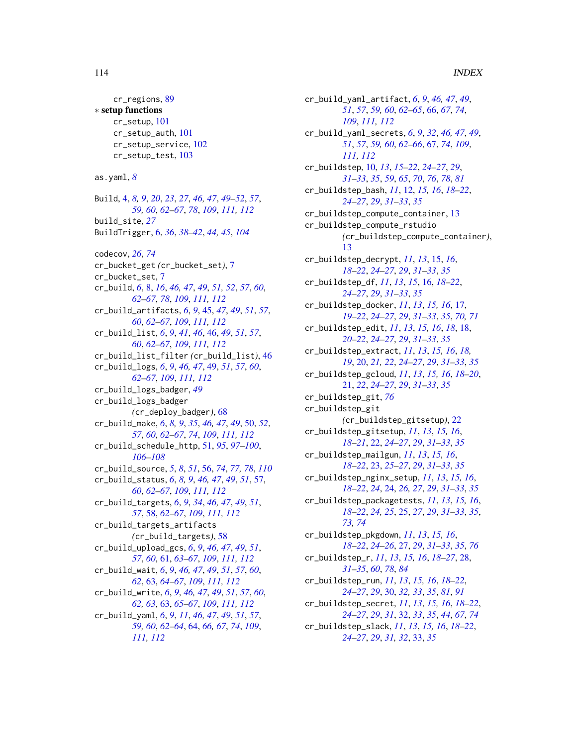#### 114 INDEX

cr\_regions, [89](#page-88-0) ∗ setup functions cr\_setup, [101](#page-100-0) cr\_setup\_auth, [101](#page-100-0) cr\_setup\_service, [102](#page-101-0) cr\_setup\_test, [103](#page-102-0) as.yaml, *[8](#page-7-1)* Build, [4,](#page-3-1) *[8,](#page-7-1) [9](#page-8-0)*, *[20](#page-19-0)*, *[23](#page-22-0)*, *[27](#page-26-0)*, *[46,](#page-45-1) [47](#page-46-0)*, *[49–](#page-48-1)[52](#page-51-0)*, *[57](#page-56-1)*, *[59,](#page-58-0) [60](#page-59-0)*, *[62](#page-61-0)[–67](#page-66-1)*, *[78](#page-77-0)*, *[109](#page-108-1)*, *[111,](#page-110-1) [112](#page-111-0)* build\_site, *[27](#page-26-0)* BuildTrigger, [6,](#page-5-0) *[36](#page-35-0)*, *[38–](#page-37-0)[42](#page-41-0)*, *[44,](#page-43-0) [45](#page-44-1)*, *[104](#page-103-0)* codecov, *[26](#page-25-0)*, *[74](#page-73-0)* cr\_bucket\_get *(*cr\_bucket\_set*)*, [7](#page-6-0) cr\_bucket\_set, [7](#page-6-0) cr\_build, *[6](#page-5-0)*, [8,](#page-7-1) *[16](#page-15-0)*, *[46,](#page-45-1) [47](#page-46-0)*, *[49](#page-48-1)*, *[51,](#page-50-0) [52](#page-51-0)*, *[57](#page-56-1)*, *[60](#page-59-0)*, *[62](#page-61-0)[–67](#page-66-1)*, *[78](#page-77-0)*, *[109](#page-108-1)*, *[111,](#page-110-1) [112](#page-111-0)* cr\_build\_artifacts, *[6](#page-5-0)*, *[9](#page-8-0)*, [45,](#page-44-1) *[47](#page-46-0)*, *[49](#page-48-1)*, *[51](#page-50-0)*, *[57](#page-56-1)*, *[60](#page-59-0)*, *[62](#page-61-0)[–67](#page-66-1)*, *[109](#page-108-1)*, *[111,](#page-110-1) [112](#page-111-0)* cr\_build\_list, *[6](#page-5-0)*, *[9](#page-8-0)*, *[41](#page-40-0)*, *[46](#page-45-1)*, [46,](#page-45-1) *[49](#page-48-1)*, *[51](#page-50-0)*, *[57](#page-56-1)*, *[60](#page-59-0)*, *[62](#page-61-0)[–67](#page-66-1)*, *[109](#page-108-1)*, *[111,](#page-110-1) [112](#page-111-0)* cr\_build\_list\_filter *(*cr\_build\_list*)*, [46](#page-45-1) cr\_build\_logs, *[6](#page-5-0)*, *[9](#page-8-0)*, *[46,](#page-45-1) [47](#page-46-0)*, [49,](#page-48-1) *[51](#page-50-0)*, *[57](#page-56-1)*, *[60](#page-59-0)*, *[62](#page-61-0)[–67](#page-66-1)*, *[109](#page-108-1)*, *[111,](#page-110-1) [112](#page-111-0)* cr\_build\_logs\_badger, *[49](#page-48-1)* cr\_build\_logs\_badger *(*cr\_deploy\_badger*)*, [68](#page-67-0) cr\_build\_make, *[6](#page-5-0)*, *[8,](#page-7-1) [9](#page-8-0)*, *[35](#page-34-0)*, *[46,](#page-45-1) [47](#page-46-0)*, *[49](#page-48-1)*, [50,](#page-49-1) *[52](#page-51-0)*, *[57](#page-56-1)*, *[60](#page-59-0)*, *[62](#page-61-0)[–67](#page-66-1)*, *[74](#page-73-0)*, *[109](#page-108-1)*, *[111,](#page-110-1) [112](#page-111-0)* cr\_build\_schedule\_http, [51,](#page-50-0) *[95](#page-94-0)*, *[97–](#page-96-0)[100](#page-99-0)*, *[106](#page-105-0)[–108](#page-107-0)* cr\_build\_source, *[5](#page-4-0)*, *[8](#page-7-1)*, *[51](#page-50-0)*, [56,](#page-55-1) *[74](#page-73-0)*, *[77,](#page-76-0) [78](#page-77-0)*, *[110](#page-109-1)* cr\_build\_status, *[6](#page-5-0)*, *[8,](#page-7-1) [9](#page-8-0)*, *[46,](#page-45-1) [47](#page-46-0)*, *[49](#page-48-1)*, *[51](#page-50-0)*, [57,](#page-56-1) *[60](#page-59-0)*, *[62](#page-61-0)[–67](#page-66-1)*, *[109](#page-108-1)*, *[111,](#page-110-1) [112](#page-111-0)* cr\_build\_targets, *[6](#page-5-0)*, *[9](#page-8-0)*, *[34](#page-33-0)*, *[46,](#page-45-1) [47](#page-46-0)*, *[49](#page-48-1)*, *[51](#page-50-0)*, *[57](#page-56-1)*, [58,](#page-57-1) *[62](#page-61-0)[–67](#page-66-1)*, *[109](#page-108-1)*, *[111,](#page-110-1) [112](#page-111-0)* cr\_build\_targets\_artifacts *(*cr\_build\_targets*)*, [58](#page-57-1) cr\_build\_upload\_gcs, *[6](#page-5-0)*, *[9](#page-8-0)*, *[46,](#page-45-1) [47](#page-46-0)*, *[49](#page-48-1)*, *[51](#page-50-0)*, *[57](#page-56-1)*, *[60](#page-59-0)*, [61,](#page-60-1) *[63–](#page-62-2)[67](#page-66-1)*, *[109](#page-108-1)*, *[111,](#page-110-1) [112](#page-111-0)* cr\_build\_wait, *[6](#page-5-0)*, *[9](#page-8-0)*, *[46,](#page-45-1) [47](#page-46-0)*, *[49](#page-48-1)*, *[51](#page-50-0)*, *[57](#page-56-1)*, *[60](#page-59-0)*, *[62](#page-61-0)*, [63,](#page-62-2) *[64](#page-63-1)[–67](#page-66-1)*, *[109](#page-108-1)*, *[111,](#page-110-1) [112](#page-111-0)* cr\_build\_write, *[6](#page-5-0)*, *[9](#page-8-0)*, *[46,](#page-45-1) [47](#page-46-0)*, *[49](#page-48-1)*, *[51](#page-50-0)*, *[57](#page-56-1)*, *[60](#page-59-0)*, *[62,](#page-61-0) [63](#page-62-2)*, [63,](#page-62-2) *[65–](#page-64-0)[67](#page-66-1)*, *[109](#page-108-1)*, *[111,](#page-110-1) [112](#page-111-0)* cr\_build\_yaml, *[6](#page-5-0)*, *[9](#page-8-0)*, *[11](#page-10-0)*, *[46,](#page-45-1) [47](#page-46-0)*, *[49](#page-48-1)*, *[51](#page-50-0)*, *[57](#page-56-1)*, *[59,](#page-58-0) [60](#page-59-0)*, *[62](#page-61-0)[–64](#page-63-1)*, [64,](#page-63-1) *[66,](#page-65-1) [67](#page-66-1)*, *[74](#page-73-0)*, *[109](#page-108-1)*, *[111,](#page-110-1) [112](#page-111-0)*

cr\_build\_yaml\_artifact, *[6](#page-5-0)*, *[9](#page-8-0)*, *[46,](#page-45-1) [47](#page-46-0)*, *[49](#page-48-1)*, *[51](#page-50-0)*, *[57](#page-56-1)*, *[59,](#page-58-0) [60](#page-59-0)*, *[62](#page-61-0)[–65](#page-64-0)*, [66,](#page-65-1) *[67](#page-66-1)*, *[74](#page-73-0)*, *[109](#page-108-1)*, *[111,](#page-110-1) [112](#page-111-0)* cr\_build\_yaml\_secrets, *[6](#page-5-0)*, *[9](#page-8-0)*, *[32](#page-31-0)*, *[46,](#page-45-1) [47](#page-46-0)*, *[49](#page-48-1)*, *[51](#page-50-0)*, *[57](#page-56-1)*, *[59,](#page-58-0) [60](#page-59-0)*, *[62](#page-61-0)[–66](#page-65-1)*, [67,](#page-66-1) *[74](#page-73-0)*, *[109](#page-108-1)*, *[111,](#page-110-1) [112](#page-111-0)* cr\_buildstep, [10,](#page-9-0) *[13](#page-12-0)*, *[15](#page-14-0)[–22](#page-21-0)*, *[24](#page-23-0)[–27](#page-26-0)*, *[29](#page-28-0)*, *[31](#page-30-0)[–33](#page-32-0)*, *[35](#page-34-0)*, *[59](#page-58-0)*, *[65](#page-64-0)*, *[70](#page-69-0)*, *[76](#page-75-0)*, *[78](#page-77-0)*, *[81](#page-80-0)* cr\_buildstep\_bash, *[11](#page-10-0)*, [12,](#page-11-0) *[15,](#page-14-0) [16](#page-15-0)*, *[18](#page-17-0)[–22](#page-21-0)*, *[24](#page-23-0)[–27](#page-26-0)*, *[29](#page-28-0)*, *[31](#page-30-0)[–33](#page-32-0)*, *[35](#page-34-0)* cr\_buildstep\_compute\_container, [13](#page-12-0) cr\_buildstep\_compute\_rstudio *(*cr\_buildstep\_compute\_container*)*, [13](#page-12-0) cr\_buildstep\_decrypt, *[11](#page-10-0)*, *[13](#page-12-0)*, [15,](#page-14-0) *[16](#page-15-0)*, *[18](#page-17-0)[–22](#page-21-0)*, *[24](#page-23-0)[–27](#page-26-0)*, *[29](#page-28-0)*, *[31](#page-30-0)[–33](#page-32-0)*, *[35](#page-34-0)* cr\_buildstep\_df, *[11](#page-10-0)*, *[13](#page-12-0)*, *[15](#page-14-0)*, [16,](#page-15-0) *[18](#page-17-0)[–22](#page-21-0)*, *[24](#page-23-0)[–27](#page-26-0)*, *[29](#page-28-0)*, *[31](#page-30-0)[–33](#page-32-0)*, *[35](#page-34-0)* cr\_buildstep\_docker, *[11](#page-10-0)*, *[13](#page-12-0)*, *[15,](#page-14-0) [16](#page-15-0)*, [17,](#page-16-0) *[19](#page-18-0)[–22](#page-21-0)*, *[24](#page-23-0)[–27](#page-26-0)*, *[29](#page-28-0)*, *[31](#page-30-0)[–33](#page-32-0)*, *[35](#page-34-0)*, *[70,](#page-69-0) [71](#page-70-0)* cr\_buildstep\_edit, *[11](#page-10-0)*, *[13](#page-12-0)*, *[15,](#page-14-0) [16](#page-15-0)*, *[18](#page-17-0)*, [18,](#page-17-0) *[20](#page-19-0)[–22](#page-21-0)*, *[24](#page-23-0)[–27](#page-26-0)*, *[29](#page-28-0)*, *[31](#page-30-0)[–33](#page-32-0)*, *[35](#page-34-0)* cr\_buildstep\_extract, *[11](#page-10-0)*, *[13](#page-12-0)*, *[15,](#page-14-0) [16](#page-15-0)*, *[18,](#page-17-0) [19](#page-18-0)*, [20,](#page-19-0) *[21,](#page-20-0) [22](#page-21-0)*, *[24](#page-23-0)[–27](#page-26-0)*, *[29](#page-28-0)*, *[31](#page-30-0)[–33](#page-32-0)*, *[35](#page-34-0)* cr\_buildstep\_gcloud, *[11](#page-10-0)*, *[13](#page-12-0)*, *[15,](#page-14-0) [16](#page-15-0)*, *[18](#page-17-0)[–20](#page-19-0)*, [21,](#page-20-0) *[22](#page-21-0)*, *[24](#page-23-0)[–27](#page-26-0)*, *[29](#page-28-0)*, *[31](#page-30-0)[–33](#page-32-0)*, *[35](#page-34-0)* cr\_buildstep\_git, *[76](#page-75-0)* cr\_buildstep\_git *(*cr\_buildstep\_gitsetup*)*, [22](#page-21-0) cr\_buildstep\_gitsetup, *[11](#page-10-0)*, *[13](#page-12-0)*, *[15,](#page-14-0) [16](#page-15-0)*, *[18](#page-17-0)[–21](#page-20-0)*, [22,](#page-21-0) *[24](#page-23-0)[–27](#page-26-0)*, *[29](#page-28-0)*, *[31](#page-30-0)[–33](#page-32-0)*, *[35](#page-34-0)* cr\_buildstep\_mailgun, *[11](#page-10-0)*, *[13](#page-12-0)*, *[15,](#page-14-0) [16](#page-15-0)*, *[18](#page-17-0)[–22](#page-21-0)*, [23,](#page-22-0) *[25](#page-24-0)[–27](#page-26-0)*, *[29](#page-28-0)*, *[31](#page-30-0)[–33](#page-32-0)*, *[35](#page-34-0)* cr\_buildstep\_nginx\_setup, *[11](#page-10-0)*, *[13](#page-12-0)*, *[15,](#page-14-0) [16](#page-15-0)*, *[18](#page-17-0)[–22](#page-21-0)*, *[24](#page-23-0)*, [24,](#page-23-0) *[26,](#page-25-0) [27](#page-26-0)*, *[29](#page-28-0)*, *[31](#page-30-0)[–33](#page-32-0)*, *[35](#page-34-0)* cr\_buildstep\_packagetests, *[11](#page-10-0)*, *[13](#page-12-0)*, *[15,](#page-14-0) [16](#page-15-0)*, *[18](#page-17-0)[–22](#page-21-0)*, *[24,](#page-23-0) [25](#page-24-0)*, [25,](#page-24-0) *[27](#page-26-0)*, *[29](#page-28-0)*, *[31](#page-30-0)[–33](#page-32-0)*, *[35](#page-34-0)*, *[73,](#page-72-0) [74](#page-73-0)* cr\_buildstep\_pkgdown, *[11](#page-10-0)*, *[13](#page-12-0)*, *[15,](#page-14-0) [16](#page-15-0)*, *[18](#page-17-0)[–22](#page-21-0)*, *[24](#page-23-0)[–26](#page-25-0)*, [27,](#page-26-0) *[29](#page-28-0)*, *[31](#page-30-0)[–33](#page-32-0)*, *[35](#page-34-0)*, *[76](#page-75-0)* cr\_buildstep\_r, *[11](#page-10-0)*, *[13](#page-12-0)*, *[15,](#page-14-0) [16](#page-15-0)*, *[18](#page-17-0)[–27](#page-26-0)*, [28,](#page-27-0) *[31](#page-30-0)[–35](#page-34-0)*, *[60](#page-59-0)*, *[78](#page-77-0)*, *[84](#page-83-0)* cr\_buildstep\_run, *[11](#page-10-0)*, *[13](#page-12-0)*, *[15,](#page-14-0) [16](#page-15-0)*, *[18](#page-17-0)[–22](#page-21-0)*, *[24](#page-23-0)[–27](#page-26-0)*, *[29](#page-28-0)*, [30,](#page-29-0) *[32,](#page-31-0) [33](#page-32-0)*, *[35](#page-34-0)*, *[81](#page-80-0)*, *[91](#page-90-0)* cr\_buildstep\_secret, *[11](#page-10-0)*, *[13](#page-12-0)*, *[15,](#page-14-0) [16](#page-15-0)*, *[18](#page-17-0)[–22](#page-21-0)*, *[24](#page-23-0)[–27](#page-26-0)*, *[29](#page-28-0)*, *[31](#page-30-0)*, [32,](#page-31-0) *[33](#page-32-0)*, *[35](#page-34-0)*, *[44](#page-43-0)*, *[67](#page-66-1)*, *[74](#page-73-0)* cr\_buildstep\_slack, *[11](#page-10-0)*, *[13](#page-12-0)*, *[15,](#page-14-0) [16](#page-15-0)*, *[18](#page-17-0)[–22](#page-21-0)*, *[24](#page-23-0)[–27](#page-26-0)*, *[29](#page-28-0)*, *[31,](#page-30-0) [32](#page-31-0)*, [33,](#page-32-0) *[35](#page-34-0)*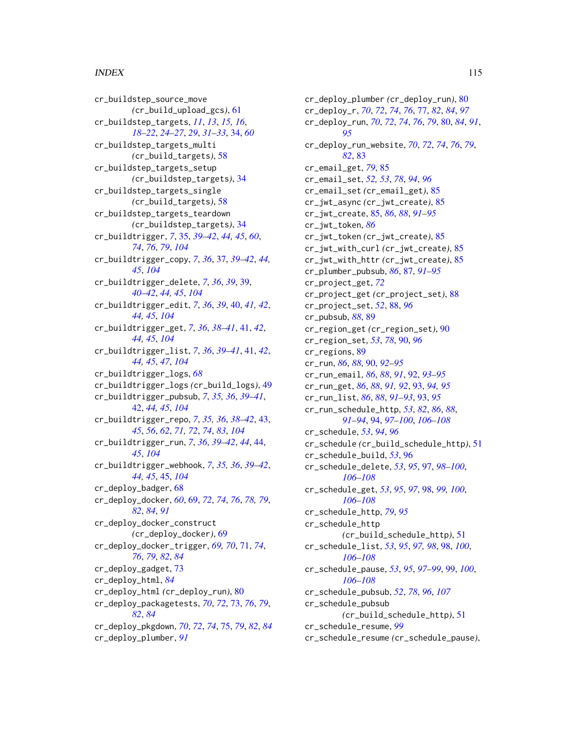#### INDEX 115

cr\_buildstep\_source\_move *(*cr\_build\_upload\_gcs*)*, [61](#page-60-1) cr\_buildstep\_targets, *[11](#page-10-0)*, *[13](#page-12-0)*, *[15,](#page-14-0) [16](#page-15-0)*, *[18](#page-17-0)[–22](#page-21-0)*, *[24](#page-23-0)[–27](#page-26-0)*, *[29](#page-28-0)*, *[31–](#page-30-0)[33](#page-32-0)*, [34,](#page-33-0) *[60](#page-59-0)* cr\_buildstep\_targets\_multi *(*cr\_build\_targets*)*, [58](#page-57-1) cr\_buildstep\_targets\_setup *(*cr\_buildstep\_targets*)*, [34](#page-33-0) cr\_buildstep\_targets\_single *(*cr\_build\_targets*)*, [58](#page-57-1) cr\_buildstep\_targets\_teardown *(*cr\_buildstep\_targets*)*, [34](#page-33-0) cr\_buildtrigger, *[7](#page-6-0)*, [35,](#page-34-0) *[39–](#page-38-0)[42](#page-41-0)*, *[44,](#page-43-0) [45](#page-44-1)*, *[60](#page-59-0)*, *[74](#page-73-0)*, *[76](#page-75-0)*, *[79](#page-78-0)*, *[104](#page-103-0)* cr\_buildtrigger\_copy, *[7](#page-6-0)*, *[36](#page-35-0)*, [37,](#page-36-0) *[39–](#page-38-0)[42](#page-41-0)*, *[44,](#page-43-0) [45](#page-44-1)*, *[104](#page-103-0)* cr\_buildtrigger\_delete, *[7](#page-6-0)*, *[36](#page-35-0)*, *[39](#page-38-0)*, [39,](#page-38-0) *[40](#page-39-0)[–42](#page-41-0)*, *[44,](#page-43-0) [45](#page-44-1)*, *[104](#page-103-0)* cr\_buildtrigger\_edit, *[7](#page-6-0)*, *[36](#page-35-0)*, *[39](#page-38-0)*, [40,](#page-39-0) *[41,](#page-40-0) [42](#page-41-0)*, *[44,](#page-43-0) [45](#page-44-1)*, *[104](#page-103-0)* cr\_buildtrigger\_get, *[7](#page-6-0)*, *[36](#page-35-0)*, *[38–](#page-37-0)[41](#page-40-0)*, [41,](#page-40-0) *[42](#page-41-0)*, *[44,](#page-43-0) [45](#page-44-1)*, *[104](#page-103-0)* cr\_buildtrigger\_list, *[7](#page-6-0)*, *[36](#page-35-0)*, *[39–](#page-38-0)[41](#page-40-0)*, [41,](#page-40-0) *[42](#page-41-0)*, *[44,](#page-43-0) [45](#page-44-1)*, *[47](#page-46-0)*, *[104](#page-103-0)* cr\_buildtrigger\_logs, *[68](#page-67-0)* cr\_buildtrigger\_logs *(*cr\_build\_logs*)*, [49](#page-48-1) cr\_buildtrigger\_pubsub, *[7](#page-6-0)*, *[35,](#page-34-0) [36](#page-35-0)*, *[39–](#page-38-0)[41](#page-40-0)*, [42,](#page-41-0) *[44,](#page-43-0) [45](#page-44-1)*, *[104](#page-103-0)* cr\_buildtrigger\_repo, *[7](#page-6-0)*, *[35,](#page-34-0) [36](#page-35-0)*, *[38–](#page-37-0)[42](#page-41-0)*, [43,](#page-42-0) *[45](#page-44-1)*, *[56](#page-55-1)*, *[62](#page-61-0)*, *[71,](#page-70-0) [72](#page-71-0)*, *[74](#page-73-0)*, *[83](#page-82-0)*, *[104](#page-103-0)* cr\_buildtrigger\_run, *[7](#page-6-0)*, *[36](#page-35-0)*, *[39–](#page-38-0)[42](#page-41-0)*, *[44](#page-43-0)*, [44,](#page-43-0) *[45](#page-44-1)*, *[104](#page-103-0)* cr\_buildtrigger\_webhook, *[7](#page-6-0)*, *[35,](#page-34-0) [36](#page-35-0)*, *[39–](#page-38-0)[42](#page-41-0)*, *[44,](#page-43-0) [45](#page-44-1)*, [45,](#page-44-1) *[104](#page-103-0)* cr\_deploy\_badger, [68](#page-67-0) cr\_deploy\_docker, *[60](#page-59-0)*, [69,](#page-68-0) *[72](#page-71-0)*, *[74](#page-73-0)*, *[76](#page-75-0)*, *[78,](#page-77-0) [79](#page-78-0)*, *[82](#page-81-0)*, *[84](#page-83-0)*, *[91](#page-90-0)* cr\_deploy\_docker\_construct *(*cr\_deploy\_docker*)*, [69](#page-68-0) cr\_deploy\_docker\_trigger, *[69,](#page-68-0) [70](#page-69-0)*, [71,](#page-70-0) *[74](#page-73-0)*, *[76](#page-75-0)*, *[79](#page-78-0)*, *[82](#page-81-0)*, *[84](#page-83-0)* cr\_deploy\_gadget, [73](#page-72-0) cr\_deploy\_html, *[84](#page-83-0)* cr\_deploy\_html *(*cr\_deploy\_run*)*, [80](#page-79-0) cr\_deploy\_packagetests, *[70](#page-69-0)*, *[72](#page-71-0)*, [73,](#page-72-0) *[76](#page-75-0)*, *[79](#page-78-0)*, *[82](#page-81-0)*, *[84](#page-83-0)* cr\_deploy\_pkgdown, *[70](#page-69-0)*, *[72](#page-71-0)*, *[74](#page-73-0)*, [75,](#page-74-0) *[79](#page-78-0)*, *[82](#page-81-0)*, *[84](#page-83-0)* cr\_deploy\_plumber, *[91](#page-90-0)*

cr\_deploy\_plumber *(*cr\_deploy\_run*)*, [80](#page-79-0) cr\_deploy\_r, *[70](#page-69-0)*, *[72](#page-71-0)*, *[74](#page-73-0)*, *[76](#page-75-0)*, [77,](#page-76-0) *[82](#page-81-0)*, *[84](#page-83-0)*, *[97](#page-96-0)* cr\_deploy\_run, *[70](#page-69-0)*, *[72](#page-71-0)*, *[74](#page-73-0)*, *[76](#page-75-0)*, *[79](#page-78-0)*, [80,](#page-79-0) *[84](#page-83-0)*, *[91](#page-90-0)*, *[95](#page-94-0)* cr\_deploy\_run\_website, *[70](#page-69-0)*, *[72](#page-71-0)*, *[74](#page-73-0)*, *[76](#page-75-0)*, *[79](#page-78-0)*, *[82](#page-81-0)*, [83](#page-82-0) cr\_email\_get, *[79](#page-78-0)*, [85](#page-84-0) cr\_email\_set, *[52,](#page-51-0) [53](#page-52-0)*, *[78](#page-77-0)*, *[94](#page-93-0)*, *[96](#page-95-0)* cr\_email\_set *(*cr\_email\_get*)*, [85](#page-84-0) cr\_jwt\_async *(*cr\_jwt\_create*)*, [85](#page-84-0) cr\_jwt\_create, [85,](#page-84-0) *[86](#page-85-0)*, *[88](#page-87-0)*, *[91](#page-90-0)[–95](#page-94-0)* cr\_jwt\_token, *[86](#page-85-0)* cr\_jwt\_token *(*cr\_jwt\_create*)*, [85](#page-84-0) cr\_jwt\_with\_curl *(*cr\_jwt\_create*)*, [85](#page-84-0) cr\_jwt\_with\_httr *(*cr\_jwt\_create*)*, [85](#page-84-0) cr\_plumber\_pubsub, *[86](#page-85-0)*, [87,](#page-86-0) *[91](#page-90-0)[–95](#page-94-0)* cr\_project\_get, *[72](#page-71-0)* cr\_project\_get *(*cr\_project\_set*)*, [88](#page-87-0) cr\_project\_set, *[52](#page-51-0)*, [88,](#page-87-0) *[96](#page-95-0)* cr\_pubsub, *[88](#page-87-0)*, [89](#page-88-0) cr\_region\_get *(*cr\_region\_set*)*, [90](#page-89-0) cr\_region\_set, *[53](#page-52-0)*, *[78](#page-77-0)*, [90,](#page-89-0) *[96](#page-95-0)* cr\_regions, [89](#page-88-0) cr\_run, *[86](#page-85-0)*, *[88](#page-87-0)*, [90,](#page-89-0) *[92](#page-91-0)[–95](#page-94-0)* cr\_run\_email, *[86](#page-85-0)*, *[88](#page-87-0)*, *[91](#page-90-0)*, [92,](#page-91-0) *[93](#page-92-0)[–95](#page-94-0)* cr\_run\_get, *[86](#page-85-0)*, *[88](#page-87-0)*, *[91,](#page-90-0) [92](#page-91-0)*, [93,](#page-92-0) *[94,](#page-93-0) [95](#page-94-0)* cr\_run\_list, *[86](#page-85-0)*, *[88](#page-87-0)*, *[91](#page-90-0)[–93](#page-92-0)*, [93,](#page-92-0) *[95](#page-94-0)* cr\_run\_schedule\_http, *[53](#page-52-0)*, *[82](#page-81-0)*, *[86](#page-85-0)*, *[88](#page-87-0)*, *[91](#page-90-0)[–94](#page-93-0)*, [94,](#page-93-0) *[97](#page-96-0)[–100](#page-99-0)*, *[106](#page-105-0)[–108](#page-107-0)* cr\_schedule, *[53](#page-52-0)*, *[94](#page-93-0)*, *[96](#page-95-0)* cr\_schedule *(*cr\_build\_schedule\_http*)*, [51](#page-50-0) cr\_schedule\_build, *[53](#page-52-0)*, [96](#page-95-0) cr\_schedule\_delete, *[53](#page-52-0)*, *[95](#page-94-0)*, [97,](#page-96-0) *[98](#page-97-0)[–100](#page-99-0)*, *[106](#page-105-0)[–108](#page-107-0)* cr\_schedule\_get, *[53](#page-52-0)*, *[95](#page-94-0)*, *[97](#page-96-0)*, [98,](#page-97-0) *[99,](#page-98-0) [100](#page-99-0)*, *[106](#page-105-0)[–108](#page-107-0)* cr\_schedule\_http, *[79](#page-78-0)*, *[95](#page-94-0)* cr\_schedule\_http *(*cr\_build\_schedule\_http*)*, [51](#page-50-0) cr\_schedule\_list, *[53](#page-52-0)*, *[95](#page-94-0)*, *[97,](#page-96-0) [98](#page-97-0)*, [98,](#page-97-0) *[100](#page-99-0)*, *[106](#page-105-0)[–108](#page-107-0)* cr\_schedule\_pause, *[53](#page-52-0)*, *[95](#page-94-0)*, *[97](#page-96-0)[–99](#page-98-0)*, [99,](#page-98-0) *[100](#page-99-0)*, *[106](#page-105-0)[–108](#page-107-0)* cr\_schedule\_pubsub, *[52](#page-51-0)*, *[78](#page-77-0)*, *[96](#page-95-0)*, *[107](#page-106-0)* cr\_schedule\_pubsub *(*cr\_build\_schedule\_http*)*, [51](#page-50-0) cr\_schedule\_resume, *[99](#page-98-0)* cr\_schedule\_resume *(*cr\_schedule\_pause*)*,